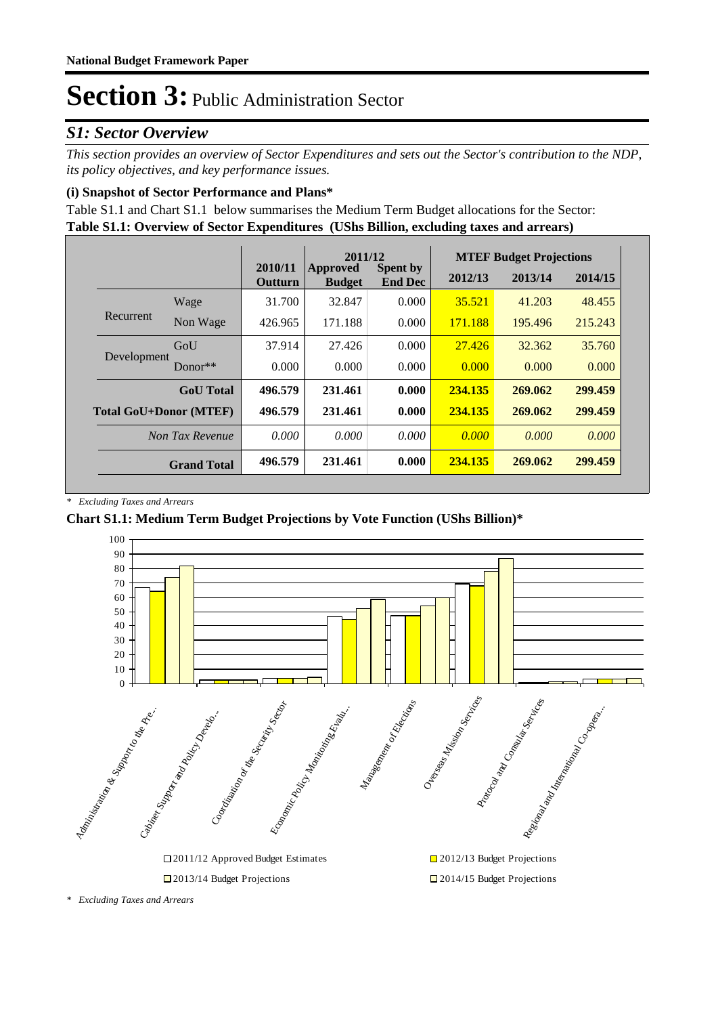### *S1: Sector Overview*

*This section provides an overview of Sector Expenditures and sets out the Sector's contribution to the NDP, its policy objectives, and key performance issues.* 

#### **(i) Snapshot of Sector Performance and Plans\***

**Table S1.1: Overview of Sector Expenditures (UShs Billion, excluding taxes and arrears)** Table S1.1 and Chart S1.1 below summarises the Medium Term Budget allocations for the Sector:

|                               |                    |                           | 2011/12                   |                                   |         | <b>MTEF Budget Projections</b> |         |
|-------------------------------|--------------------|---------------------------|---------------------------|-----------------------------------|---------|--------------------------------|---------|
|                               |                    | 2010/11<br><b>Outturn</b> | Approved<br><b>Budget</b> | <b>Spent by</b><br><b>End Dec</b> | 2012/13 | 2013/14                        | 2014/15 |
|                               | Wage               | 31.700                    | 32.847                    | 0.000                             | 35.521  | 41.203                         | 48.455  |
| Recurrent                     | Non Wage           | 426.965                   | 171.188                   | 0.000                             | 171.188 | 195.496                        | 215.243 |
| Development                   | GoU                | 37.914                    | 27.426                    | 0.000                             | 27.426  | 32.362                         | 35.760  |
|                               | $Donor**$          | 0.000                     | 0.000                     | 0.000                             | 0.000   | 0.000                          | 0.000   |
|                               | <b>GoU</b> Total   | 496.579                   | 231.461                   | 0.000                             | 234.135 | 269.062                        | 299.459 |
| <b>Total GoU+Donor (MTEF)</b> |                    | 496.579                   | 231.461                   | 0.000                             | 234.135 | 269.062                        | 299.459 |
|                               | Non Tax Revenue    | 0.000                     | 0.000                     | 0.000                             | 0.000   | 0.000                          | 0.000   |
|                               | <b>Grand Total</b> | 496.579                   | 231.461                   | 0.000                             | 234.135 | 269.062                        | 299.459 |

*\* Excluding Taxes and Arrears*

#### **Chart S1.1: Medium Term Budget Projections by Vote Function (UShs Billion)\***



*<sup>\*</sup> Excluding Taxes and Arrears*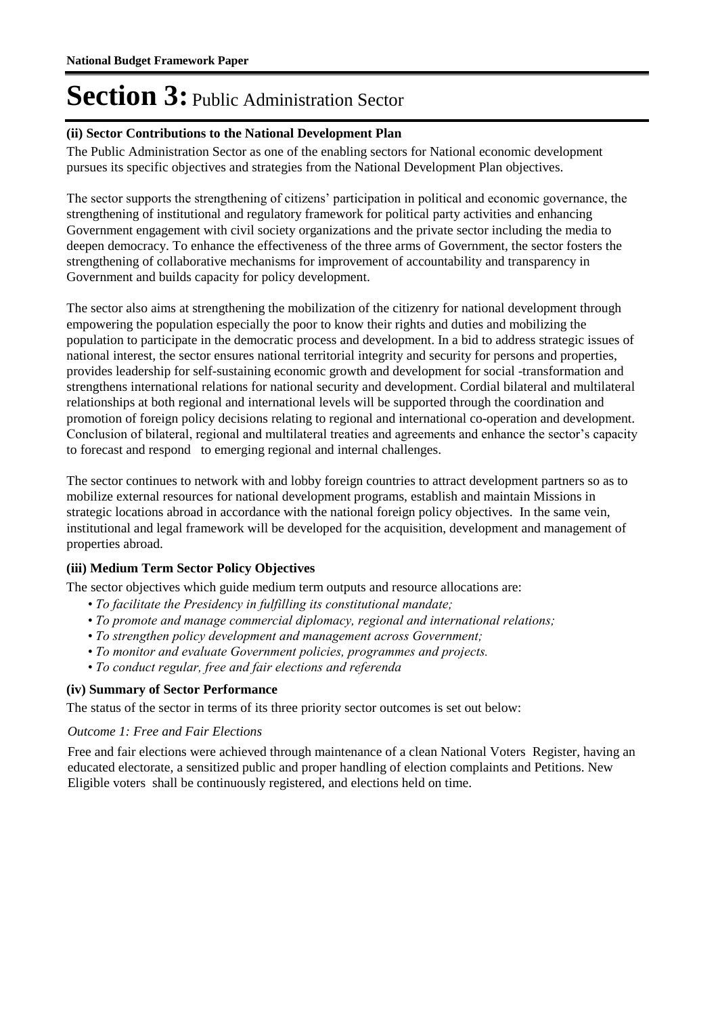#### **(ii) Sector Contributions to the National Development Plan**

The Public Administration Sector as one of the enabling sectors for National economic development pursues its specific objectives and strategies from the National Development Plan objectives.

The sector supports the strengthening of citizens' participation in political and economic governance, the strengthening of institutional and regulatory framework for political party activities and enhancing Government engagement with civil society organizations and the private sector including the media to deepen democracy. To enhance the effectiveness of the three arms of Government, the sector fosters the strengthening of collaborative mechanisms for improvement of accountability and transparency in Government and builds capacity for policy development.

The sector also aims at strengthening the mobilization of the citizenry for national development through empowering the population especially the poor to know their rights and duties and mobilizing the population to participate in the democratic process and development. In a bid to address strategic issues of national interest, the sector ensures national territorial integrity and security for persons and properties, provides leadership for self-sustaining economic growth and development for social -transformation and strengthens international relations for national security and development. Cordial bilateral and multilateral relationships at both regional and international levels will be supported through the coordination and promotion of foreign policy decisions relating to regional and international co-operation and development. Conclusion of bilateral, regional and multilateral treaties and agreements and enhance the sector's capacity to forecast and respond to emerging regional and internal challenges.

The sector continues to network with and lobby foreign countries to attract development partners so as to mobilize external resources for national development programs, establish and maintain Missions in strategic locations abroad in accordance with the national foreign policy objectives. In the same vein, institutional and legal framework will be developed for the acquisition, development and management of properties abroad.

#### **(iii) Medium Term Sector Policy Objectives**

The sector objectives which guide medium term outputs and resource allocations are:

- *To facilitate the Presidency in fulfilling its constitutional mandate;*
- *To promote and manage commercial diplomacy, regional and international relations;*
- *To strengthen policy development and management across Government;*
- *To monitor and evaluate Government policies, programmes and projects.*
- *To conduct regular, free and fair elections and referenda*

#### **(iv) Summary of Sector Performance**

The status of the sector in terms of its three priority sector outcomes is set out below:

#### **Outcome 1: Free and Fair Elections**

Free and fair elections were achieved through maintenance of a clean National Voters Register, having an educated electorate, a sensitized public and proper handling of election complaints and Petitions. New Eligible voters shall be continuously registered, and elections held on time.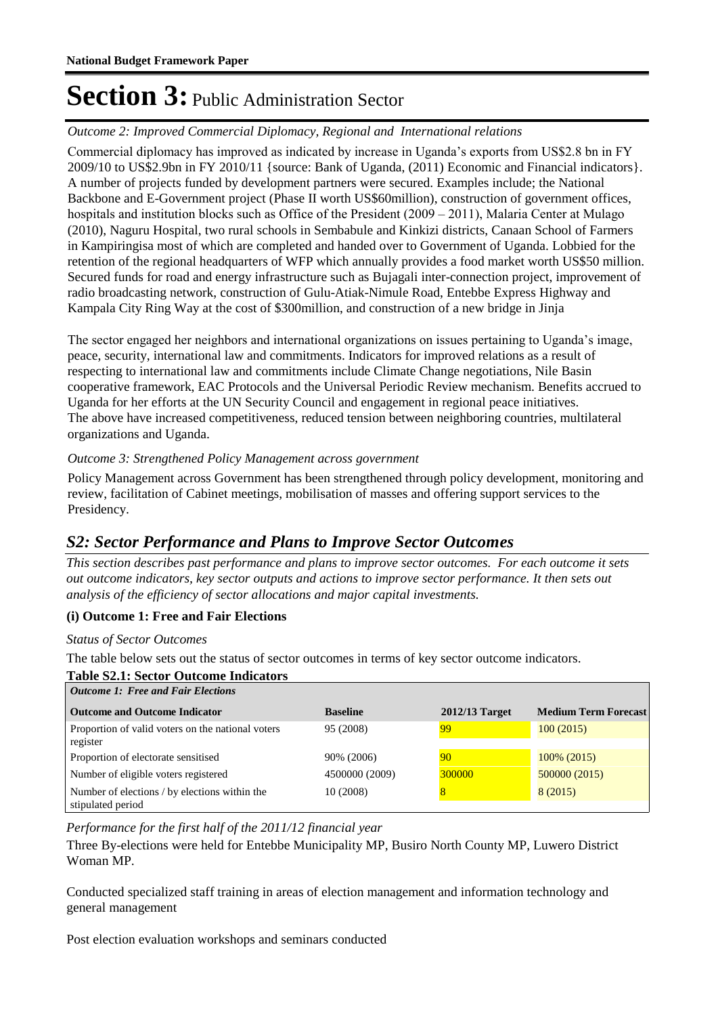#### Outcome 2: *Improved Commercial Diplomacy, Regional and International relations*

Commercial diplomacy has improved as indicated by increase in Uganda's exports from US\$2.8 bn in FY 2009/10 to US\$2.9bn in FY 2010/11 {source: Bank of Uganda, (2011) Economic and Financial indicators}. A number of projects funded by development partners were secured. Examples include; the National Backbone and E-Government project (Phase II worth US\$60million), construction of government offices, hospitals and institution blocks such as Office of the President (2009 – 2011), Malaria Center at Mulago (2010), Naguru Hospital, two rural schools in Sembabule and Kinkizi districts, Canaan School of Farmers in Kampiringisa most of which are completed and handed over to Government of Uganda. Lobbied for the retention of the regional headquarters of WFP which annually provides a food market worth US\$50 million. Secured funds for road and energy infrastructure such as Bujagali inter-connection project, improvement of radio broadcasting network, construction of Gulu-Atiak-Nimule Road, Entebbe Express Highway and Kampala City Ring Way at the cost of \$300million, and construction of a new bridge in Jinja

The sector engaged her neighbors and international organizations on issues pertaining to Uganda's image, peace, security, international law and commitments. Indicators for improved relations as a result of respecting to international law and commitments include Climate Change negotiations, Nile Basin cooperative framework, EAC Protocols and the Universal Periodic Review mechanism. Benefits accrued to Uganda for her efforts at the UN Security Council and engagement in regional peace initiatives. The above have increased competitiveness, reduced tension between neighboring countries, multilateral organizations and Uganda.

#### Outcome 3: Strengthened Policy Management across government

Policy Management across Government has been strengthened through policy development, monitoring and review, facilitation of Cabinet meetings, mobilisation of masses and offering support services to the Presidency.

### *S2: Sector Performance and Plans to Improve Sector Outcomes*

*This section describes past performance and plans to improve sector outcomes. For each outcome it sets out outcome indicators, key sector outputs and actions to improve sector performance. It then sets out analysis of the efficiency of sector allocations and major capital investments.*

#### **(i) Outcome 1: Free and Fair Elections**

#### *Status of Sector Outcomes*

The table below sets out the status of sector outcomes in terms of key sector outcome indicators.

| <b>Table S2.1: Sector Outcome Indicators</b><br><b>Outcome 1: Free and Fair Elections</b> |                 |                  |                             |
|-------------------------------------------------------------------------------------------|-----------------|------------------|-----------------------------|
| <b>Outcome and Outcome Indicator</b>                                                      | <b>Baseline</b> | $2012/13$ Target | <b>Medium Term Forecast</b> |
| Proportion of valid voters on the national voters<br>register                             | 95 (2008)       | 99               | 100(2015)                   |
| Proportion of electorate sensitised                                                       | 90% (2006)      | 90               | 100\% (2015)                |
| Number of eligible voters registered                                                      | 4500000 (2009)  | 300000           | 500000 (2015)               |
| Number of elections / by elections within the<br>stipulated period                        | 10(2008)        | 8                | 8 (2015)                    |

#### *Performance for the first half of the 2011/12 financial year*

Three By-elections were held for Entebbe Municipality MP, Busiro North County MP, Luwero District Woman MP.

Conducted specialized staff training in areas of election management and information technology and general management

Post election evaluation workshops and seminars conducted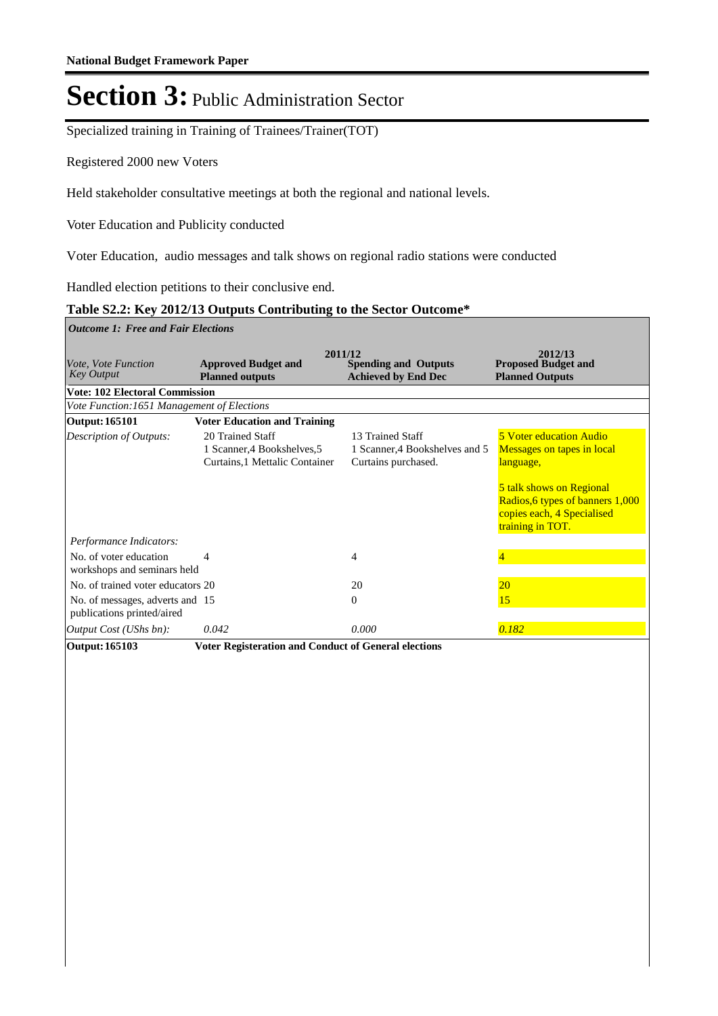Specialized training in Training of Trainees/Trainer(TOT)

Registered 2000 new Voters

Held stakeholder consultative meetings at both the regional and national levels.

Voter Education and Publicity conducted 

Voter Education, audio messages and talk shows on regional radio stations were conducted

Handled election petitions to their conclusive end.

#### **Table S2.2: Key 2012/13 Outputs Contributing to the Sector Outcome\***

| <b>Outcome 1: Free and Fair Elections</b>                     |                                                                                   |                                                                           |                                                                                                                                                                                             |
|---------------------------------------------------------------|-----------------------------------------------------------------------------------|---------------------------------------------------------------------------|---------------------------------------------------------------------------------------------------------------------------------------------------------------------------------------------|
| <i>Vote, Vote Function</i><br><b>Key Output</b>               | <b>Approved Budget and</b><br><b>Planned outputs</b>                              | 2011/12<br><b>Spending and Outputs</b><br><b>Achieved by End Dec</b>      | 2012/13<br><b>Proposed Budget and</b><br><b>Planned Outputs</b>                                                                                                                             |
| <b>Vote: 102 Electoral Commission</b>                         |                                                                                   |                                                                           |                                                                                                                                                                                             |
| Vote Function: 1651 Management of Elections                   |                                                                                   |                                                                           |                                                                                                                                                                                             |
| <b>Output: 165101</b>                                         | <b>Voter Education and Training</b>                                               |                                                                           |                                                                                                                                                                                             |
| <b>Description of Outputs:</b>                                | 20 Trained Staff<br>1 Scanner, 4 Bookshelves, 5<br>Curtains, 1 Mettalic Container | 13 Trained Staff<br>1 Scanner, 4 Bookshelves and 5<br>Curtains purchased. | <b>5 Voter education Audio</b><br>Messages on tapes in local<br>language,<br>5 talk shows on Regional<br>Radios, 6 types of banners 1,000<br>copies each, 4 Specialised<br>training in TOT. |
| Performance Indicators:                                       |                                                                                   |                                                                           |                                                                                                                                                                                             |
| No. of voter education<br>workshops and seminars held         | 4                                                                                 | 4                                                                         | 4                                                                                                                                                                                           |
| No. of trained voter educators 20                             |                                                                                   | 20                                                                        | 20                                                                                                                                                                                          |
| No. of messages, adverts and 15<br>publications printed/aired |                                                                                   | $\theta$                                                                  | 15                                                                                                                                                                                          |
| Output Cost (UShs bn):                                        | 0.042                                                                             | 0.000                                                                     | 0.182                                                                                                                                                                                       |
| Output: 165103                                                | <b>Voter Registeration and Conduct of General elections</b>                       |                                                                           |                                                                                                                                                                                             |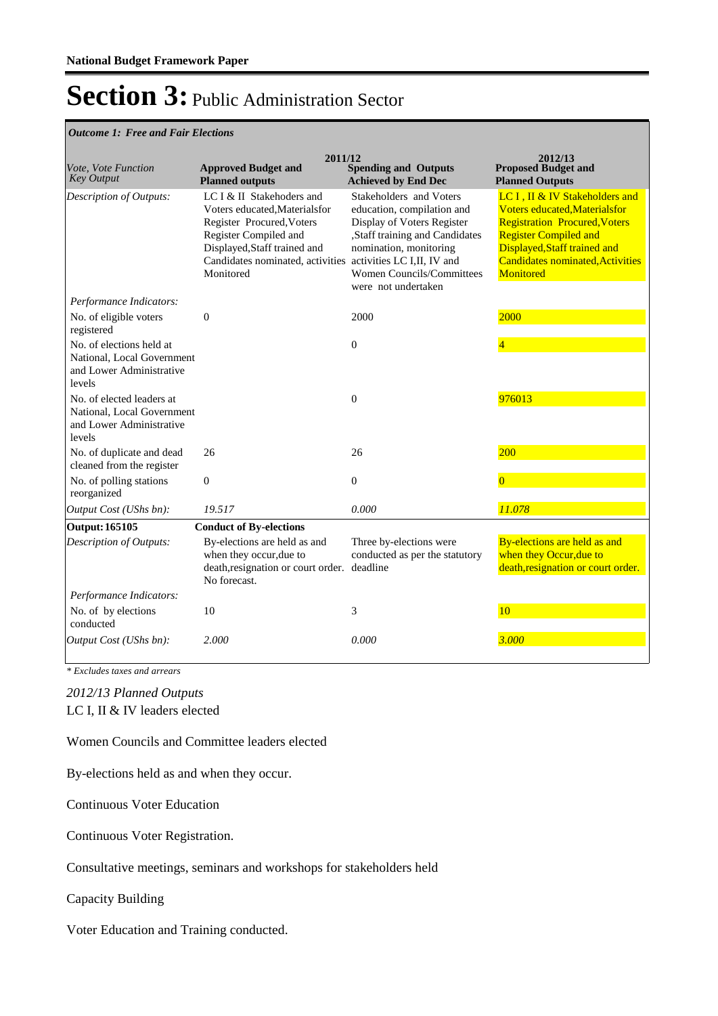#### *Outcome 1: Free and Fair Elections*

| Vote, Vote Function<br><b>Key Output</b>                                                      | 2011/12<br><b>Approved Budget and</b><br><b>Planned outputs</b>                                                                                                                                   | <b>Spending and Outputs</b><br><b>Achieved by End Dec</b>                                                                                                                                                                         | 2012/13<br><b>Proposed Budget and</b><br><b>Planned Outputs</b>                                                                                                                                                                              |
|-----------------------------------------------------------------------------------------------|---------------------------------------------------------------------------------------------------------------------------------------------------------------------------------------------------|-----------------------------------------------------------------------------------------------------------------------------------------------------------------------------------------------------------------------------------|----------------------------------------------------------------------------------------------------------------------------------------------------------------------------------------------------------------------------------------------|
| Description of Outputs:                                                                       | LC I & II Stakehoders and<br>Voters educated, Materialsfor<br>Register Procured, Voters<br>Register Compiled and<br>Displayed, Staff trained and<br>Candidates nominated, activities<br>Monitored | Stakeholders and Voters<br>education, compilation and<br>Display of Voters Register<br>,Staff training and Candidates<br>nomination, monitoring<br>activities LC I,II, IV and<br>Women Councils/Committees<br>were not undertaken | LC I, II & IV Stakeholders and<br><b>Voters educated.Materialsfor</b><br><b>Registration Procured, Voters</b><br><b>Register Compiled and</b><br>Displayed, Staff trained and<br><b>Candidates nominated, Activities</b><br><b>Monitored</b> |
| Performance Indicators:                                                                       |                                                                                                                                                                                                   |                                                                                                                                                                                                                                   |                                                                                                                                                                                                                                              |
| No. of eligible voters<br>registered                                                          | $\mathbf{0}$                                                                                                                                                                                      | 2000                                                                                                                                                                                                                              | 2000                                                                                                                                                                                                                                         |
| No. of elections held at<br>National, Local Government<br>and Lower Administrative<br>levels  |                                                                                                                                                                                                   | $\overline{0}$                                                                                                                                                                                                                    | $\overline{4}$                                                                                                                                                                                                                               |
| No. of elected leaders at<br>National, Local Government<br>and Lower Administrative<br>levels |                                                                                                                                                                                                   | $\overline{0}$                                                                                                                                                                                                                    | 976013                                                                                                                                                                                                                                       |
| No. of duplicate and dead<br>cleaned from the register                                        | 26                                                                                                                                                                                                | 26                                                                                                                                                                                                                                | 200                                                                                                                                                                                                                                          |
| No. of polling stations<br>reorganized                                                        | $\overline{0}$                                                                                                                                                                                    | $\overline{0}$                                                                                                                                                                                                                    | $\overline{0}$                                                                                                                                                                                                                               |
| Output Cost (UShs bn):                                                                        | 19.517                                                                                                                                                                                            | 0.000                                                                                                                                                                                                                             | 11.078                                                                                                                                                                                                                                       |
| Output: 165105                                                                                | <b>Conduct of By-elections</b>                                                                                                                                                                    |                                                                                                                                                                                                                                   |                                                                                                                                                                                                                                              |
| Description of Outputs:                                                                       | By-elections are held as and<br>when they occur, due to<br>death, resignation or court order.<br>No forecast.                                                                                     | Three by-elections were<br>conducted as per the statutory<br>deadline                                                                                                                                                             | By-elections are held as and<br>when they Occur, due to<br>death, resignation or court order.                                                                                                                                                |
| Performance Indicators:                                                                       |                                                                                                                                                                                                   |                                                                                                                                                                                                                                   |                                                                                                                                                                                                                                              |
| No. of by elections<br>conducted                                                              | 10                                                                                                                                                                                                | 3                                                                                                                                                                                                                                 | 10                                                                                                                                                                                                                                           |
| Output Cost (UShs bn):                                                                        | 2.000                                                                                                                                                                                             | 0.000                                                                                                                                                                                                                             | 3.000                                                                                                                                                                                                                                        |

*\* Excludes taxes and arrears*

LC I, II & IV leaders elected *2012/13 Planned Outputs*

Women Councils and Committee leaders elected

By-elections held as and when they occur.

Continuous Voter Education

Continuous Voter Registration.

Consultative meetings, seminars and workshops for stakeholders held

Capacity Building

Voter Education and Training conducted.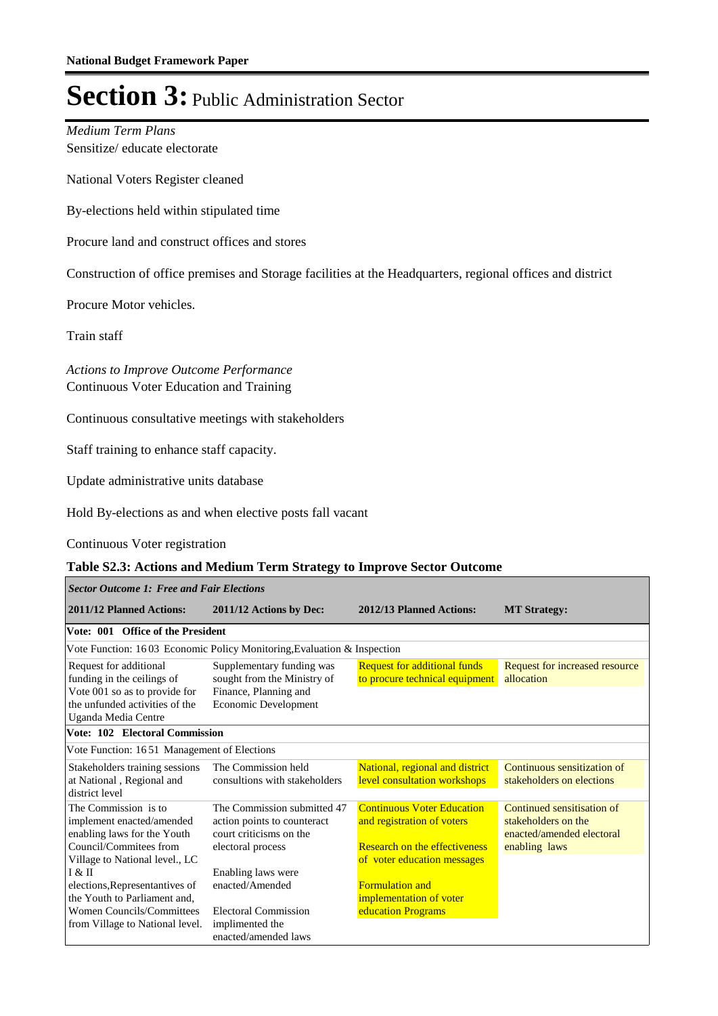Sensitize/ educate electorate *Medium Term Plans*

National Voters Register cleaned

By-elections held within stipulated time

Procure land and construct offices and stores

Construction of office premises and Storage facilities at the Headquarters, regional offices and district

Procure Motor vehicles.

Train staff

Г

Continuous Voter Education and Training *Actions to Improve Outcome Performance*

Continuous consultative meetings with stakeholders

Staff training to enhance staff capacity.

Update administrative units database

Hold By-elections as and when elective posts fall vacant

#### Continuous Voter registration

#### **Table S2.3: Actions and Medium Term Strategy to Improve Sector Outcome**

| <b>Sector Outcome 1: Free and Fair Elections</b>                                                                                             |                                                                                                            |                                                                                                                                        |                                                                                                 |  |  |  |
|----------------------------------------------------------------------------------------------------------------------------------------------|------------------------------------------------------------------------------------------------------------|----------------------------------------------------------------------------------------------------------------------------------------|-------------------------------------------------------------------------------------------------|--|--|--|
| 2011/12 Planned Actions:                                                                                                                     | 2011/12 Actions by Dec:                                                                                    | 2012/13 Planned Actions:                                                                                                               | <b>MT Strategy:</b>                                                                             |  |  |  |
| Vote: 001 Office of the President                                                                                                            |                                                                                                            |                                                                                                                                        |                                                                                                 |  |  |  |
|                                                                                                                                              | Vote Function: 1603 Economic Policy Monitoring, Evaluation & Inspection                                    |                                                                                                                                        |                                                                                                 |  |  |  |
| Request for additional<br>funding in the ceilings of                                                                                         | Supplementary funding was<br>sought from the Ministry of                                                   | <b>Request for additional funds</b><br>to procure technical equipment                                                                  | Request for increased resource<br>allocation                                                    |  |  |  |
| Vote 001 so as to provide for<br>the unfunded activities of the<br>Uganda Media Centre                                                       | Finance, Planning and<br>Economic Development                                                              |                                                                                                                                        |                                                                                                 |  |  |  |
| Vote: 102 Electoral Commission                                                                                                               |                                                                                                            |                                                                                                                                        |                                                                                                 |  |  |  |
| Vote Function: 1651 Management of Elections                                                                                                  |                                                                                                            |                                                                                                                                        |                                                                                                 |  |  |  |
| Stakeholders training sessions<br>at National, Regional and<br>district level                                                                | The Commission held<br>consultions with stakeholders                                                       | National, regional and district<br>level consultation workshops                                                                        | Continuous sensitization of<br>stakeholders on elections                                        |  |  |  |
| The Commission is to<br>implement enacted/amended<br>enabling laws for the Youth<br>Council/Commitees from<br>Village to National level., LC | The Commission submitted 47<br>action points to counteract<br>court criticisms on the<br>electoral process | <b>Continuous Voter Education</b><br>and registration of voters<br><b>Research on the effectiveness</b><br>of voter education messages | Continued sensitisation of<br>stakeholders on the<br>enacted/amended electoral<br>enabling laws |  |  |  |
| I & II<br>elections, Representantives of<br>the Youth to Parliament and,<br>Women Councils/Committees<br>from Village to National level.     | Enabling laws were<br>enacted/Amended<br>Electoral Commission<br>implimented the<br>enacted/amended laws   | <b>Formulation and</b><br>implementation of voter<br>education Programs                                                                |                                                                                                 |  |  |  |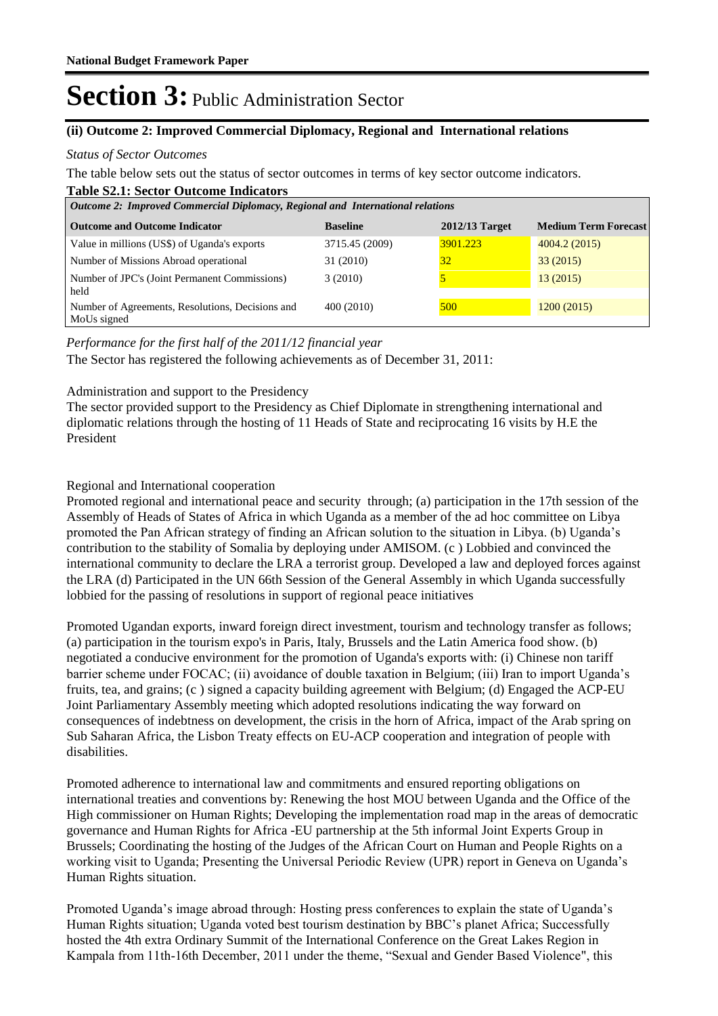#### **(ii) Outcome 2: Improved Commercial Diplomacy, Regional and International relations**

#### *Status of Sector Outcomes*

The table below sets out the status of sector outcomes in terms of key sector outcome indicators.

#### **Table S2.1: Sector Outcome Indicators**

| <b>Outcome 2: Improved Commercial Diplomacy, Regional and International relations</b> |                 |                |                             |  |  |  |
|---------------------------------------------------------------------------------------|-----------------|----------------|-----------------------------|--|--|--|
| <b>Outcome and Outcome Indicator</b>                                                  | <b>Baseline</b> | 2012/13 Target | <b>Medium Term Forecast</b> |  |  |  |
| Value in millions (US\$) of Uganda's exports                                          | 3715.45 (2009)  | 3901.223       | 4004.2 (2015)               |  |  |  |
| Number of Missions Abroad operational                                                 | 31 (2010)       | 32             | 33(2015)                    |  |  |  |
| Number of JPC's (Joint Permanent Commissions)<br>held                                 | 3(2010)         |                | 13(2015)                    |  |  |  |
| Number of Agreements, Resolutions, Decisions and<br>MoUs signed                       | 400 (2010)      | 500            | 1200(2015)                  |  |  |  |

*Performance for the first half of the 2011/12 financial year*

The Sector has registered the following achievements as of December 31, 2011:

#### Administration and support to the Presidency

The sector provided support to the Presidency as Chief Diplomate in strengthening international and diplomatic relations through the hosting of 11 Heads of State and reciprocating 16 visits by H.E the President

#### Regional and International cooperation

Promoted regional and international peace and security through; (a) participation in the 17th session of the Assembly of Heads of States of Africa in which Uganda as a member of the ad hoc committee on Libya promoted the Pan African strategy of finding an African solution to the situation in Libya. (b) Uganda's contribution to the stability of Somalia by deploying under AMISOM. (c ) Lobbied and convinced the international community to declare the LRA a terrorist group. Developed a law and deployed forces against the LRA (d) Participated in the UN 66th Session of the General Assembly in which Uganda successfully lobbied for the passing of resolutions in support of regional peace initiatives

Promoted Ugandan exports, inward foreign direct investment, tourism and technology transfer as follows; (a) participation in the tourism expo's in Paris, Italy, Brussels and the Latin America food show. (b) negotiated a conducive environment for the promotion of Uganda's exports with: (i) Chinese non tariff barrier scheme under FOCAC; (ii) avoidance of double taxation in Belgium; (iii) Iran to import Uganda's fruits, tea, and grains; (c ) signed a capacity building agreement with Belgium; (d) Engaged the ACP-EU Joint Parliamentary Assembly meeting which adopted resolutions indicating the way forward on consequences of indebtness on development, the crisis in the horn of Africa, impact of the Arab spring on Sub Saharan Africa, the Lisbon Treaty effects on EU-ACP cooperation and integration of people with disabilities.

Promoted adherence to international law and commitments and ensured reporting obligations on international treaties and conventions by: Renewing the host MOU between Uganda and the Office of the High commissioner on Human Rights; Developing the implementation road map in the areas of democratic governance and Human Rights for Africa -EU partnership at the 5th informal Joint Experts Group in Brussels; Coordinating the hosting of the Judges of the African Court on Human and People Rights on a working visit to Uganda; Presenting the Universal Periodic Review (UPR) report in Geneva on Uganda's Human Rights situation.

Promoted Uganda's image abroad through: Hosting press conferences to explain the state of Uganda's Human Rights situation; Uganda voted best tourism destination by BBC's planet Africa; Successfully hosted the 4th extra Ordinary Summit of the International Conference on the Great Lakes Region in Kampala from 11th-16th December, 2011 under the theme, "Sexual and Gender Based Violence", this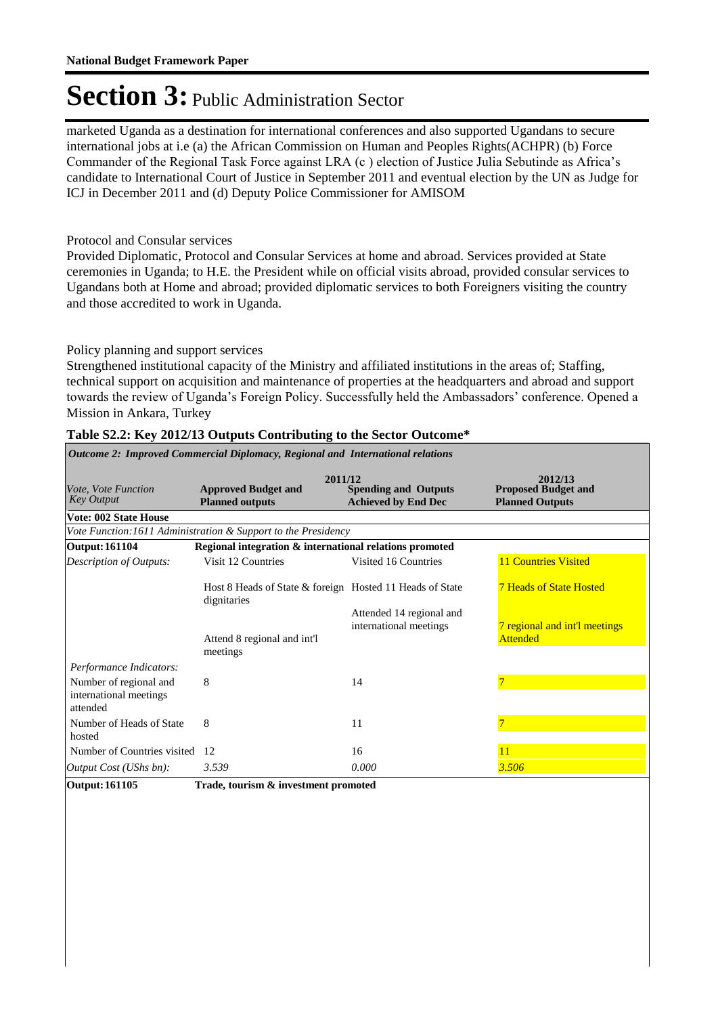marketed Uganda as a destination for international conferences and also supported Ugandans to secure international jobs at i.e (a) the African Commission on Human and Peoples Rights(ACHPR) (b) Force Commander of the Regional Task Force against LRA (c ) election of Justice Julia Sebutinde as Africa's candidate to International Court of Justice in September 2011 and eventual election by the UN as Judge for ICJ in December 2011 and (d) Deputy Police Commissioner for AMISOM

#### Protocol and Consular services

Provided Diplomatic, Protocol and Consular Services at home and abroad. Services provided at State ceremonies in Uganda; to H.E. the President while on official visits abroad, provided consular services to Ugandans both at Home and abroad; provided diplomatic services to both Foreigners visiting the country and those accredited to work in Uganda.

#### Policy planning and support services

Strengthened institutional capacity of the Ministry and affiliated institutions in the areas of; Staffing, technical support on acquisition and maintenance of properties at the headquarters and abroad and support towards the review of Uganda's Foreign Policy. Successfully held the Ambassadors' conference. Opened a Mission in Ankara, Turkey

| Vote, Vote Function<br><b>Key Output</b>                     | 2011/12<br><b>Approved Budget and</b><br><b>Planned outputs</b>         | <b>Spending and Outputs</b><br><b>Achieved by End Dec</b> | 2012/13<br><b>Proposed Budget and</b><br><b>Planned Outputs</b> |
|--------------------------------------------------------------|-------------------------------------------------------------------------|-----------------------------------------------------------|-----------------------------------------------------------------|
| <b>Vote: 002 State House</b>                                 |                                                                         |                                                           |                                                                 |
|                                                              | Vote Function: 1611 Administration & Support to the Presidency          |                                                           |                                                                 |
| <b>Output: 161104</b>                                        | Regional integration & international relations promoted                 |                                                           |                                                                 |
| Description of Outputs:                                      | Visit 12 Countries                                                      | Visited 16 Countries                                      | <b>11 Countries Visited</b>                                     |
|                                                              | Host 8 Heads of State & foreign Hosted 11 Heads of State<br>dignitaries |                                                           | <b>7 Heads of State Hosted</b>                                  |
|                                                              | Attend 8 regional and int'l<br>meetings                                 | Attended 14 regional and<br>international meetings        | 7 regional and int'l meetings<br><b>Attended</b>                |
| Performance Indicators:                                      |                                                                         |                                                           |                                                                 |
| Number of regional and<br>international meetings<br>attended | 8                                                                       | 14                                                        |                                                                 |
| Number of Heads of State<br>hosted                           | 8                                                                       | 11                                                        |                                                                 |
| Number of Countries visited                                  | 12                                                                      | 16                                                        | 11                                                              |
| <i>Output Cost (UShs bn):</i>                                | 3.539                                                                   | 0.000                                                     | 3.506                                                           |

#### **Table S2.2: Key 2012/13 Outputs Contributing to the Sector Outcome\***

*Outcome 2: Improved Commercial Diplomacy, Regional and International relations*

**Output: 161105 Trade, tourism & investment promoted**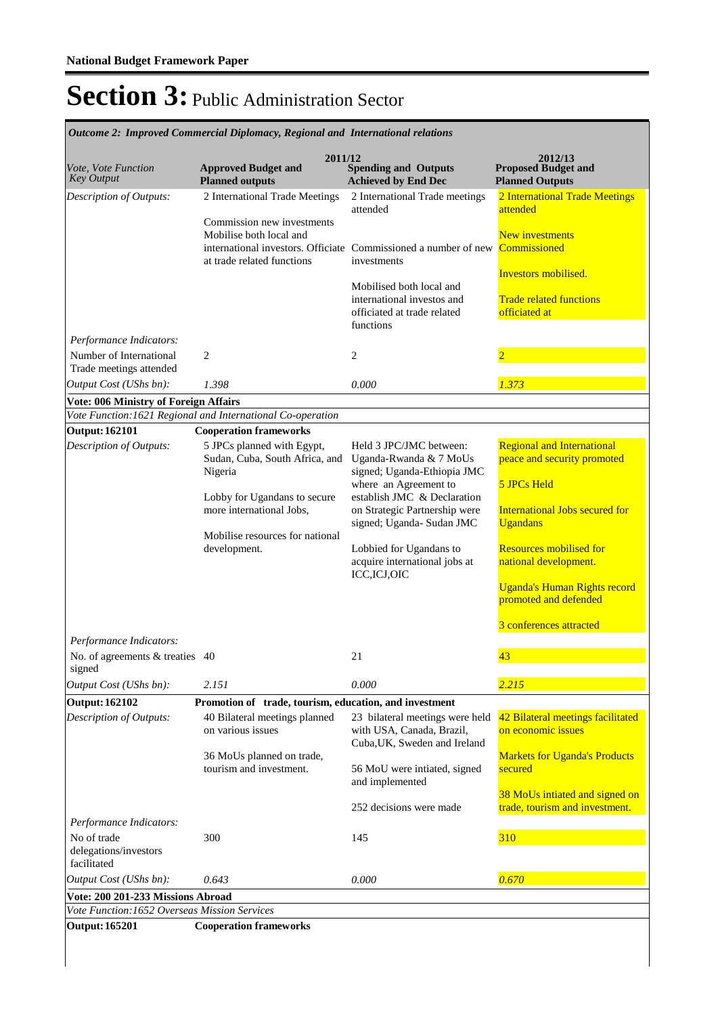*Outcome 2: Improved Commercial Diplomacy, Regional and International relations*

| Vote, Vote Function<br><b>Key Output</b>                                       | 2011/12<br><b>Approved Budget and</b><br><b>Planned outputs</b>                                                                                                      | <b>Spending and Outputs</b><br><b>Achieved by End Dec</b>                                                                                                                                                                          | 2012/13<br><b>Proposed Budget and</b><br><b>Planned Outputs</b>                                                                                                                |
|--------------------------------------------------------------------------------|----------------------------------------------------------------------------------------------------------------------------------------------------------------------|------------------------------------------------------------------------------------------------------------------------------------------------------------------------------------------------------------------------------------|--------------------------------------------------------------------------------------------------------------------------------------------------------------------------------|
| Description of Outputs:<br>Performance Indicators:                             | 2 International Trade Meetings<br>Commission new investments<br>Mobilise both local and<br>at trade related functions                                                | 2 International Trade meetings<br>attended<br>international investors. Officiate Commissioned a number of new<br>investments<br>Mobilised both local and<br>international investos and<br>officiated at trade related<br>functions | 2 International Trade Meetings<br>attended<br><b>New investments</b><br>Commissioned<br>Investors mobilised.<br><b>Trade related functions</b><br>officiated at                |
| Number of International<br>Trade meetings attended                             | $\overline{c}$                                                                                                                                                       | $\overline{c}$                                                                                                                                                                                                                     | $\overline{2}$                                                                                                                                                                 |
| Output Cost (UShs bn):                                                         | 1.398                                                                                                                                                                | 0.000                                                                                                                                                                                                                              | 1.373                                                                                                                                                                          |
| Vote: 006 Ministry of Foreign Affairs                                          |                                                                                                                                                                      |                                                                                                                                                                                                                                    |                                                                                                                                                                                |
|                                                                                | Vote Function: 1621 Regional and International Co-operation                                                                                                          |                                                                                                                                                                                                                                    |                                                                                                                                                                                |
| <b>Output: 162101</b>                                                          | <b>Cooperation frameworks</b>                                                                                                                                        |                                                                                                                                                                                                                                    |                                                                                                                                                                                |
| Description of Outputs:                                                        | 5 JPCs planned with Egypt,<br>Sudan, Cuba, South Africa, and<br>Nigeria<br>Lobby for Ugandans to secure<br>more international Jobs,                                  | Held 3 JPC/JMC between:<br>Uganda-Rwanda & 7 MoUs<br>signed; Uganda-Ethiopia JMC<br>where an Agreement to<br>establish JMC & Declaration<br>on Strategic Partnership were<br>signed; Uganda- Sudan JMC                             | <b>Regional and International</b><br>peace and security promoted<br><b>5 JPCs Held</b><br><b>International Jobs secured for</b><br><b>Ugandans</b>                             |
|                                                                                | Mobilise resources for national<br>development.                                                                                                                      | Lobbied for Ugandans to<br>acquire international jobs at<br>ICC, ICJ, OIC                                                                                                                                                          | <b>Resources mobilised for</b><br>national development.<br><b>Uganda's Human Rights record</b><br>promoted and defended<br>3 conferences attracted                             |
| Performance Indicators:                                                        |                                                                                                                                                                      |                                                                                                                                                                                                                                    |                                                                                                                                                                                |
| No. of agreements & treaties 40<br>signed                                      |                                                                                                                                                                      | 21                                                                                                                                                                                                                                 | 43                                                                                                                                                                             |
| Output Cost (UShs bn):                                                         | 2.151                                                                                                                                                                | 0.000                                                                                                                                                                                                                              | 2.215                                                                                                                                                                          |
| <b>Output: 162102</b><br>Description of Outputs:                               | Promotion of trade, tourism, education, and investment<br>40 Bilateral meetings planned<br>on various issues<br>36 MoUs planned on trade,<br>tourism and investment. | 23 bilateral meetings were held<br>with USA, Canada, Brazil,<br>Cuba, UK, Sweden and Ireland<br>56 MoU were intiated, signed<br>and implemented<br>252 decisions were made                                                         | 42 Bilateral meetings facilitated<br>on economic issues<br><b>Markets for Uganda's Products</b><br>secured<br>38 MoUs intiated and signed on<br>trade, tourism and investment. |
| Performance Indicators:<br>No of trade<br>delegations/investors<br>facilitated | 300                                                                                                                                                                  | 145                                                                                                                                                                                                                                | 310                                                                                                                                                                            |
| Output Cost (UShs bn):                                                         | 0.643                                                                                                                                                                | 0.000                                                                                                                                                                                                                              | 0.670                                                                                                                                                                          |
| Vote: 200 201-233 Missions Abroad                                              |                                                                                                                                                                      |                                                                                                                                                                                                                                    |                                                                                                                                                                                |
| Vote Function: 1652 Overseas Mission Services                                  |                                                                                                                                                                      |                                                                                                                                                                                                                                    |                                                                                                                                                                                |
| <b>Output: 165201</b>                                                          | <b>Cooperation frameworks</b>                                                                                                                                        |                                                                                                                                                                                                                                    |                                                                                                                                                                                |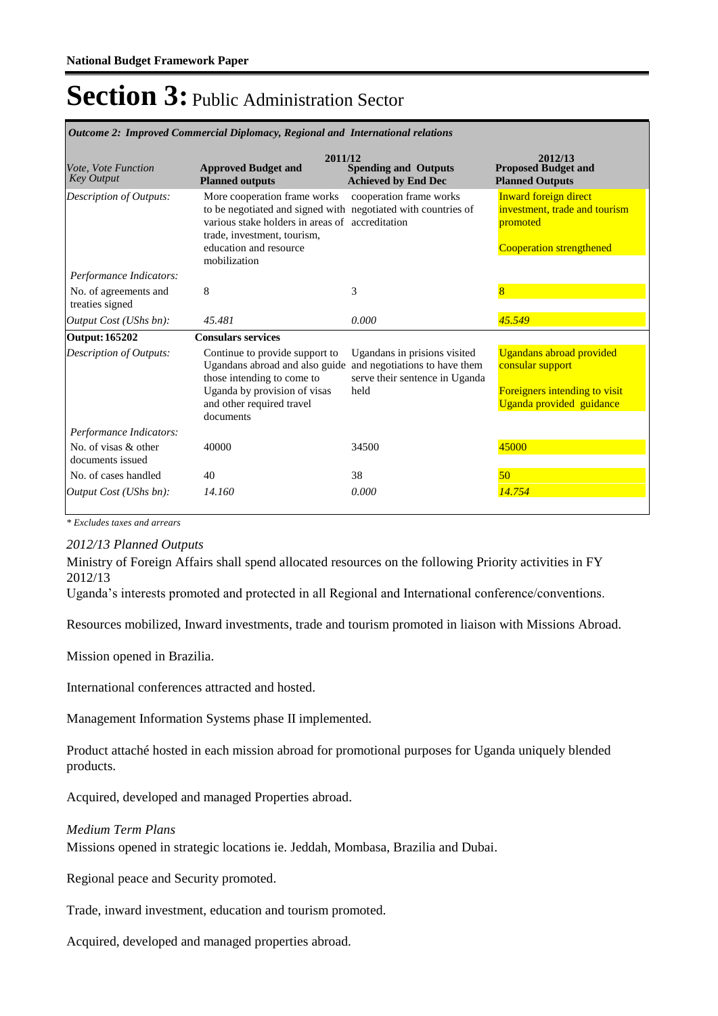| Outcome 2: Improved Commercial Diplomacy, Regional and International retailons |                                                                                                                                                                                                                           |                                                                                                         |                                                                                                                  |  |  |
|--------------------------------------------------------------------------------|---------------------------------------------------------------------------------------------------------------------------------------------------------------------------------------------------------------------------|---------------------------------------------------------------------------------------------------------|------------------------------------------------------------------------------------------------------------------|--|--|
| Vote, Vote Function<br><b>Key Output</b>                                       | 2011/12<br><b>Approved Budget and</b><br><b>Planned outputs</b>                                                                                                                                                           | <b>Spending and Outputs</b><br><b>Achieved by End Dec</b>                                               | 2012/13<br><b>Proposed Budget and</b><br><b>Planned Outputs</b>                                                  |  |  |
| Description of Outputs:                                                        | More cooperation frame works<br>to be negotiated and signed with negotiated with countries of<br>various stake holders in areas of accreditation<br>trade, investment, tourism,<br>education and resource<br>mobilization | cooperation frame works                                                                                 | <b>Inward foreign direct</b><br>investment, trade and tourism<br>promoted<br><b>Cooperation strengthened</b>     |  |  |
| Performance Indicators:                                                        |                                                                                                                                                                                                                           |                                                                                                         |                                                                                                                  |  |  |
| No. of agreements and<br>treaties signed                                       | 8                                                                                                                                                                                                                         | 3                                                                                                       | 8                                                                                                                |  |  |
| Output Cost (UShs bn):                                                         | 45.481                                                                                                                                                                                                                    | 0.000                                                                                                   | 45.549                                                                                                           |  |  |
| <b>Output: 165202</b>                                                          | <b>Consulars services</b>                                                                                                                                                                                                 |                                                                                                         |                                                                                                                  |  |  |
| <b>Description of Outputs:</b>                                                 | Continue to provide support to<br>Ugandans abroad and also guide<br>those intending to come to<br>Uganda by provision of visas<br>and other required travel<br>documents                                                  | Ugandans in prisions visited<br>and negotiations to have them<br>serve their sentence in Uganda<br>held | <b>Ugandans abroad provided</b><br>consular support<br>Foreigners intending to visit<br>Uganda provided guidance |  |  |
| Performance Indicators:                                                        |                                                                                                                                                                                                                           |                                                                                                         |                                                                                                                  |  |  |
| No. of visas & other<br>documents issued                                       | 40000                                                                                                                                                                                                                     | 34500                                                                                                   | 45000                                                                                                            |  |  |
| No. of cases handled                                                           | 40                                                                                                                                                                                                                        | 38                                                                                                      | 50                                                                                                               |  |  |
| Output Cost (UShs bn):                                                         | 14.160                                                                                                                                                                                                                    | 0.000                                                                                                   | 14.754                                                                                                           |  |  |

*Outcome 2: Improved Commercial Diplomacy, Regional and International relations*

*\* Excludes taxes and arrears*

#### *2012/13 Planned Outputs*

Ministry of Foreign Affairs shall spend allocated resources on the following Priority activities in FY 2012/13

Uganda's interests promoted and protected in all Regional and International conference/conventions.

Resources mobilized, Inward investments, trade and tourism promoted in liaison with Missions Abroad.

Mission opened in Brazilia.

International conferences attracted and hosted.

Management Information Systems phase II implemented.

Product attaché hosted in each mission abroad for promotional purposes for Uganda uniquely blended products.

Acquired, developed and managed Properties abroad.

#### *Medium Term Plans*

Missions opened in strategic locations ie. Jeddah, Mombasa, Brazilia and Dubai.

Regional peace and Security promoted.

Trade, inward investment, education and tourism promoted.

Acquired, developed and managed properties abroad.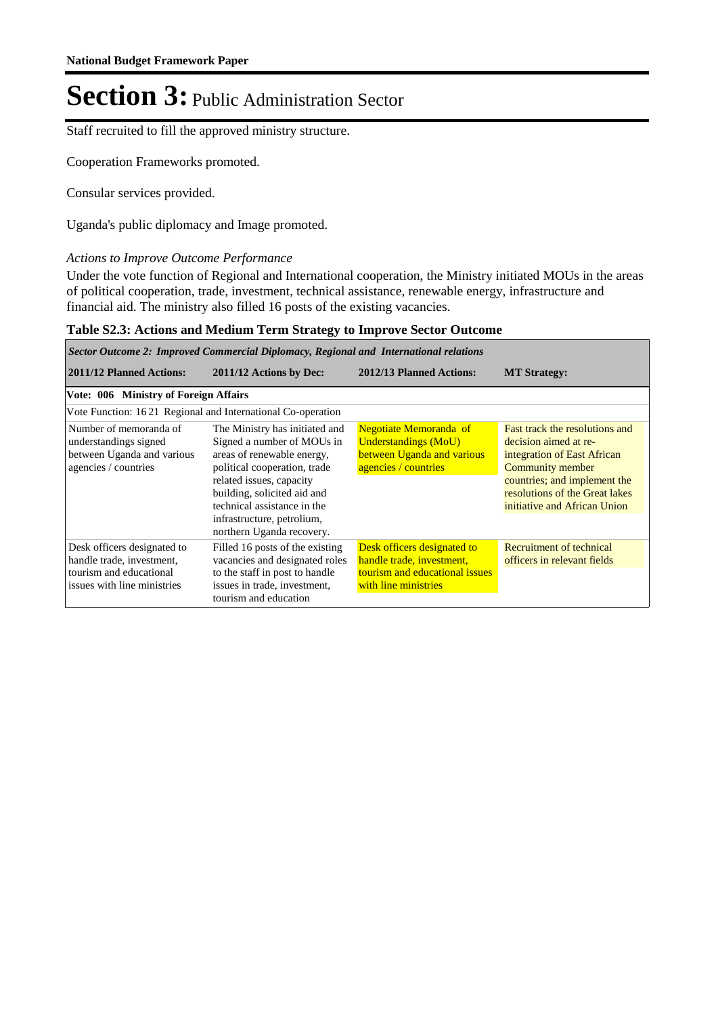Staff recruited to fill the approved ministry structure.

Cooperation Frameworks promoted.

Consular services provided.

Uganda's public diplomacy and Image promoted.

#### *Actions to Improve Outcome Performance*

Under the vote function of Regional and International cooperation, the Ministry initiated MOUs in the areas of political cooperation, trade, investment, technical assistance, renewable energy, infrastructure and financial aid. The ministry also filled 16 posts of the existing vacancies.

#### **Table S2.3: Actions and Medium Term Strategy to Improve Sector Outcome**

*Sector Outcome 2: Improved Commercial Diplomacy, Regional and International relations*

| 2011/12 Planned Actions:                                                                                           | 2011/12 Actions by Dec:                                                                                                                                                                                                                                                         | 2012/13 Planned Actions:                                                                                           | <b>MT</b> Strategy:                                                                                                                                                                                          |
|--------------------------------------------------------------------------------------------------------------------|---------------------------------------------------------------------------------------------------------------------------------------------------------------------------------------------------------------------------------------------------------------------------------|--------------------------------------------------------------------------------------------------------------------|--------------------------------------------------------------------------------------------------------------------------------------------------------------------------------------------------------------|
| Vote: 006 Ministry of Foreign Affairs                                                                              |                                                                                                                                                                                                                                                                                 |                                                                                                                    |                                                                                                                                                                                                              |
| Vote Function: 1621 Regional and International Co-operation                                                        |                                                                                                                                                                                                                                                                                 |                                                                                                                    |                                                                                                                                                                                                              |
| Number of memoranda of<br>understandings signed<br>between Uganda and various<br>agencies / countries              | The Ministry has initiated and<br>Signed a number of MOUs in<br>areas of renewable energy,<br>political cooperation, trade<br>related issues, capacity<br>building, solicited aid and<br>technical assistance in the<br>infrastructure, petrolium,<br>northern Uganda recovery. | Negotiate Memoranda of<br><b>Understandings (MoU)</b><br>between Uganda and various<br>agencies / countries        | Fast track the resolutions and<br>decision aimed at re-<br>integration of East African<br>Community member<br>countries; and implement the<br>resolutions of the Great lakes<br>initiative and African Union |
| Desk officers designated to<br>handle trade, investment,<br>tourism and educational<br>issues with line ministries | Filled 16 posts of the existing<br>vacancies and designated roles<br>to the staff in post to handle<br>issues in trade, investment,<br>tourism and education                                                                                                                    | Desk officers designated to<br>handle trade, investment,<br>tourism and educational issues<br>with line ministries | Recruitment of technical<br>officers in relevant fields                                                                                                                                                      |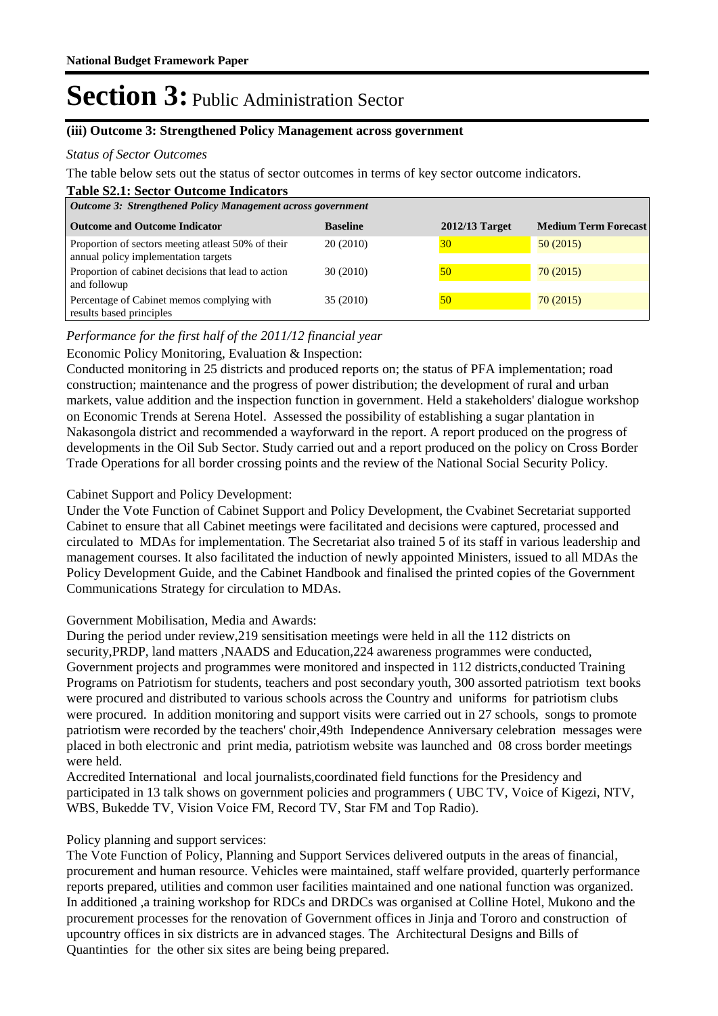#### **(iii) Outcome 3: Strengthened Policy Management across government**

#### *Status of Sector Outcomes*

The table below sets out the status of sector outcomes in terms of key sector outcome indicators.

#### **Table S2.1: Sector Outcome Indicators**

| <b>Outcome 3: Strengthened Policy Management across government</b>                         |                 |                |                             |  |  |  |
|--------------------------------------------------------------------------------------------|-----------------|----------------|-----------------------------|--|--|--|
| <b>Outcome and Outcome Indicator</b>                                                       | <b>Baseline</b> | 2012/13 Target | <b>Medium Term Forecast</b> |  |  |  |
| Proportion of sectors meeting atleast 50% of their<br>annual policy implementation targets | 20(2010)        | 30             | 50(2015)                    |  |  |  |
| Proportion of cabinet decisions that lead to action<br>and followup                        | 30 (2010)       | 50             | 70(2015)                    |  |  |  |
| Percentage of Cabinet memos complying with<br>results based principles                     | 35 (2010)       | 50             | 70(2015)                    |  |  |  |

#### *Performance for the first half of the 2011/12 financial year*

#### Economic Policy Monitoring, Evaluation & Inspection:

Conducted monitoring in 25 districts and produced reports on; the status of PFA implementation; road construction; maintenance and the progress of power distribution; the development of rural and urban markets, value addition and the inspection function in government. Held a stakeholders' dialogue workshop on Economic Trends at Serena Hotel. Assessed the possibility of establishing a sugar plantation in Nakasongola district and recommended a wayforward in the report. A report produced on the progress of developments in the Oil Sub Sector. Study carried out and a report produced on the policy on Cross Border Trade Operations for all border crossing points and the review of the National Social Security Policy.

#### Cabinet Support and Policy Development:

Under the Vote Function of Cabinet Support and Policy Development, the Cvabinet Secretariat supported Cabinet to ensure that all Cabinet meetings were facilitated and decisions were captured, processed and circulated to MDAs for implementation. The Secretariat also trained 5 of its staff in various leadership and management courses. It also facilitated the induction of newly appointed Ministers, issued to all MDAs the Policy Development Guide, and the Cabinet Handbook and finalised the printed copies of the Government Communications Strategy for circulation to MDAs.

#### Government Mobilisation, Media and Awards:

During the period under review,219 sensitisation meetings were held in all the 112 districts on security,PRDP, land matters ,NAADS and Education,224 awareness programmes were conducted, Government projects and programmes were monitored and inspected in 112 districts,conducted Training Programs on Patriotism for students, teachers and post secondary youth, 300 assorted patriotism text books were procured and distributed to various schools across the Country and uniforms for patriotism clubs were procured. In addition monitoring and support visits were carried out in 27 schools, songs to promote patriotism were recorded by the teachers' choir,49th Independence Anniversary celebration messages were placed in both electronic and print media, patriotism website was launched and 08 cross border meetings were held.

Accredited International and local journalists,coordinated field functions for the Presidency and participated in 13 talk shows on government policies and programmers ( UBC TV, Voice of Kigezi, NTV, WBS, Bukedde TV, Vision Voice FM, Record TV, Star FM and Top Radio).

#### Policy planning and support services:

The Vote Function of Policy, Planning and Support Services delivered outputs in the areas of financial, procurement and human resource. Vehicles were maintained, staff welfare provided, quarterly performance reports prepared, utilities and common user facilities maintained and one national function was organized. In additioned ,a training workshop for RDCs and DRDCs was organised at Colline Hotel, Mukono and the procurement processes for the renovation of Government offices in Jinja and Tororo and construction of upcountry offices in six districts are in advanced stages. The Architectural Designs and Bills of Quantinties for the other six sites are being being prepared.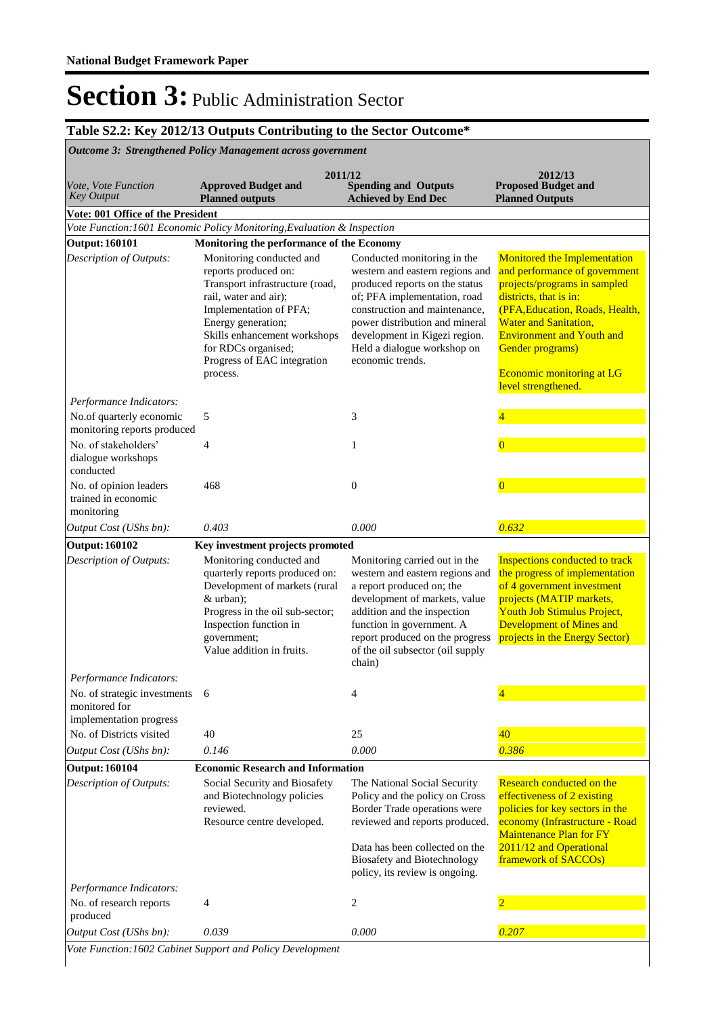### **Table S2.2: Key 2012/13 Outputs Contributing to the Sector Outcome\***

| <b>Outcome 3: Strengthened Policy Management across government</b>       |                                                                                                                                                                                                                                                                |                                                                                                                                                                                                                                                                                         |                                                                                                                                                                                                                                                                                                        |  |  |  |  |
|--------------------------------------------------------------------------|----------------------------------------------------------------------------------------------------------------------------------------------------------------------------------------------------------------------------------------------------------------|-----------------------------------------------------------------------------------------------------------------------------------------------------------------------------------------------------------------------------------------------------------------------------------------|--------------------------------------------------------------------------------------------------------------------------------------------------------------------------------------------------------------------------------------------------------------------------------------------------------|--|--|--|--|
| Vote, Vote Function<br><b>Key Output</b>                                 | 2011/12<br><b>Approved Budget and</b><br><b>Planned outputs</b>                                                                                                                                                                                                | <b>Spending and Outputs</b><br><b>Achieved by End Dec</b>                                                                                                                                                                                                                               | 2012/13<br><b>Proposed Budget and</b><br><b>Planned Outputs</b>                                                                                                                                                                                                                                        |  |  |  |  |
| Vote: 001 Office of the President                                        |                                                                                                                                                                                                                                                                |                                                                                                                                                                                                                                                                                         |                                                                                                                                                                                                                                                                                                        |  |  |  |  |
|                                                                          | Vote Function: 1601 Economic Policy Monitoring, Evaluation & Inspection                                                                                                                                                                                        |                                                                                                                                                                                                                                                                                         |                                                                                                                                                                                                                                                                                                        |  |  |  |  |
| <b>Output: 160101</b>                                                    | Monitoring the performance of the Economy                                                                                                                                                                                                                      |                                                                                                                                                                                                                                                                                         |                                                                                                                                                                                                                                                                                                        |  |  |  |  |
| Description of Outputs:                                                  | Monitoring conducted and<br>reports produced on:<br>Transport infrastructure (road,<br>rail, water and air);<br>Implementation of PFA;<br>Energy generation;<br>Skills enhancement workshops<br>for RDCs organised;<br>Progress of EAC integration<br>process. | Conducted monitoring in the<br>western and eastern regions and<br>produced reports on the status<br>of; PFA implementation, road<br>construction and maintenance,<br>power distribution and mineral<br>development in Kigezi region.<br>Held a dialogue workshop on<br>economic trends. | Monitored the Implementation<br>and performance of government<br>projects/programs in sampled<br>districts, that is in:<br>(PFA, Education, Roads, Health,<br><b>Water and Sanitation,</b><br><b>Environment and Youth and</b><br>Gender programs)<br>Economic monitoring at LG<br>level strengthened. |  |  |  |  |
| Performance Indicators:                                                  |                                                                                                                                                                                                                                                                |                                                                                                                                                                                                                                                                                         |                                                                                                                                                                                                                                                                                                        |  |  |  |  |
| No.of quarterly economic<br>monitoring reports produced                  | 5                                                                                                                                                                                                                                                              | 3                                                                                                                                                                                                                                                                                       |                                                                                                                                                                                                                                                                                                        |  |  |  |  |
| No. of stakeholders'<br>dialogue workshops<br>conducted                  | 4                                                                                                                                                                                                                                                              | 1                                                                                                                                                                                                                                                                                       | $\mathbf{0}$                                                                                                                                                                                                                                                                                           |  |  |  |  |
| No. of opinion leaders<br>trained in economic<br>monitoring              | 468                                                                                                                                                                                                                                                            | $\boldsymbol{0}$                                                                                                                                                                                                                                                                        | $\overline{0}$                                                                                                                                                                                                                                                                                         |  |  |  |  |
| Output Cost (UShs bn):                                                   | 0.403                                                                                                                                                                                                                                                          | 0.000                                                                                                                                                                                                                                                                                   | 0.632                                                                                                                                                                                                                                                                                                  |  |  |  |  |
| <b>Output: 160102</b>                                                    | Key investment projects promoted                                                                                                                                                                                                                               |                                                                                                                                                                                                                                                                                         |                                                                                                                                                                                                                                                                                                        |  |  |  |  |
| Description of Outputs:                                                  | Monitoring conducted and<br>quarterly reports produced on:<br>Development of markets (rural<br>$&$ urban);<br>Progress in the oil sub-sector;<br>Inspection function in<br>government;<br>Value addition in fruits.                                            | Monitoring carried out in the<br>western and eastern regions and<br>a report produced on; the<br>development of markets, value<br>addition and the inspection<br>function in government. A<br>report produced on the progress<br>of the oil subsector (oil supply<br>chain)             | Inspections conducted to track<br>the progress of implementation<br>of 4 government investment<br>projects (MATIP markets,<br><b>Youth Job Stimulus Project,</b><br><b>Development of Mines and</b><br>projects in the Energy Sector)                                                                  |  |  |  |  |
| Performance Indicators:                                                  |                                                                                                                                                                                                                                                                |                                                                                                                                                                                                                                                                                         |                                                                                                                                                                                                                                                                                                        |  |  |  |  |
| No. of strategic investments<br>monitored for<br>implementation progress | -6                                                                                                                                                                                                                                                             | 4                                                                                                                                                                                                                                                                                       |                                                                                                                                                                                                                                                                                                        |  |  |  |  |
| No. of Districts visited                                                 | 40                                                                                                                                                                                                                                                             | 25                                                                                                                                                                                                                                                                                      | 40                                                                                                                                                                                                                                                                                                     |  |  |  |  |
| Output Cost (UShs bn):                                                   | 0.146                                                                                                                                                                                                                                                          | 0.000                                                                                                                                                                                                                                                                                   | 0.386                                                                                                                                                                                                                                                                                                  |  |  |  |  |
| <b>Output: 160104</b>                                                    | <b>Economic Research and Information</b>                                                                                                                                                                                                                       |                                                                                                                                                                                                                                                                                         |                                                                                                                                                                                                                                                                                                        |  |  |  |  |
| Description of Outputs:                                                  | Social Security and Biosafety<br>and Biotechnology policies<br>reviewed.<br>Resource centre developed.                                                                                                                                                         | The National Social Security<br>Policy and the policy on Cross<br>Border Trade operations were<br>reviewed and reports produced.<br>Data has been collected on the                                                                                                                      | Research conducted on the<br>effectiveness of 2 existing<br>policies for key sectors in the<br>economy (Infrastructure - Road<br><b>Maintenance Plan for FY</b><br>2011/12 and Operational                                                                                                             |  |  |  |  |
|                                                                          |                                                                                                                                                                                                                                                                | <b>Biosafety and Biotechnology</b><br>policy, its review is ongoing.                                                                                                                                                                                                                    | framework of SACCOs)                                                                                                                                                                                                                                                                                   |  |  |  |  |
| Performance Indicators:                                                  |                                                                                                                                                                                                                                                                |                                                                                                                                                                                                                                                                                         |                                                                                                                                                                                                                                                                                                        |  |  |  |  |
| No. of research reports<br>produced                                      | 4                                                                                                                                                                                                                                                              | 2                                                                                                                                                                                                                                                                                       | $\overline{2}$                                                                                                                                                                                                                                                                                         |  |  |  |  |
| Output Cost (UShs bn):                                                   | 0.039                                                                                                                                                                                                                                                          | 0.000                                                                                                                                                                                                                                                                                   | 0.207                                                                                                                                                                                                                                                                                                  |  |  |  |  |

*Vote Function:1602 Cabinet Support and Policy Development*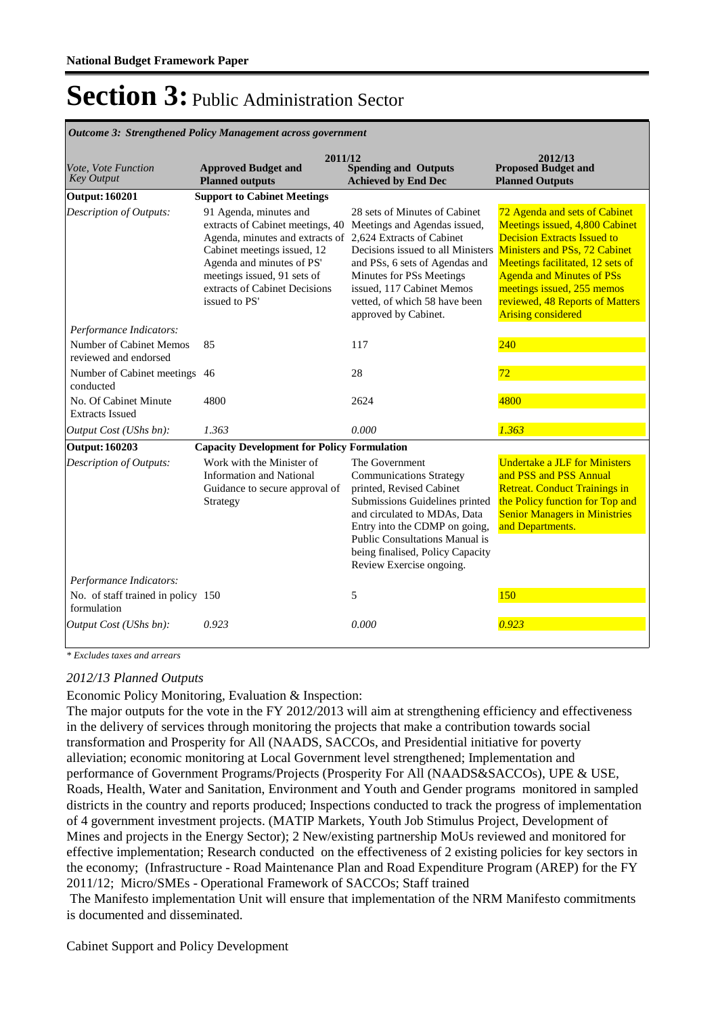| Vote, Vote Function<br><b>Key Output</b>          | 2011/12<br><b>Approved Budget and</b><br><b>Planned outputs</b>                                                                                                                                                                            | <b>Spending and Outputs</b><br><b>Achieved by End Dec</b>                                                                                                                                                                                                                                                         | 2012/13<br><b>Proposed Budget and</b><br><b>Planned Outputs</b>                                                                                                                                                                                                             |
|---------------------------------------------------|--------------------------------------------------------------------------------------------------------------------------------------------------------------------------------------------------------------------------------------------|-------------------------------------------------------------------------------------------------------------------------------------------------------------------------------------------------------------------------------------------------------------------------------------------------------------------|-----------------------------------------------------------------------------------------------------------------------------------------------------------------------------------------------------------------------------------------------------------------------------|
| <b>Output: 160201</b>                             | <b>Support to Cabinet Meetings</b>                                                                                                                                                                                                         |                                                                                                                                                                                                                                                                                                                   |                                                                                                                                                                                                                                                                             |
| Description of Outputs:                           | 91 Agenda, minutes and<br>extracts of Cabinet meetings, 40<br>Agenda, minutes and extracts of<br>Cabinet meetings issued, 12<br>Agenda and minutes of PS'<br>meetings issued, 91 sets of<br>extracts of Cabinet Decisions<br>issued to PS' | 28 sets of Minutes of Cabinet<br>Meetings and Agendas issued,<br>2,624 Extracts of Cabinet<br>Decisions issued to all Ministers Ministers and PSs, 72 Cabinet<br>and PSs, 6 sets of Agendas and<br>Minutes for PSs Meetings<br>issued, 117 Cabinet Memos<br>vetted, of which 58 have been<br>approved by Cabinet. | 72 Agenda and sets of Cabinet<br>Meetings issued, 4,800 Cabinet<br><b>Decision Extracts Issued to</b><br>Meetings facilitated, 12 sets of<br><b>Agenda and Minutes of PSs</b><br>meetings issued, 255 memos<br>reviewed, 48 Reports of Matters<br><b>Arising considered</b> |
| Performance Indicators:                           |                                                                                                                                                                                                                                            |                                                                                                                                                                                                                                                                                                                   |                                                                                                                                                                                                                                                                             |
| Number of Cabinet Memos<br>reviewed and endorsed  | 85                                                                                                                                                                                                                                         | 117                                                                                                                                                                                                                                                                                                               | 240                                                                                                                                                                                                                                                                         |
| Number of Cabinet meetings 46<br>conducted        |                                                                                                                                                                                                                                            | 28                                                                                                                                                                                                                                                                                                                | 72                                                                                                                                                                                                                                                                          |
| No. Of Cabinet Minute<br><b>Extracts Issued</b>   | 4800                                                                                                                                                                                                                                       | 2624                                                                                                                                                                                                                                                                                                              | 4800                                                                                                                                                                                                                                                                        |
| Output Cost (UShs bn):                            | 1.363                                                                                                                                                                                                                                      | 0.000                                                                                                                                                                                                                                                                                                             | 1.363                                                                                                                                                                                                                                                                       |
| <b>Output: 160203</b>                             | <b>Capacity Development for Policy Formulation</b>                                                                                                                                                                                         |                                                                                                                                                                                                                                                                                                                   |                                                                                                                                                                                                                                                                             |
| Description of Outputs:                           | Work with the Minister of<br><b>Information and National</b><br>Guidance to secure approval of<br>Strategy                                                                                                                                 | The Government<br><b>Communications Strategy</b><br>printed, Revised Cabinet<br>Submissions Guidelines printed<br>and circulated to MDAs, Data<br>Entry into the CDMP on going,<br>Public Consultations Manual is<br>being finalised, Policy Capacity<br>Review Exercise ongoing.                                 | <b>Undertake a JLF for Ministers</b><br>and PSS and PSS Annual<br><b>Retreat. Conduct Trainings in</b><br>the Policy function for Top and<br><b>Senior Managers in Ministries</b><br>and Departments.                                                                       |
| Performance Indicators:                           |                                                                                                                                                                                                                                            |                                                                                                                                                                                                                                                                                                                   |                                                                                                                                                                                                                                                                             |
| No. of staff trained in policy 150<br>formulation |                                                                                                                                                                                                                                            | 5                                                                                                                                                                                                                                                                                                                 | 150                                                                                                                                                                                                                                                                         |
| Output Cost (UShs bn):                            | 0.923                                                                                                                                                                                                                                      | 0.000                                                                                                                                                                                                                                                                                                             | 0.923                                                                                                                                                                                                                                                                       |

*Outcome 3: Strengthened Policy Management across government*

*\* Excludes taxes and arrears*

#### *2012/13 Planned Outputs*

Economic Policy Monitoring, Evaluation & Inspection:

The major outputs for the vote in the FY 2012/2013 will aim at strengthening efficiency and effectiveness in the delivery of services through monitoring the projects that make a contribution towards social transformation and Prosperity for All (NAADS, SACCOs, and Presidential initiative for poverty alleviation; economic monitoring at Local Government level strengthened; Implementation and performance of Government Programs/Projects (Prosperity For All (NAADS&SACCOs), UPE & USE, Roads, Health, Water and Sanitation, Environment and Youth and Gender programs monitored in sampled districts in the country and reports produced; Inspections conducted to track the progress of implementation of 4 government investment projects. (MATIP Markets, Youth Job Stimulus Project, Development of Mines and projects in the Energy Sector); 2 New/existing partnership MoUs reviewed and monitored for effective implementation; Research conducted on the effectiveness of 2 existing policies for key sectors in the economy; (Infrastructure - Road Maintenance Plan and Road Expenditure Program (AREP) for the FY 2011/12; Micro/SMEs - Operational Framework of SACCOs; Staff trained

 The Manifesto implementation Unit will ensure that implementation of the NRM Manifesto commitments is documented and disseminated.

Cabinet Support and Policy Development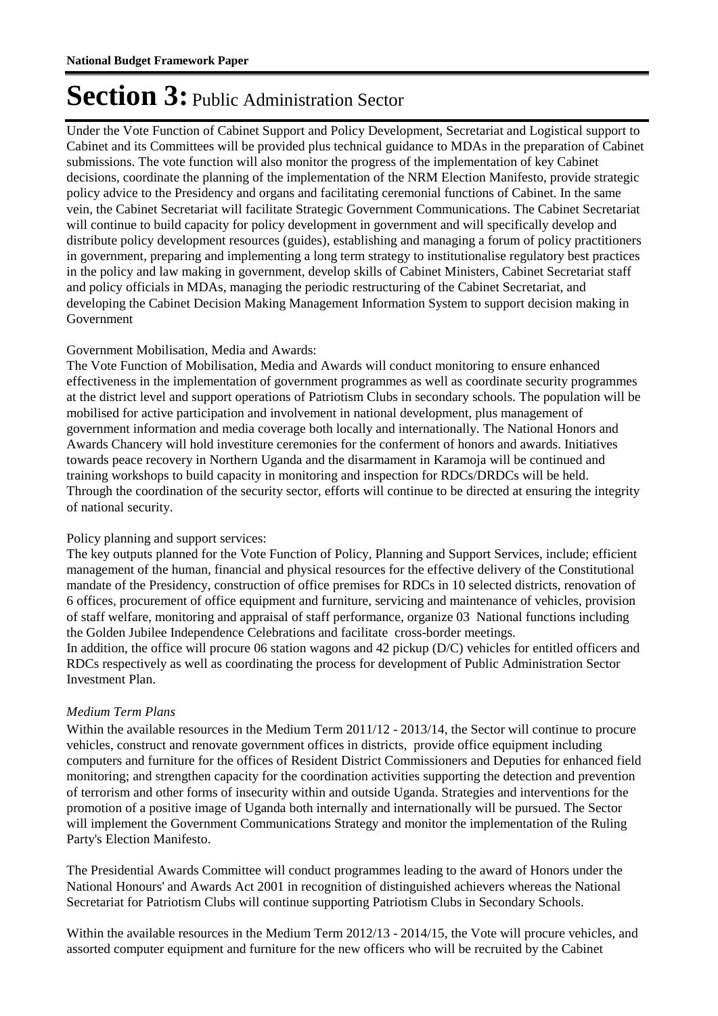Under the Vote Function of Cabinet Support and Policy Development, Secretariat and Logistical support to Cabinet and its Committees will be provided plus technical guidance to MDAs in the preparation of Cabinet submissions. The vote function will also monitor the progress of the implementation of key Cabinet decisions, coordinate the planning of the implementation of the NRM Election Manifesto, provide strategic policy advice to the Presidency and organs and facilitating ceremonial functions of Cabinet. In the same vein, the Cabinet Secretariat will facilitate Strategic Government Communications. The Cabinet Secretariat will continue to build capacity for policy development in government and will specifically develop and distribute policy development resources (guides), establishing and managing a forum of policy practitioners in government, preparing and implementing a long term strategy to institutionalise regulatory best practices in the policy and law making in government, develop skills of Cabinet Ministers, Cabinet Secretariat staff and policy officials in MDAs, managing the periodic restructuring of the Cabinet Secretariat, and developing the Cabinet Decision Making Management Information System to support decision making in Government

#### Government Mobilisation, Media and Awards:

The Vote Function of Mobilisation, Media and Awards will conduct monitoring to ensure enhanced effectiveness in the implementation of government programmes as well as coordinate security programmes at the district level and support operations of Patriotism Clubs in secondary schools. The population will be mobilised for active participation and involvement in national development, plus management of government information and media coverage both locally and internationally. The National Honors and Awards Chancery will hold investiture ceremonies for the conferment of honors and awards. Initiatives towards peace recovery in Northern Uganda and the disarmament in Karamoja will be continued and training workshops to build capacity in monitoring and inspection for RDCs/DRDCs will be held. Through the coordination of the security sector, efforts will continue to be directed at ensuring the integrity of national security.

#### Policy planning and support services:

The key outputs planned for the Vote Function of Policy, Planning and Support Services, include; efficient management of the human, financial and physical resources for the effective delivery of the Constitutional mandate of the Presidency, construction of office premises for RDCs in 10 selected districts, renovation of 6 offices, procurement of office equipment and furniture, servicing and maintenance of vehicles, provision of staff welfare, monitoring and appraisal of staff performance, organize 03 National functions including the Golden Jubilee Independence Celebrations and facilitate cross-border meetings. In addition, the office will procure 06 station wagons and 42 pickup (D/C) vehicles for entitled officers and RDCs respectively as well as coordinating the process for development of Public Administration Sector Investment Plan.

#### *Medium Term Plans*

Within the available resources in the Medium Term 2011/12 - 2013/14, the Sector will continue to procure vehicles, construct and renovate government offices in districts, provide office equipment including computers and furniture for the offices of Resident District Commissioners and Deputies for enhanced field monitoring; and strengthen capacity for the coordination activities supporting the detection and prevention of terrorism and other forms of insecurity within and outside Uganda. Strategies and interventions for the promotion of a positive image of Uganda both internally and internationally will be pursued. The Sector will implement the Government Communications Strategy and monitor the implementation of the Ruling Party's Election Manifesto.

The Presidential Awards Committee will conduct programmes leading to the award of Honors under the National Honours' and Awards Act 2001 in recognition of distinguished achievers whereas the National Secretariat for Patriotism Clubs will continue supporting Patriotism Clubs in Secondary Schools.

Within the available resources in the Medium Term 2012/13 - 2014/15, the Vote will procure vehicles, and assorted computer equipment and furniture for the new officers who will be recruited by the Cabinet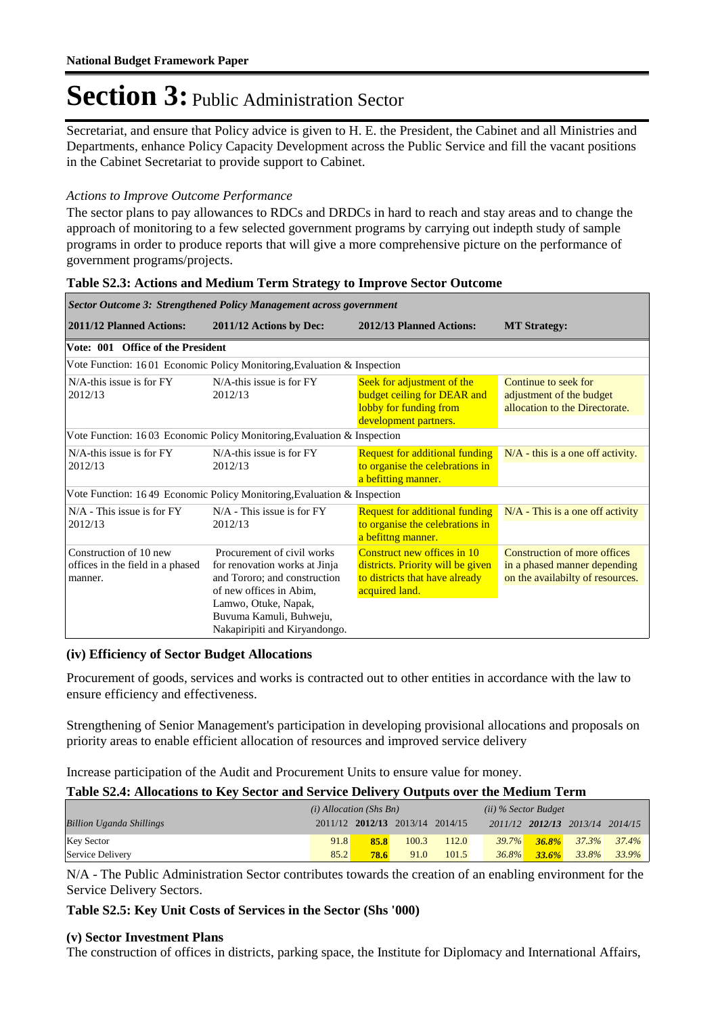Secretariat, and ensure that Policy advice is given to H. E. the President, the Cabinet and all Ministries and Departments, enhance Policy Capacity Development across the Public Service and fill the vacant positions in the Cabinet Secretariat to provide support to Cabinet.

#### *Actions to Improve Outcome Performance*

The sector plans to pay allowances to RDCs and DRDCs in hard to reach and stay areas and to change the approach of monitoring to a few selected government programs by carrying out indepth study of sample programs in order to produce reports that will give a more comprehensive picture on the performance of government programs/projects.

| Sector Outcome 3: Strengthened Policy Management across government    |                                                                                                                                                                                                            |                                                                                                                      |                                                                                                  |  |  |  |
|-----------------------------------------------------------------------|------------------------------------------------------------------------------------------------------------------------------------------------------------------------------------------------------------|----------------------------------------------------------------------------------------------------------------------|--------------------------------------------------------------------------------------------------|--|--|--|
| 2011/12 Planned Actions:                                              | 2011/12 Actions by Dec:                                                                                                                                                                                    | 2012/13 Planned Actions:                                                                                             | <b>MT Strategy:</b>                                                                              |  |  |  |
| Vote: 001 Office of the President                                     |                                                                                                                                                                                                            |                                                                                                                      |                                                                                                  |  |  |  |
|                                                                       | Vote Function: 1601 Economic Policy Monitoring, Evaluation & Inspection                                                                                                                                    |                                                                                                                      |                                                                                                  |  |  |  |
| $N/A$ -this issue is for $FY$<br>2012/13                              | $N/A$ -this issue is for $FY$<br>2012/13                                                                                                                                                                   | Seek for adjustment of the<br>budget ceiling for DEAR and<br>lobby for funding from<br>development partners.         | Continue to seek for<br>adjustment of the budget<br>allocation to the Directorate.               |  |  |  |
|                                                                       | Vote Function: 1603 Economic Policy Monitoring, Evaluation & Inspection                                                                                                                                    |                                                                                                                      |                                                                                                  |  |  |  |
| $N/A$ -this issue is for $FY$<br>2012/13                              | N/A-this issue is for FY<br>2012/13                                                                                                                                                                        | <b>Request for additional funding</b><br>to organise the celebrations in<br>a befitting manner.                      | $N/A$ - this is a one off activity.                                                              |  |  |  |
|                                                                       | Vote Function: 1649 Economic Policy Monitoring, Evaluation & Inspection                                                                                                                                    |                                                                                                                      |                                                                                                  |  |  |  |
| $N/A$ - This issue is for $FY$<br>2012/13                             | $N/A$ - This issue is for $FY$<br>2012/13                                                                                                                                                                  | <b>Request for additional funding</b><br>to organise the celebrations in<br>a befittng manner.                       | $N/A$ - This is a one off activity                                                               |  |  |  |
| Construction of 10 new<br>offices in the field in a phased<br>manner. | Procurement of civil works<br>for renovation works at Jinja<br>and Tororo; and construction<br>of new offices in Abim.<br>Lamwo, Otuke, Napak,<br>Buvuma Kamuli, Buhweju,<br>Nakapiripiti and Kiryandongo. | Construct new offices in 10<br>districts. Priority will be given<br>to districts that have already<br>acquired land. | Construction of more offices<br>in a phased manner depending<br>on the availabilty of resources. |  |  |  |

#### **Table S2.3: Actions and Medium Term Strategy to Improve Sector Outcome**

#### **(iv) Efficiency of Sector Budget Allocations**

Procurement of goods, services and works is contracted out to other entities in accordance with the law to ensure efficiency and effectiveness.

Strengthening of Senior Management's participation in developing provisional allocations and proposals on priority areas to enable efficient allocation of resources and improved service delivery

Increase participation of the Audit and Procurement Units to ensure value for money.

#### **Table S2.4: Allocations to Key Sector and Service Delivery Outputs over the Medium Term**

|                                 | $(i)$ Allocation (Shs Bn) |      | $(ii)$ % Sector Budget          |       |          |          |                                 |          |
|---------------------------------|---------------------------|------|---------------------------------|-------|----------|----------|---------------------------------|----------|
| <b>Billion Uganda Shillings</b> |                           |      | 2011/12 2012/13 2013/14 2014/15 |       |          |          | 2011/12 2012/13 2013/14 2014/15 |          |
| <b>Key Sector</b>               | 91.8                      | 85.8 | 100.3                           | 112.0 | $39.7\%$ | $36.8\%$ | 37.3%                           | $37.4\%$ |
| Service Delivery                | 85.2                      | 78.6 | 91.0                            | 101.5 | $36.8\%$ | 33.6%    | 33.8%                           | $33.9\%$ |

N/A - The Public Administration Sector contributes towards the creation of an enabling environment for the Service Delivery Sectors.

**Table S2.5: Key Unit Costs of Services in the Sector (Shs '000)**

#### **(v) Sector Investment Plans**

The construction of offices in districts, parking space, the Institute for Diplomacy and International Affairs,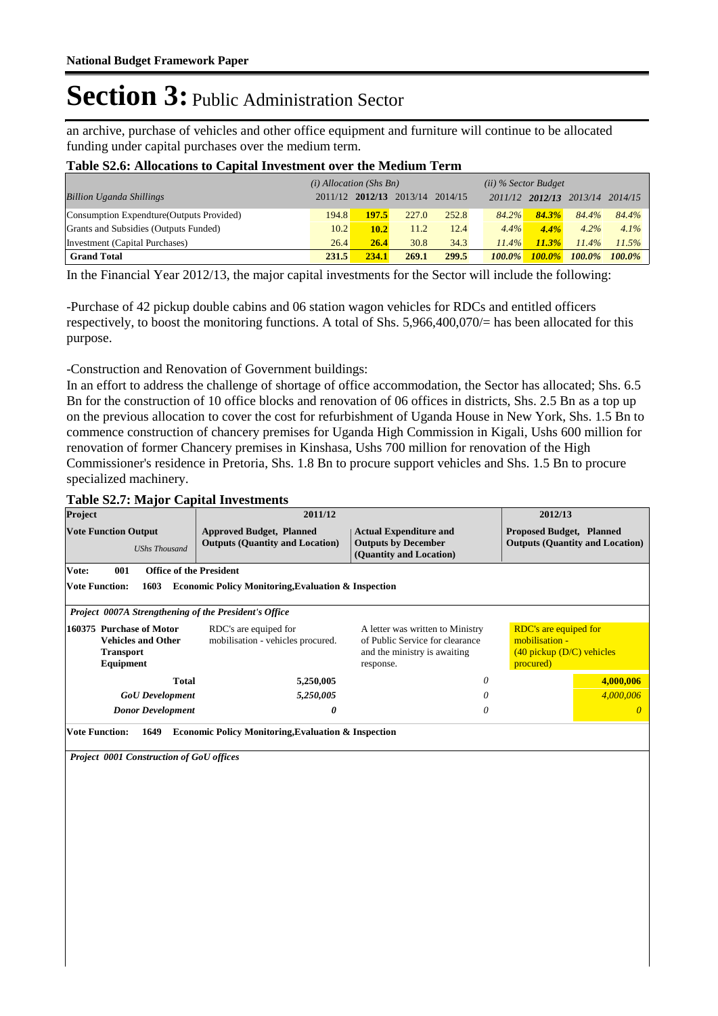an archive, purchase of vehicles and other office equipment and furniture will continue to be allocated funding under capital purchases over the medium term.

#### **Table S2.6: Allocations to Capital Investment over the Medium Term**

|                                           | $(i)$ Allocation (Shs Bn) |       | $(ii)$ % Sector Budget          |       |           |           |                                 |           |
|-------------------------------------------|---------------------------|-------|---------------------------------|-------|-----------|-----------|---------------------------------|-----------|
| <b>Billion Uganda Shillings</b>           |                           |       | 2011/12 2012/13 2013/14 2014/15 |       |           |           | 2011/12 2012/13 2013/14 2014/15 |           |
| Consumption Expendture (Outputs Provided) | 194.8                     | 197.5 | 227.0                           | 252.8 | 84.2%     | 84.3%     | 84.4%                           | 84.4%     |
| Grants and Subsidies (Outputs Funded)     | 10.2                      | 10.2  | 11.2                            | 12.4  | 4.4%      | 4.4%      | $4.2\%$                         | $4.1\%$   |
| Investment (Capital Purchases)            | 26.4                      | 26.4  | 30.8                            | 34.3  | $11.4\%$  | 11.3%     | $11.4\%$                        | 11.5%     |
| <b>Grand Total</b>                        | 231.5                     | 234.1 | 269.1                           | 299.5 | $100.0\%$ | $100.0\%$ | $100.0\%$                       | $100.0\%$ |

In the Financial Year 2012/13, the major capital investments for the Sector will include the following:

-Purchase of 42 pickup double cabins and 06 station wagon vehicles for RDCs and entitled officers respectively, to boost the monitoring functions. A total of Shs. 5,966,400,070/= has been allocated for this purpose.

-Construction and Renovation of Government buildings:

In an effort to address the challenge of shortage of office accommodation, the Sector has allocated; Shs. 6.5 Bn for the construction of 10 office blocks and renovation of 06 offices in districts, Shs. 2.5 Bn as a top up on the previous allocation to cover the cost for refurbishment of Uganda House in New York, Shs. 1.5 Bn to commence construction of chancery premises for Uganda High Commission in Kigali, Ushs 600 million for renovation of former Chancery premises in Kinshasa, Ushs 700 million for renovation of the High Commissioner's residence in Pretoria, Shs. 1.8 Bn to procure support vehicles and Shs. 1.5 Bn to procure specialized machinery.

#### **Table S2.7: Major Capital Investments**

| Project                                                                         | 2011/12                                                                   |                                                                                                                  | 2012/13                                                                               |                                        |  |  |  |  |  |
|---------------------------------------------------------------------------------|---------------------------------------------------------------------------|------------------------------------------------------------------------------------------------------------------|---------------------------------------------------------------------------------------|----------------------------------------|--|--|--|--|--|
| <b>Vote Function Output</b><br><b>UShs Thousand</b>                             | <b>Approved Budget, Planned</b><br><b>Outputs (Quantity and Location)</b> | <b>Actual Expenditure and</b><br><b>Outputs by December</b><br>(Quantity and Location)                           | <b>Proposed Budget, Planned</b>                                                       | <b>Outputs (Quantity and Location)</b> |  |  |  |  |  |
| Vote:<br>001<br><b>Office of the President</b>                                  |                                                                           |                                                                                                                  |                                                                                       |                                        |  |  |  |  |  |
| <b>Vote Function:</b><br>1603                                                   | <b>Economic Policy Monitoring, Evaluation &amp; Inspection</b>            |                                                                                                                  |                                                                                       |                                        |  |  |  |  |  |
| Project 0007A Strengthening of the President's Office                           |                                                                           |                                                                                                                  |                                                                                       |                                        |  |  |  |  |  |
| 160375 Purchase of Motor<br><b>Vehicles and Other</b><br>Transport<br>Equipment | RDC's are equiped for<br>mobilisation - vehicles procured.                | A letter was written to Ministry<br>of Public Service for clearance<br>and the ministry is awaiting<br>response. | RDC's are equiped for<br>mobilisation -<br>$(40$ pickup $(D/C)$ vehicles<br>procured) |                                        |  |  |  |  |  |
| <b>Total</b>                                                                    | 5,250,005                                                                 | 0                                                                                                                |                                                                                       | 4,000,006                              |  |  |  |  |  |
| <b>GoU</b> Development                                                          | 5,250,005                                                                 | 0                                                                                                                |                                                                                       | 4,000,006                              |  |  |  |  |  |
| 0<br><b>Donor Development</b><br>0                                              |                                                                           |                                                                                                                  | $\theta$                                                                              |                                        |  |  |  |  |  |
| <b>Vote Function:</b><br>1649                                                   | <b>Economic Policy Monitoring, Evaluation &amp; Inspection</b>            |                                                                                                                  |                                                                                       |                                        |  |  |  |  |  |

*Project 0001 Construction of GoU offices*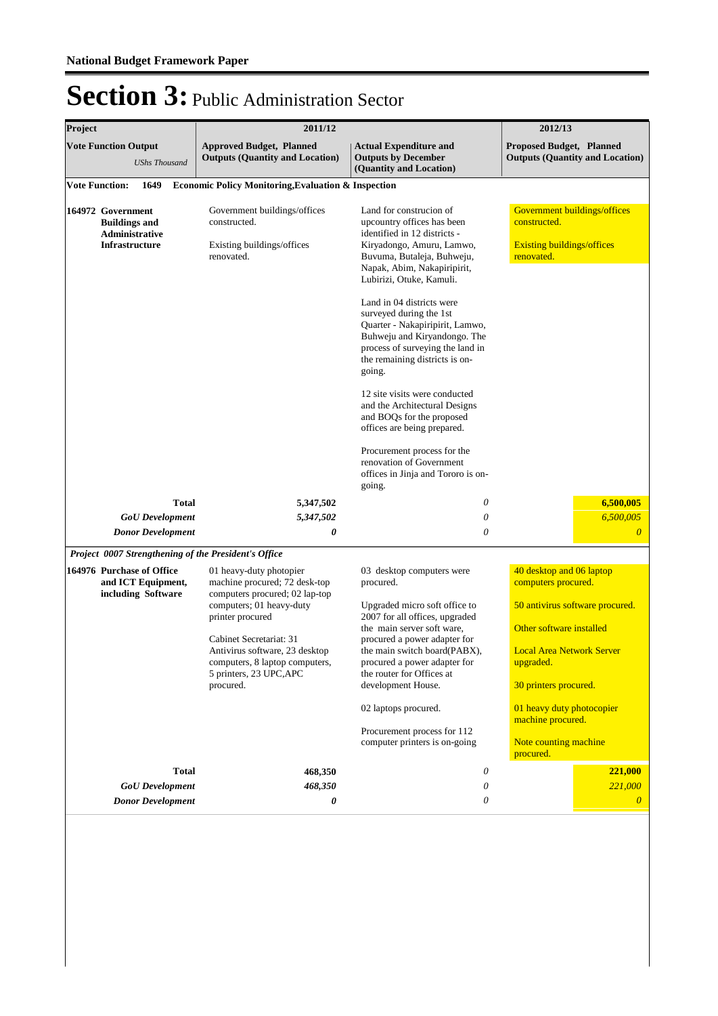| Project |                                                                                      | 2011/12                                                                                     |                                                                                                                                                                                                             | 2012/13                                                                                         |                                                                           |
|---------|--------------------------------------------------------------------------------------|---------------------------------------------------------------------------------------------|-------------------------------------------------------------------------------------------------------------------------------------------------------------------------------------------------------------|-------------------------------------------------------------------------------------------------|---------------------------------------------------------------------------|
|         | <b>Vote Function Output</b><br><b>UShs Thousand</b>                                  | <b>Approved Budget, Planned</b><br><b>Outputs (Quantity and Location)</b>                   | <b>Actual Expenditure and</b><br><b>Outputs by December</b><br>(Quantity and Location)                                                                                                                      |                                                                                                 | <b>Proposed Budget, Planned</b><br><b>Outputs (Quantity and Location)</b> |
|         | <b>Vote Function:</b><br>1649                                                        | <b>Economic Policy Monitoring, Evaluation &amp; Inspection</b>                              |                                                                                                                                                                                                             |                                                                                                 |                                                                           |
|         | 164972 Government<br><b>Buildings and</b><br>Administrative<br><b>Infrastructure</b> | Government buildings/offices<br>constructed.<br>Existing buildings/offices<br>renovated.    | Land for construcion of<br>upcountry offices has been<br>identified in 12 districts -<br>Kiryadongo, Amuru, Lamwo,<br>Buvuma, Butaleja, Buhweju,<br>Napak, Abim, Nakapiripirit,<br>Lubirizi, Otuke, Kamuli. | Government buildings/offices<br>constructed.<br><b>Existing buildings/offices</b><br>renovated. |                                                                           |
|         |                                                                                      |                                                                                             | Land in 04 districts were<br>surveyed during the 1st<br>Quarter - Nakapiripirit, Lamwo,<br>Buhweju and Kiryandongo. The<br>process of surveying the land in<br>the remaining districts is on-<br>going.     |                                                                                                 |                                                                           |
|         |                                                                                      |                                                                                             | 12 site visits were conducted<br>and the Architectural Designs<br>and BOQs for the proposed<br>offices are being prepared.                                                                                  |                                                                                                 |                                                                           |
|         |                                                                                      |                                                                                             | Procurement process for the<br>renovation of Government<br>offices in Jinja and Tororo is on-<br>going.                                                                                                     |                                                                                                 |                                                                           |
|         | <b>Total</b>                                                                         | 5,347,502                                                                                   | 0                                                                                                                                                                                                           |                                                                                                 | 6,500,005                                                                 |
|         | <b>GoU</b> Development                                                               | 5,347,502                                                                                   | 0                                                                                                                                                                                                           |                                                                                                 | 6,500,005                                                                 |
|         | Donor Development                                                                    | 0                                                                                           | 0                                                                                                                                                                                                           |                                                                                                 | $\boldsymbol{\theta}$                                                     |
|         | Project 0007 Strengthening of the President's Office                                 |                                                                                             |                                                                                                                                                                                                             |                                                                                                 |                                                                           |
|         | 164976 Purchase of Office<br>and ICT Equipment,<br>including Software                | 01 heavy-duty photopier<br>machine procured; 72 desk-top<br>computers procured; 02 lap-top  | 03 desktop computers were<br>procured.                                                                                                                                                                      | 40 desktop and 06 laptop<br>computers procured.                                                 |                                                                           |
|         |                                                                                      | computers; 01 heavy-duty<br>printer procured                                                | Upgraded micro soft office to<br>2007 for all offices, upgraded                                                                                                                                             |                                                                                                 | 50 antivirus software procured.                                           |
|         |                                                                                      |                                                                                             | the main server soft ware,                                                                                                                                                                                  | Other software installed                                                                        |                                                                           |
|         |                                                                                      | Cabinet Secretariat: 31<br>Antivirus software, 23 desktop<br>computers, 8 laptop computers, | procured a power adapter for<br>the main switch board(PABX),<br>procured a power adapter for                                                                                                                | <b>Local Area Network Server</b><br>upgraded.                                                   |                                                                           |
|         |                                                                                      | 5 printers, 23 UPC, APC<br>procured.                                                        | the router for Offices at<br>development House.                                                                                                                                                             | 30 printers procured.                                                                           |                                                                           |
|         |                                                                                      |                                                                                             | 02 laptops procured.                                                                                                                                                                                        | 01 heavy duty photocopier<br>machine procured.                                                  |                                                                           |
|         |                                                                                      |                                                                                             | Procurement process for 112<br>computer printers is on-going                                                                                                                                                | Note counting machine<br>procured.                                                              |                                                                           |
|         | <b>Total</b>                                                                         | 468,350                                                                                     | 0                                                                                                                                                                                                           |                                                                                                 | 221,000                                                                   |
|         | <b>GoU</b> Development                                                               | 468,350                                                                                     | 0                                                                                                                                                                                                           |                                                                                                 | 221,000                                                                   |
|         | <b>Donor Development</b>                                                             | 0                                                                                           | 0                                                                                                                                                                                                           |                                                                                                 | $\theta$                                                                  |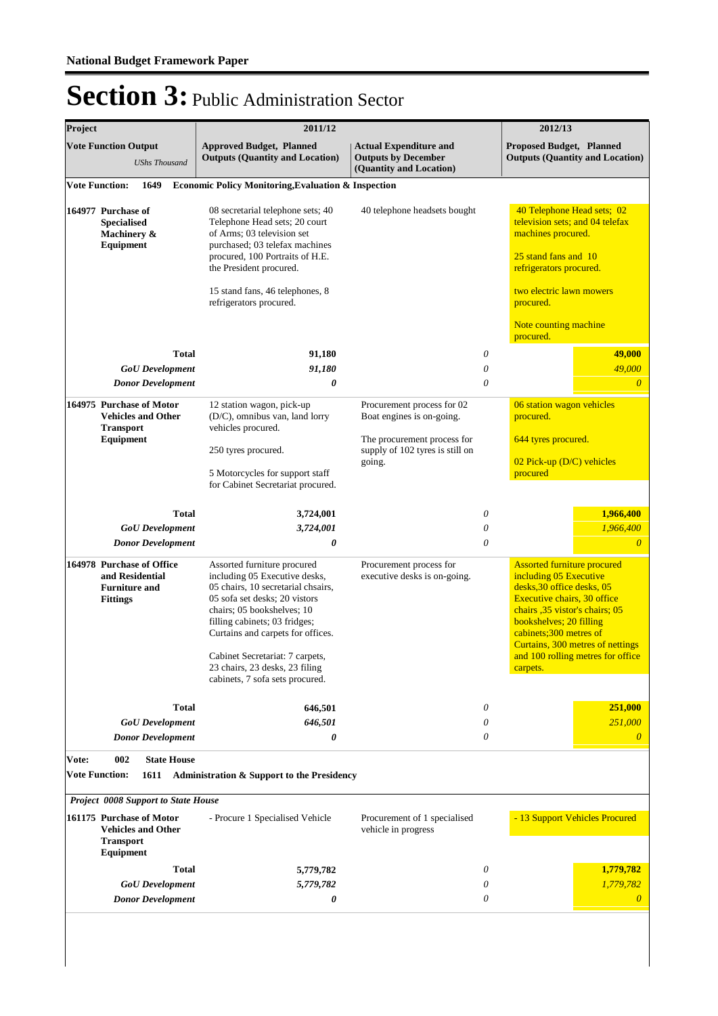| <b>Vote Function Output</b><br><b>Approved Budget, Planned</b><br><b>Actual Expenditure and</b><br><b>Proposed Budget, Planned</b><br><b>Outputs (Quantity and Location)</b><br><b>Outputs by December</b><br><b>Outputs (Quantity and Location)</b><br><b>UShs Thousand</b><br>(Quantity and Location)<br><b>Vote Function:</b><br>1649<br><b>Economic Policy Monitoring, Evaluation &amp; Inspection</b><br>40 Telephone Head sets; 02<br>08 secretarial telephone sets; 40<br>164977 Purchase of<br>40 telephone headsets bought<br>Telephone Head sets; 20 court<br>television sets; and 04 telefax<br><b>Specialised</b><br>of Arms; 03 television set<br>machines procured.<br>Machinery &<br>purchased; 03 telefax machines<br>Equipment<br>25 stand fans and 10<br>procured, 100 Portraits of H.E.<br>refrigerators procured.<br>the President procured.<br>two electric lawn mowers<br>15 stand fans, 46 telephones, 8<br>refrigerators procured.<br>procured.<br>Note counting machine<br>procured.<br><b>Total</b><br>49,000<br>0<br>91,180<br>91,180<br>49,000<br><b>GoU</b> Development<br>0<br>0<br><b>Donor Development</b><br>0<br>$\theta$<br>164975 Purchase of Motor<br>06 station wagon vehicles<br>12 station wagon, pick-up<br>Procurement process for 02<br>(D/C), omnibus van, land lorry<br><b>Vehicles and Other</b><br>Boat engines is on-going.<br>procured.<br>vehicles procured.<br><b>Transport</b><br>Equipment<br>The procurement process for<br>644 tyres procured.<br>supply of 102 tyres is still on<br>250 tyres procured.<br>02 Pick-up (D/C) vehicles<br>going.<br>5 Motorcycles for support staff<br>procured<br>for Cabinet Secretariat procured.<br>1,966,400<br><b>Total</b><br>0<br>3,724,001<br>1,966,400<br>3,724,001<br>0<br><b>GoU</b> Development<br>0<br><b>Donor Development</b><br>0<br>$\theta$<br>164978 Purchase of Office<br>Procurement process for<br><b>Assorted furniture procured</b><br>Assorted furniture procured<br>and Residential<br>including 05 Executive desks,<br>executive desks is on-going.<br>including 05 Executive<br>05 chairs, 10 secretarial chsairs,<br>desks, 30 office desks, 05<br><b>Furniture and</b><br>05 sofa set desks; 20 vistors<br>Executive chairs, 30 office<br><b>Fittings</b><br>chairs; 05 bookshelves; 10<br>chairs, 35 vistor's chairs; 05<br>filling cabinets; 03 fridges;<br>bookshelves; 20 filling<br>cabinets;300 metres of<br>Curtains and carpets for offices.<br>Curtains, 300 metres of nettings<br>and 100 rolling metres for office<br>Cabinet Secretariat: 7 carpets,<br>23 chairs, 23 desks, 23 filing<br>carpets.<br>cabinets, 7 sofa sets procured.<br>Total<br>646,501<br>0<br>251,000<br>251,000<br><b>GoU</b> Development<br>646,501<br>0<br><b>Donor Development</b><br>0<br>0<br>$\theta$<br>Vote:<br>002<br><b>State House</b><br><b>Vote Function:</b><br>Administration & Support to the Presidency<br>1611<br>Project 0008 Support to State House<br>- 13 Support Vehicles Procured<br>161175 Purchase of Motor<br>- Procure 1 Specialised Vehicle<br>Procurement of 1 specialised<br>vehicle in progress<br><b>Vehicles and Other</b><br><b>Transport</b><br>Equipment<br>0<br>1,779,782<br>Total<br>5,779,782<br>5,779,782<br>1,779,782<br><b>GoU</b> Development<br>0<br>0<br><b>Donor Development</b><br>0<br>$\theta$ | Project | 2011/12 |  | 2012/13 |
|--------------------------------------------------------------------------------------------------------------------------------------------------------------------------------------------------------------------------------------------------------------------------------------------------------------------------------------------------------------------------------------------------------------------------------------------------------------------------------------------------------------------------------------------------------------------------------------------------------------------------------------------------------------------------------------------------------------------------------------------------------------------------------------------------------------------------------------------------------------------------------------------------------------------------------------------------------------------------------------------------------------------------------------------------------------------------------------------------------------------------------------------------------------------------------------------------------------------------------------------------------------------------------------------------------------------------------------------------------------------------------------------------------------------------------------------------------------------------------------------------------------------------------------------------------------------------------------------------------------------------------------------------------------------------------------------------------------------------------------------------------------------------------------------------------------------------------------------------------------------------------------------------------------------------------------------------------------------------------------------------------------------------------------------------------------------------------------------------------------------------------------------------------------------------------------------------------------------------------------------------------------------------------------------------------------------------------------------------------------------------------------------------------------------------------------------------------------------------------------------------------------------------------------------------------------------------------------------------------------------------------------------------------------------------------------------------------------------------------------------------------------------------------------------------------------------------------------------------------------------------------------------------------------------------------------------------------------------------------------------------------------------------------------------------------------------------------------------------------------------------------------------------------------------------------------------------------------------------------------------------------------------------------------------------------------------------------------------------------|---------|---------|--|---------|
|                                                                                                                                                                                                                                                                                                                                                                                                                                                                                                                                                                                                                                                                                                                                                                                                                                                                                                                                                                                                                                                                                                                                                                                                                                                                                                                                                                                                                                                                                                                                                                                                                                                                                                                                                                                                                                                                                                                                                                                                                                                                                                                                                                                                                                                                                                                                                                                                                                                                                                                                                                                                                                                                                                                                                                                                                                                                                                                                                                                                                                                                                                                                                                                                                                                                                                                                                        |         |         |  |         |
|                                                                                                                                                                                                                                                                                                                                                                                                                                                                                                                                                                                                                                                                                                                                                                                                                                                                                                                                                                                                                                                                                                                                                                                                                                                                                                                                                                                                                                                                                                                                                                                                                                                                                                                                                                                                                                                                                                                                                                                                                                                                                                                                                                                                                                                                                                                                                                                                                                                                                                                                                                                                                                                                                                                                                                                                                                                                                                                                                                                                                                                                                                                                                                                                                                                                                                                                                        |         |         |  |         |
|                                                                                                                                                                                                                                                                                                                                                                                                                                                                                                                                                                                                                                                                                                                                                                                                                                                                                                                                                                                                                                                                                                                                                                                                                                                                                                                                                                                                                                                                                                                                                                                                                                                                                                                                                                                                                                                                                                                                                                                                                                                                                                                                                                                                                                                                                                                                                                                                                                                                                                                                                                                                                                                                                                                                                                                                                                                                                                                                                                                                                                                                                                                                                                                                                                                                                                                                                        |         |         |  |         |
|                                                                                                                                                                                                                                                                                                                                                                                                                                                                                                                                                                                                                                                                                                                                                                                                                                                                                                                                                                                                                                                                                                                                                                                                                                                                                                                                                                                                                                                                                                                                                                                                                                                                                                                                                                                                                                                                                                                                                                                                                                                                                                                                                                                                                                                                                                                                                                                                                                                                                                                                                                                                                                                                                                                                                                                                                                                                                                                                                                                                                                                                                                                                                                                                                                                                                                                                                        |         |         |  |         |
|                                                                                                                                                                                                                                                                                                                                                                                                                                                                                                                                                                                                                                                                                                                                                                                                                                                                                                                                                                                                                                                                                                                                                                                                                                                                                                                                                                                                                                                                                                                                                                                                                                                                                                                                                                                                                                                                                                                                                                                                                                                                                                                                                                                                                                                                                                                                                                                                                                                                                                                                                                                                                                                                                                                                                                                                                                                                                                                                                                                                                                                                                                                                                                                                                                                                                                                                                        |         |         |  |         |
|                                                                                                                                                                                                                                                                                                                                                                                                                                                                                                                                                                                                                                                                                                                                                                                                                                                                                                                                                                                                                                                                                                                                                                                                                                                                                                                                                                                                                                                                                                                                                                                                                                                                                                                                                                                                                                                                                                                                                                                                                                                                                                                                                                                                                                                                                                                                                                                                                                                                                                                                                                                                                                                                                                                                                                                                                                                                                                                                                                                                                                                                                                                                                                                                                                                                                                                                                        |         |         |  |         |
|                                                                                                                                                                                                                                                                                                                                                                                                                                                                                                                                                                                                                                                                                                                                                                                                                                                                                                                                                                                                                                                                                                                                                                                                                                                                                                                                                                                                                                                                                                                                                                                                                                                                                                                                                                                                                                                                                                                                                                                                                                                                                                                                                                                                                                                                                                                                                                                                                                                                                                                                                                                                                                                                                                                                                                                                                                                                                                                                                                                                                                                                                                                                                                                                                                                                                                                                                        |         |         |  |         |
|                                                                                                                                                                                                                                                                                                                                                                                                                                                                                                                                                                                                                                                                                                                                                                                                                                                                                                                                                                                                                                                                                                                                                                                                                                                                                                                                                                                                                                                                                                                                                                                                                                                                                                                                                                                                                                                                                                                                                                                                                                                                                                                                                                                                                                                                                                                                                                                                                                                                                                                                                                                                                                                                                                                                                                                                                                                                                                                                                                                                                                                                                                                                                                                                                                                                                                                                                        |         |         |  |         |
|                                                                                                                                                                                                                                                                                                                                                                                                                                                                                                                                                                                                                                                                                                                                                                                                                                                                                                                                                                                                                                                                                                                                                                                                                                                                                                                                                                                                                                                                                                                                                                                                                                                                                                                                                                                                                                                                                                                                                                                                                                                                                                                                                                                                                                                                                                                                                                                                                                                                                                                                                                                                                                                                                                                                                                                                                                                                                                                                                                                                                                                                                                                                                                                                                                                                                                                                                        |         |         |  |         |
|                                                                                                                                                                                                                                                                                                                                                                                                                                                                                                                                                                                                                                                                                                                                                                                                                                                                                                                                                                                                                                                                                                                                                                                                                                                                                                                                                                                                                                                                                                                                                                                                                                                                                                                                                                                                                                                                                                                                                                                                                                                                                                                                                                                                                                                                                                                                                                                                                                                                                                                                                                                                                                                                                                                                                                                                                                                                                                                                                                                                                                                                                                                                                                                                                                                                                                                                                        |         |         |  |         |
|                                                                                                                                                                                                                                                                                                                                                                                                                                                                                                                                                                                                                                                                                                                                                                                                                                                                                                                                                                                                                                                                                                                                                                                                                                                                                                                                                                                                                                                                                                                                                                                                                                                                                                                                                                                                                                                                                                                                                                                                                                                                                                                                                                                                                                                                                                                                                                                                                                                                                                                                                                                                                                                                                                                                                                                                                                                                                                                                                                                                                                                                                                                                                                                                                                                                                                                                                        |         |         |  |         |
|                                                                                                                                                                                                                                                                                                                                                                                                                                                                                                                                                                                                                                                                                                                                                                                                                                                                                                                                                                                                                                                                                                                                                                                                                                                                                                                                                                                                                                                                                                                                                                                                                                                                                                                                                                                                                                                                                                                                                                                                                                                                                                                                                                                                                                                                                                                                                                                                                                                                                                                                                                                                                                                                                                                                                                                                                                                                                                                                                                                                                                                                                                                                                                                                                                                                                                                                                        |         |         |  |         |
|                                                                                                                                                                                                                                                                                                                                                                                                                                                                                                                                                                                                                                                                                                                                                                                                                                                                                                                                                                                                                                                                                                                                                                                                                                                                                                                                                                                                                                                                                                                                                                                                                                                                                                                                                                                                                                                                                                                                                                                                                                                                                                                                                                                                                                                                                                                                                                                                                                                                                                                                                                                                                                                                                                                                                                                                                                                                                                                                                                                                                                                                                                                                                                                                                                                                                                                                                        |         |         |  |         |
|                                                                                                                                                                                                                                                                                                                                                                                                                                                                                                                                                                                                                                                                                                                                                                                                                                                                                                                                                                                                                                                                                                                                                                                                                                                                                                                                                                                                                                                                                                                                                                                                                                                                                                                                                                                                                                                                                                                                                                                                                                                                                                                                                                                                                                                                                                                                                                                                                                                                                                                                                                                                                                                                                                                                                                                                                                                                                                                                                                                                                                                                                                                                                                                                                                                                                                                                                        |         |         |  |         |
|                                                                                                                                                                                                                                                                                                                                                                                                                                                                                                                                                                                                                                                                                                                                                                                                                                                                                                                                                                                                                                                                                                                                                                                                                                                                                                                                                                                                                                                                                                                                                                                                                                                                                                                                                                                                                                                                                                                                                                                                                                                                                                                                                                                                                                                                                                                                                                                                                                                                                                                                                                                                                                                                                                                                                                                                                                                                                                                                                                                                                                                                                                                                                                                                                                                                                                                                                        |         |         |  |         |
|                                                                                                                                                                                                                                                                                                                                                                                                                                                                                                                                                                                                                                                                                                                                                                                                                                                                                                                                                                                                                                                                                                                                                                                                                                                                                                                                                                                                                                                                                                                                                                                                                                                                                                                                                                                                                                                                                                                                                                                                                                                                                                                                                                                                                                                                                                                                                                                                                                                                                                                                                                                                                                                                                                                                                                                                                                                                                                                                                                                                                                                                                                                                                                                                                                                                                                                                                        |         |         |  |         |
|                                                                                                                                                                                                                                                                                                                                                                                                                                                                                                                                                                                                                                                                                                                                                                                                                                                                                                                                                                                                                                                                                                                                                                                                                                                                                                                                                                                                                                                                                                                                                                                                                                                                                                                                                                                                                                                                                                                                                                                                                                                                                                                                                                                                                                                                                                                                                                                                                                                                                                                                                                                                                                                                                                                                                                                                                                                                                                                                                                                                                                                                                                                                                                                                                                                                                                                                                        |         |         |  |         |
|                                                                                                                                                                                                                                                                                                                                                                                                                                                                                                                                                                                                                                                                                                                                                                                                                                                                                                                                                                                                                                                                                                                                                                                                                                                                                                                                                                                                                                                                                                                                                                                                                                                                                                                                                                                                                                                                                                                                                                                                                                                                                                                                                                                                                                                                                                                                                                                                                                                                                                                                                                                                                                                                                                                                                                                                                                                                                                                                                                                                                                                                                                                                                                                                                                                                                                                                                        |         |         |  |         |
|                                                                                                                                                                                                                                                                                                                                                                                                                                                                                                                                                                                                                                                                                                                                                                                                                                                                                                                                                                                                                                                                                                                                                                                                                                                                                                                                                                                                                                                                                                                                                                                                                                                                                                                                                                                                                                                                                                                                                                                                                                                                                                                                                                                                                                                                                                                                                                                                                                                                                                                                                                                                                                                                                                                                                                                                                                                                                                                                                                                                                                                                                                                                                                                                                                                                                                                                                        |         |         |  |         |
|                                                                                                                                                                                                                                                                                                                                                                                                                                                                                                                                                                                                                                                                                                                                                                                                                                                                                                                                                                                                                                                                                                                                                                                                                                                                                                                                                                                                                                                                                                                                                                                                                                                                                                                                                                                                                                                                                                                                                                                                                                                                                                                                                                                                                                                                                                                                                                                                                                                                                                                                                                                                                                                                                                                                                                                                                                                                                                                                                                                                                                                                                                                                                                                                                                                                                                                                                        |         |         |  |         |
|                                                                                                                                                                                                                                                                                                                                                                                                                                                                                                                                                                                                                                                                                                                                                                                                                                                                                                                                                                                                                                                                                                                                                                                                                                                                                                                                                                                                                                                                                                                                                                                                                                                                                                                                                                                                                                                                                                                                                                                                                                                                                                                                                                                                                                                                                                                                                                                                                                                                                                                                                                                                                                                                                                                                                                                                                                                                                                                                                                                                                                                                                                                                                                                                                                                                                                                                                        |         |         |  |         |
|                                                                                                                                                                                                                                                                                                                                                                                                                                                                                                                                                                                                                                                                                                                                                                                                                                                                                                                                                                                                                                                                                                                                                                                                                                                                                                                                                                                                                                                                                                                                                                                                                                                                                                                                                                                                                                                                                                                                                                                                                                                                                                                                                                                                                                                                                                                                                                                                                                                                                                                                                                                                                                                                                                                                                                                                                                                                                                                                                                                                                                                                                                                                                                                                                                                                                                                                                        |         |         |  |         |
|                                                                                                                                                                                                                                                                                                                                                                                                                                                                                                                                                                                                                                                                                                                                                                                                                                                                                                                                                                                                                                                                                                                                                                                                                                                                                                                                                                                                                                                                                                                                                                                                                                                                                                                                                                                                                                                                                                                                                                                                                                                                                                                                                                                                                                                                                                                                                                                                                                                                                                                                                                                                                                                                                                                                                                                                                                                                                                                                                                                                                                                                                                                                                                                                                                                                                                                                                        |         |         |  |         |
|                                                                                                                                                                                                                                                                                                                                                                                                                                                                                                                                                                                                                                                                                                                                                                                                                                                                                                                                                                                                                                                                                                                                                                                                                                                                                                                                                                                                                                                                                                                                                                                                                                                                                                                                                                                                                                                                                                                                                                                                                                                                                                                                                                                                                                                                                                                                                                                                                                                                                                                                                                                                                                                                                                                                                                                                                                                                                                                                                                                                                                                                                                                                                                                                                                                                                                                                                        |         |         |  |         |
|                                                                                                                                                                                                                                                                                                                                                                                                                                                                                                                                                                                                                                                                                                                                                                                                                                                                                                                                                                                                                                                                                                                                                                                                                                                                                                                                                                                                                                                                                                                                                                                                                                                                                                                                                                                                                                                                                                                                                                                                                                                                                                                                                                                                                                                                                                                                                                                                                                                                                                                                                                                                                                                                                                                                                                                                                                                                                                                                                                                                                                                                                                                                                                                                                                                                                                                                                        |         |         |  |         |
|                                                                                                                                                                                                                                                                                                                                                                                                                                                                                                                                                                                                                                                                                                                                                                                                                                                                                                                                                                                                                                                                                                                                                                                                                                                                                                                                                                                                                                                                                                                                                                                                                                                                                                                                                                                                                                                                                                                                                                                                                                                                                                                                                                                                                                                                                                                                                                                                                                                                                                                                                                                                                                                                                                                                                                                                                                                                                                                                                                                                                                                                                                                                                                                                                                                                                                                                                        |         |         |  |         |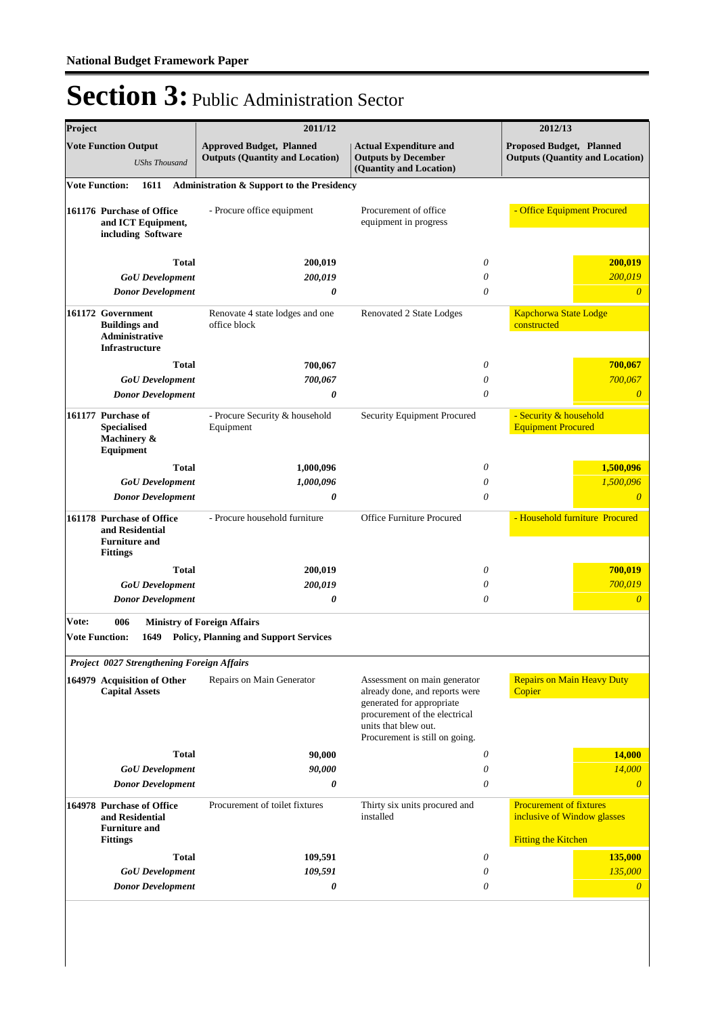| Project                        |                                                                                         | 2011/12                                                                            |                                                                                                                                                                                        | 2012/13                                                                                     |
|--------------------------------|-----------------------------------------------------------------------------------------|------------------------------------------------------------------------------------|----------------------------------------------------------------------------------------------------------------------------------------------------------------------------------------|---------------------------------------------------------------------------------------------|
|                                | <b>Vote Function Output</b><br><b>UShs Thousand</b>                                     | <b>Approved Budget, Planned</b><br><b>Outputs (Quantity and Location)</b>          | <b>Actual Expenditure and</b><br><b>Outputs by December</b><br>(Quantity and Location)                                                                                                 | <b>Proposed Budget, Planned</b><br><b>Outputs (Quantity and Location)</b>                   |
| <b>Vote Function:</b>          | 1611                                                                                    | Administration & Support to the Presidency                                         |                                                                                                                                                                                        |                                                                                             |
|                                | 161176 Purchase of Office<br>and ICT Equipment,<br>including Software                   | - Procure office equipment                                                         | Procurement of office<br>equipment in progress                                                                                                                                         | - Office Equipment Procured                                                                 |
|                                | <b>Total</b>                                                                            | 200,019                                                                            | 0                                                                                                                                                                                      | 200,019                                                                                     |
|                                | <b>GoU</b> Development                                                                  | 200,019                                                                            | 0                                                                                                                                                                                      | 200,019                                                                                     |
|                                | <b>Donor Development</b>                                                                | 0                                                                                  | $\theta$                                                                                                                                                                               | $\overline{0}$                                                                              |
|                                | 161172 Government<br><b>Buildings and</b><br>Administrative<br><b>Infrastructure</b>    | Renovate 4 state lodges and one<br>office block                                    | Renovated 2 State Lodges                                                                                                                                                               | <b>Kapchorwa State Lodge</b><br>constructed                                                 |
|                                | <b>Total</b>                                                                            | 700,067                                                                            | 0                                                                                                                                                                                      | 700,067                                                                                     |
|                                | <b>GoU</b> Development                                                                  | 700,067                                                                            | 0                                                                                                                                                                                      | 700,067                                                                                     |
|                                | <b>Donor Development</b>                                                                | 0                                                                                  | 0                                                                                                                                                                                      | $\overline{0}$                                                                              |
|                                | 161177 Purchase of<br><b>Specialised</b><br>Machinery &<br>Equipment                    | - Procure Security & household<br>Equipment                                        | Security Equipment Procured                                                                                                                                                            | - Security & household<br><b>Equipment Procured</b>                                         |
|                                | <b>Total</b>                                                                            | 1,000,096                                                                          | 0                                                                                                                                                                                      | 1,500,096                                                                                   |
|                                | <b>GoU</b> Development                                                                  | 1,000,096                                                                          | 0                                                                                                                                                                                      | 1,500,096                                                                                   |
|                                | <b>Donor Development</b>                                                                | 0                                                                                  | 0                                                                                                                                                                                      | $\theta$                                                                                    |
|                                | 161178 Purchase of Office<br>and Residential<br><b>Furniture and</b><br><b>Fittings</b> | - Procure household furniture                                                      | Office Furniture Procured                                                                                                                                                              | - Household furniture Procured                                                              |
|                                | <b>Total</b>                                                                            | 200,019                                                                            | 0                                                                                                                                                                                      | 700,019                                                                                     |
|                                | <b>GoU</b> Development                                                                  | 200,019                                                                            | $\theta$                                                                                                                                                                               | 700,019                                                                                     |
|                                | <b>Donor Development</b>                                                                | 0                                                                                  | $\theta$                                                                                                                                                                               | $\boldsymbol{0}$                                                                            |
| Vote:<br><b>Vote Function:</b> | 006<br>1649                                                                             | <b>Ministry of Foreign Affairs</b><br><b>Policy, Planning and Support Services</b> |                                                                                                                                                                                        |                                                                                             |
|                                | Project 0027 Strengthening Foreign Affairs                                              |                                                                                    |                                                                                                                                                                                        |                                                                                             |
|                                | 164979 Acquisition of Other<br><b>Capital Assets</b>                                    | Repairs on Main Generator                                                          | Assessment on main generator<br>already done, and reports were<br>generated for appropriate<br>procurement of the electrical<br>units that blew out.<br>Procurement is still on going. | <b>Repairs on Main Heavy Duty</b><br>Copier                                                 |
|                                | <b>Total</b>                                                                            | 90,000                                                                             | 0                                                                                                                                                                                      | 14,000                                                                                      |
|                                | <b>GoU</b> Development                                                                  | 90,000                                                                             | $\theta$                                                                                                                                                                               | 14,000                                                                                      |
|                                | <b>Donor Development</b>                                                                | 0                                                                                  | $\theta$                                                                                                                                                                               | $\theta$                                                                                    |
|                                | 164978 Purchase of Office<br>and Residential<br><b>Furniture and</b><br><b>Fittings</b> | Procurement of toilet fixtures                                                     | Thirty six units procured and<br>installed                                                                                                                                             | <b>Procurement of fixtures</b><br>inclusive of Window glasses<br><b>Fitting the Kitchen</b> |
|                                | <b>Total</b>                                                                            | 109,591                                                                            | 0                                                                                                                                                                                      | 135,000                                                                                     |
|                                | <b>GoU</b> Development                                                                  | 109,591                                                                            | 0                                                                                                                                                                                      | 135,000                                                                                     |
|                                | <b>Donor Development</b>                                                                | 0                                                                                  | 0                                                                                                                                                                                      | $\boldsymbol{\theta}$                                                                       |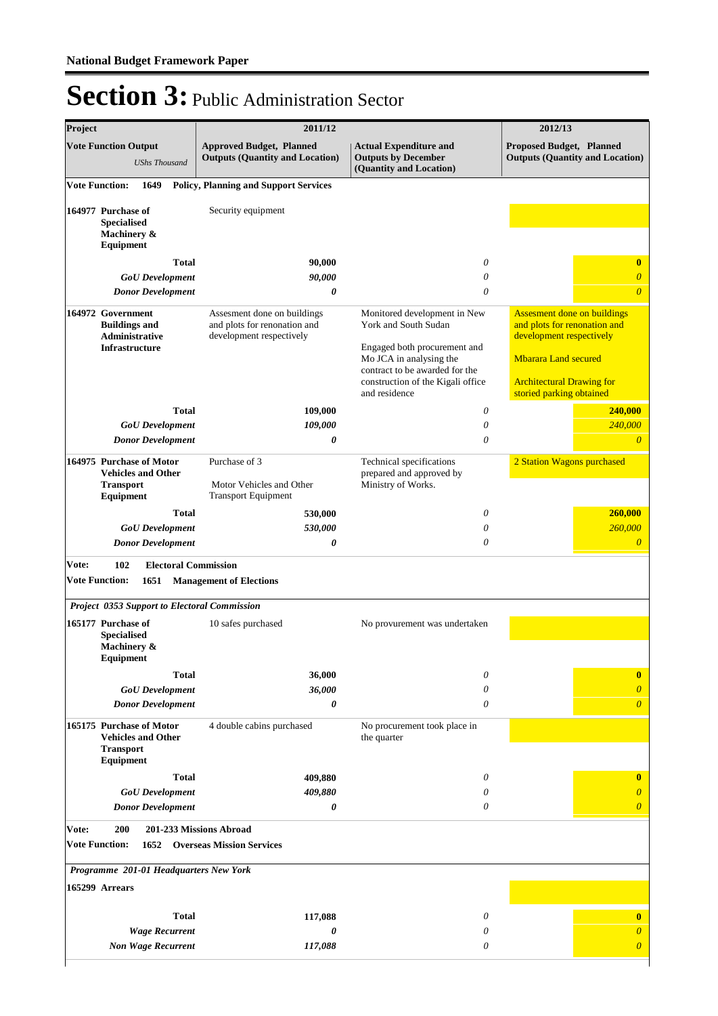| Project |                                                                                                                                           | 2011/12                                                                                 | 2012/13                                                                                                                                                                                                 |                                                                                                                                                                                               |  |
|---------|-------------------------------------------------------------------------------------------------------------------------------------------|-----------------------------------------------------------------------------------------|---------------------------------------------------------------------------------------------------------------------------------------------------------------------------------------------------------|-----------------------------------------------------------------------------------------------------------------------------------------------------------------------------------------------|--|
|         | <b>Vote Function Output</b><br><b>UShs Thousand</b>                                                                                       | <b>Approved Budget, Planned</b><br><b>Outputs (Quantity and Location)</b>               | <b>Actual Expenditure and</b><br><b>Outputs by December</b><br>(Quantity and Location)                                                                                                                  | <b>Proposed Budget, Planned</b><br><b>Outputs (Quantity and Location)</b>                                                                                                                     |  |
|         | <b>Vote Function:</b><br>1649                                                                                                             | <b>Policy, Planning and Support Services</b>                                            |                                                                                                                                                                                                         |                                                                                                                                                                                               |  |
|         | 164977 Purchase of<br><b>Specialised</b><br>Machinery &<br>Equipment                                                                      | Security equipment                                                                      |                                                                                                                                                                                                         |                                                                                                                                                                                               |  |
|         | <b>Total</b>                                                                                                                              | 90,000                                                                                  | 0                                                                                                                                                                                                       | $\bf{0}$                                                                                                                                                                                      |  |
|         | <b>GoU</b> Development<br><b>Donor Development</b>                                                                                        | 90,000<br>0                                                                             | $\theta$<br>$\theta$                                                                                                                                                                                    | $\overline{\theta}$<br>$\overline{\theta}$                                                                                                                                                    |  |
|         | 164972 Government<br><b>Buildings and</b><br>Administrative<br><b>Infrastructure</b>                                                      | Assesment done on buildings<br>and plots for renonation and<br>development respectively | Monitored development in New<br>York and South Sudan<br>Engaged both procurement and<br>Mo JCA in analysing the<br>contract to be awarded for the<br>construction of the Kigali office<br>and residence | <b>Assesment done on buildings</b><br>and plots for renonation and<br>development respectively<br><b>Mbarara Land secured</b><br><b>Architectural Drawing for</b><br>storied parking obtained |  |
|         | <b>Total</b>                                                                                                                              | 109,000                                                                                 | $\boldsymbol{\theta}$                                                                                                                                                                                   | 240,000                                                                                                                                                                                       |  |
|         | <b>GoU</b> Development                                                                                                                    | 109,000                                                                                 | $\theta$                                                                                                                                                                                                | 240,000                                                                                                                                                                                       |  |
|         | <b>Donor Development</b>                                                                                                                  | 0                                                                                       | $\theta$                                                                                                                                                                                                | 0                                                                                                                                                                                             |  |
|         | 164975 Purchase of Motor<br><b>Vehicles and Other</b><br><b>Transport</b><br>Equipment                                                    | Purchase of 3<br>Motor Vehicles and Other<br><b>Transport Equipment</b>                 | Technical specifications<br>prepared and approved by<br>Ministry of Works.                                                                                                                              | 2 Station Wagons purchased                                                                                                                                                                    |  |
|         | <b>Total</b>                                                                                                                              | 530,000                                                                                 | $\theta$                                                                                                                                                                                                | 260,000                                                                                                                                                                                       |  |
|         | <b>GoU</b> Development                                                                                                                    | 530,000                                                                                 | $\theta$                                                                                                                                                                                                | 260,000                                                                                                                                                                                       |  |
|         | <b>Donor Development</b>                                                                                                                  | 0                                                                                       | $\theta$                                                                                                                                                                                                | $\overline{\theta}$                                                                                                                                                                           |  |
| Vote:   | 102<br><b>Electoral Commission</b><br><b>Vote Function:</b><br>1651<br>Project 0353 Support to Electoral Commission<br>165177 Purchase of | <b>Management of Elections</b><br>10 safes purchased                                    | No provurement was undertaken                                                                                                                                                                           |                                                                                                                                                                                               |  |
|         | <b>Specialised</b><br>Machinery &<br>Equipment                                                                                            |                                                                                         |                                                                                                                                                                                                         |                                                                                                                                                                                               |  |
|         | <b>Total</b>                                                                                                                              | 36,000                                                                                  | 0                                                                                                                                                                                                       | $\bf{0}$                                                                                                                                                                                      |  |
|         | <b>GoU</b> Development                                                                                                                    | 36,000                                                                                  | 0                                                                                                                                                                                                       | $\overline{0}$                                                                                                                                                                                |  |
|         | <b>Donor Development</b><br>165175 Purchase of Motor<br><b>Vehicles and Other</b><br><b>Transport</b><br>Equipment                        | 0<br>4 double cabins purchased                                                          | $\theta$<br>No procurement took place in<br>the quarter                                                                                                                                                 | $\overline{0}$                                                                                                                                                                                |  |
|         | <b>Total</b>                                                                                                                              | 409,880                                                                                 | 0                                                                                                                                                                                                       | $\bf{0}$                                                                                                                                                                                      |  |
|         | <b>GoU</b> Development                                                                                                                    | 409,880                                                                                 | 0                                                                                                                                                                                                       | $\theta$                                                                                                                                                                                      |  |
|         | <b>Donor Development</b>                                                                                                                  | 0                                                                                       | 0                                                                                                                                                                                                       | $\overline{\theta}$                                                                                                                                                                           |  |
| Vote:   | 200<br><b>Vote Function:</b><br>1652                                                                                                      | 201-233 Missions Abroad<br><b>Overseas Mission Services</b>                             |                                                                                                                                                                                                         |                                                                                                                                                                                               |  |
|         | Programme 201-01 Headquarters New York<br>165299 Arrears                                                                                  |                                                                                         |                                                                                                                                                                                                         |                                                                                                                                                                                               |  |
|         | <b>Total</b>                                                                                                                              | 117,088                                                                                 | 0                                                                                                                                                                                                       | $\bf{0}$                                                                                                                                                                                      |  |
|         | <b>Wage Recurrent</b>                                                                                                                     | 0                                                                                       | 0                                                                                                                                                                                                       | $\overline{0}$                                                                                                                                                                                |  |
|         | <b>Non Wage Recurrent</b>                                                                                                                 | 117,088                                                                                 | $\theta$                                                                                                                                                                                                | $\overline{0}$                                                                                                                                                                                |  |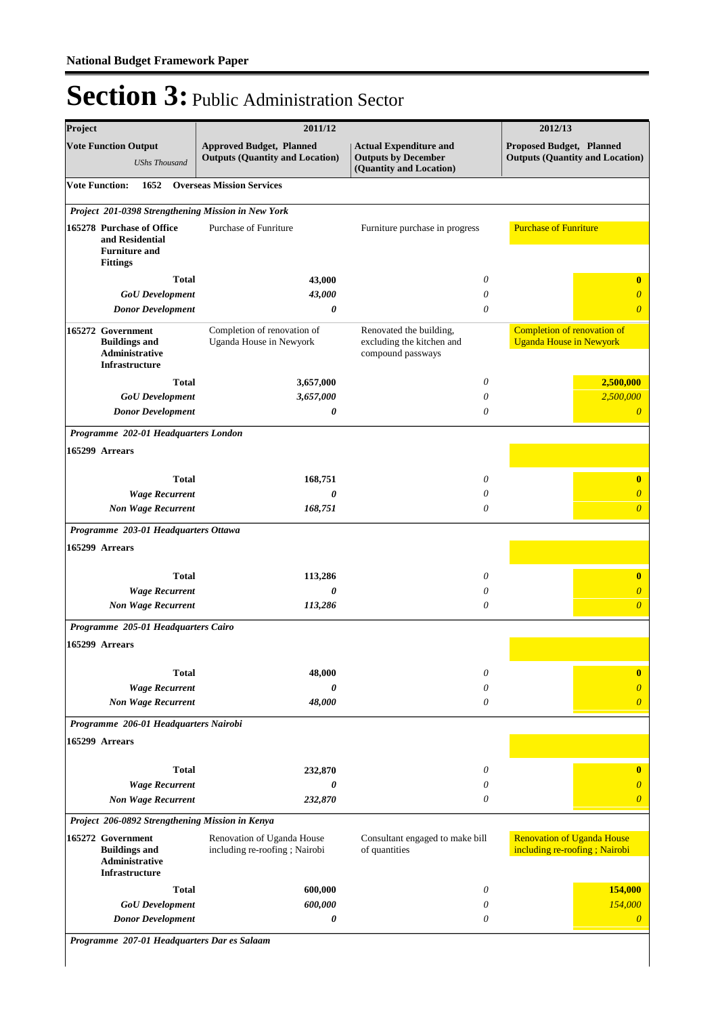| Project                                                                                 | 2011/12                                                                   |                                                                                        | 2012/13                                                            |
|-----------------------------------------------------------------------------------------|---------------------------------------------------------------------------|----------------------------------------------------------------------------------------|--------------------------------------------------------------------|
| <b>Vote Function Output</b><br><b>UShs Thousand</b>                                     | <b>Approved Budget, Planned</b><br><b>Outputs (Quantity and Location)</b> | <b>Actual Expenditure and</b><br><b>Outputs by December</b><br>(Quantity and Location) | Proposed Budget, Planned<br><b>Outputs (Quantity and Location)</b> |
| <b>Vote Function:</b><br>1652                                                           | <b>Overseas Mission Services</b>                                          |                                                                                        |                                                                    |
| Project 201-0398 Strengthening Mission in New York                                      |                                                                           |                                                                                        |                                                                    |
| 165278 Purchase of Office<br>and Residential<br><b>Furniture and</b><br><b>Fittings</b> | Purchase of Funriture                                                     | Furniture purchase in progress                                                         | <b>Purchase of Funriture</b>                                       |
| <b>Total</b>                                                                            | 43,000                                                                    | 0                                                                                      | $\bf{0}$                                                           |
| <b>GoU</b> Development                                                                  | 43,000                                                                    | 0                                                                                      | 0                                                                  |
| <b>Donor Development</b>                                                                | 0                                                                         | 0                                                                                      | $\overline{\theta}$                                                |
| 165272 Government<br><b>Buildings and</b><br>Administrative<br><b>Infrastructure</b>    | Completion of renovation of<br>Uganda House in Newyork                    | Renovated the building,<br>excluding the kitchen and<br>compound passways              | Completion of renovation of<br><b>Uganda House in Newyork</b>      |
| <b>Total</b>                                                                            | 3,657,000                                                                 | 0                                                                                      | 2,500,000                                                          |
| <b>GoU</b> Development                                                                  | 3,657,000                                                                 | 0                                                                                      | 2,500,000                                                          |
| <b>Donor Development</b>                                                                | 0                                                                         | 0                                                                                      | $\theta$                                                           |
| Programme 202-01 Headquarters London                                                    |                                                                           |                                                                                        |                                                                    |
| 165299 Arrears                                                                          |                                                                           |                                                                                        |                                                                    |
| <b>Total</b>                                                                            | 168,751                                                                   | 0                                                                                      | $\bf{0}$                                                           |
| <b>Wage Recurrent</b>                                                                   | 0                                                                         | 0                                                                                      | $\overline{\theta}$                                                |
| <b>Non Wage Recurrent</b>                                                               | 168,751                                                                   | 0                                                                                      | $\overline{\theta}$                                                |
| Programme 203-01 Headquarters Ottawa                                                    |                                                                           |                                                                                        |                                                                    |
| 165299 Arrears                                                                          |                                                                           |                                                                                        |                                                                    |
| <b>Total</b>                                                                            | 113,286                                                                   | 0                                                                                      | $\bf{0}$                                                           |
| <b>Wage Recurrent</b>                                                                   | 0                                                                         | 0                                                                                      | $\theta$                                                           |
| <b>Non Wage Recurrent</b>                                                               | 113,286                                                                   | 0                                                                                      | $\overline{\theta}$                                                |
| Programme 205-01 Headquarters Cairo                                                     |                                                                           |                                                                                        |                                                                    |
| 165299 Arrears                                                                          |                                                                           |                                                                                        |                                                                    |
| <b>Total</b>                                                                            | 48,000                                                                    | 0                                                                                      | $\bf{0}$                                                           |
| <b>Wage Recurrent</b>                                                                   | 0                                                                         | 0                                                                                      | $\overline{\theta}$                                                |
| <b>Non Wage Recurrent</b>                                                               | 48,000                                                                    | 0                                                                                      | $\overline{\theta}$                                                |
| Programme 206-01 Headquarters Nairobi                                                   |                                                                           |                                                                                        |                                                                    |
| 165299 Arrears                                                                          |                                                                           |                                                                                        |                                                                    |
| <b>Total</b>                                                                            | 232,870                                                                   | 0                                                                                      | $\bf{0}$                                                           |
| <b>Wage Recurrent</b>                                                                   | 0                                                                         | 0                                                                                      | $\theta$                                                           |
| <b>Non Wage Recurrent</b>                                                               | 232,870                                                                   | 0                                                                                      | $\theta$                                                           |
| Project 206-0892 Strengthening Mission in Kenya                                         |                                                                           |                                                                                        |                                                                    |
| 165272 Government<br><b>Buildings and</b><br>Administrative<br><b>Infrastructure</b>    | Renovation of Uganda House<br>including re-roofing; Nairobi               | Consultant engaged to make bill<br>of quantities                                       | <b>Renovation of Uganda House</b><br>including re-roofing; Nairobi |
| <b>Total</b>                                                                            | 600,000                                                                   | 0                                                                                      | 154,000                                                            |
| <b>GoU</b> Development                                                                  | 600,000                                                                   | 0                                                                                      | 154,000                                                            |
| <b>Donor Development</b>                                                                | 0                                                                         | 0                                                                                      | $\boldsymbol{\theta}$                                              |

*Programme 207-01 Headquarters Dar es Salaam*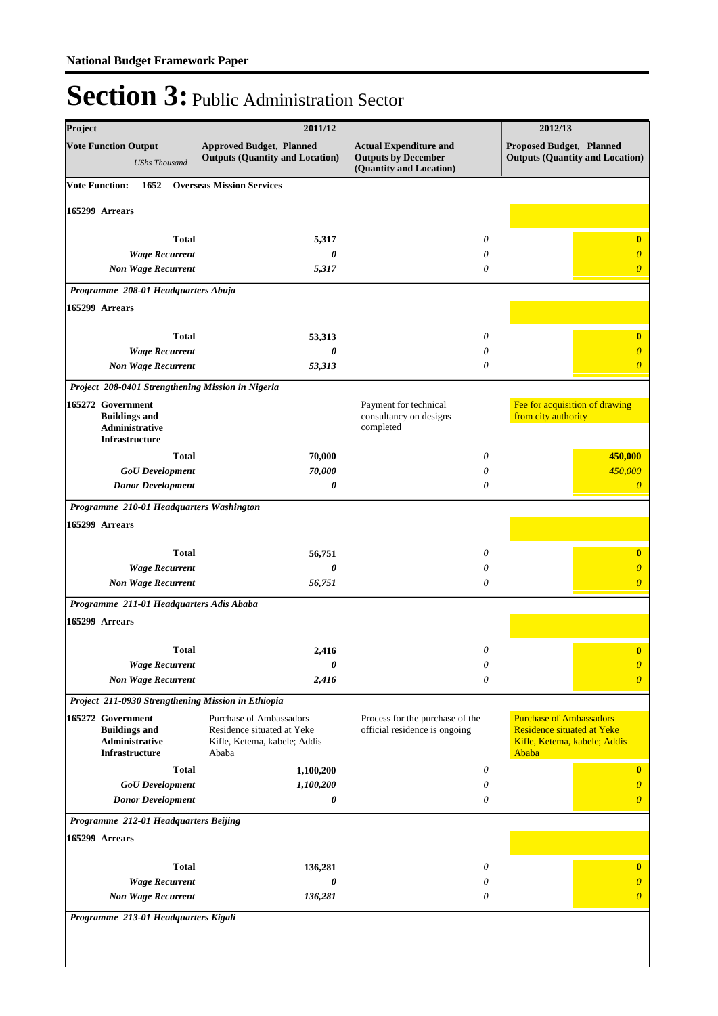| Project                                                                              | 2011/12                                                                                               |                                                                                        | 2012/13                                                                                                      |
|--------------------------------------------------------------------------------------|-------------------------------------------------------------------------------------------------------|----------------------------------------------------------------------------------------|--------------------------------------------------------------------------------------------------------------|
| <b>Vote Function Output</b><br><b>UShs Thousand</b>                                  | <b>Approved Budget, Planned</b><br><b>Outputs (Quantity and Location)</b>                             | <b>Actual Expenditure and</b><br><b>Outputs by December</b><br>(Quantity and Location) | <b>Proposed Budget, Planned</b><br><b>Outputs (Quantity and Location)</b>                                    |
| <b>Vote Function:</b><br>1652                                                        | <b>Overseas Mission Services</b>                                                                      |                                                                                        |                                                                                                              |
| 165299 Arrears                                                                       |                                                                                                       |                                                                                        |                                                                                                              |
| <b>Total</b>                                                                         | 5,317                                                                                                 | 0                                                                                      | $\bf{0}$                                                                                                     |
| <b>Wage Recurrent</b>                                                                | 0                                                                                                     | 0                                                                                      | 0                                                                                                            |
| <b>Non Wage Recurrent</b>                                                            | 5,317                                                                                                 | 0                                                                                      | $\overline{0}$                                                                                               |
| Programme 208-01 Headquarters Abuja                                                  |                                                                                                       |                                                                                        |                                                                                                              |
| 165299 Arrears                                                                       |                                                                                                       |                                                                                        |                                                                                                              |
| <b>Total</b>                                                                         |                                                                                                       |                                                                                        |                                                                                                              |
| <b>Wage Recurrent</b>                                                                | 53,313<br>0                                                                                           | 0<br>0                                                                                 | $\bf{0}$<br>0                                                                                                |
| <b>Non Wage Recurrent</b>                                                            | 53,313                                                                                                | 0                                                                                      | $\overline{0}$                                                                                               |
| Project 208-0401 Strengthening Mission in Nigeria                                    |                                                                                                       |                                                                                        |                                                                                                              |
| 165272 Government<br><b>Buildings and</b><br>Administrative<br><b>Infrastructure</b> |                                                                                                       | Payment for technical<br>consultancy on designs<br>completed                           | Fee for acquisition of drawing<br>from city authority                                                        |
| <b>Total</b>                                                                         | 70,000                                                                                                | 0                                                                                      | 450,000                                                                                                      |
| <b>GoU</b> Development                                                               | 70,000                                                                                                | 0                                                                                      | 450,000                                                                                                      |
| <b>Donor Development</b>                                                             | 0                                                                                                     | 0                                                                                      | $\theta$                                                                                                     |
| Programme 210-01 Headquarters Washington                                             |                                                                                                       |                                                                                        |                                                                                                              |
| 165299 Arrears                                                                       |                                                                                                       |                                                                                        |                                                                                                              |
| <b>Total</b>                                                                         | 56,751                                                                                                | 0                                                                                      | $\bf{0}$                                                                                                     |
| <b>Wage Recurrent</b>                                                                | 0                                                                                                     | 0                                                                                      | $\theta$                                                                                                     |
| <b>Non Wage Recurrent</b>                                                            | 56,751                                                                                                | 0                                                                                      | $\overline{\theta}$                                                                                          |
| Programme 211-01 Headquarters Adis Ababa                                             |                                                                                                       |                                                                                        |                                                                                                              |
| 165299 Arrears                                                                       |                                                                                                       |                                                                                        |                                                                                                              |
| <b>Total</b>                                                                         | 2.416                                                                                                 | $\theta$                                                                               | $\bf{0}$                                                                                                     |
| <b>Wage Recurrent</b>                                                                | 0                                                                                                     | $\boldsymbol{\mathit{0}}$                                                              | $\boldsymbol{\theta}$                                                                                        |
| <b>Non Wage Recurrent</b>                                                            | 2,416                                                                                                 | 0                                                                                      | $\overline{0}$                                                                                               |
| Project 211-0930 Strengthening Mission in Ethiopia                                   |                                                                                                       |                                                                                        |                                                                                                              |
| 165272 Government<br><b>Buildings and</b><br>Administrative<br><b>Infrastructure</b> | <b>Purchase of Ambassadors</b><br>Residence situated at Yeke<br>Kifle, Ketema, kabele; Addis<br>Ababa | Process for the purchase of the<br>official residence is ongoing                       | <b>Purchase of Ambassadors</b><br><b>Residence situated at Yeke</b><br>Kifle, Ketema, kabele; Addis<br>Ababa |
| <b>Total</b>                                                                         | 1,100,200                                                                                             | 0                                                                                      | $\bf{0}$                                                                                                     |
| <b>GoU</b> Development                                                               | 1,100,200                                                                                             | 0                                                                                      | $\overline{0}$                                                                                               |
| <b>Donor Development</b>                                                             | 0                                                                                                     | 0                                                                                      | $\overline{\theta}$                                                                                          |
| Programme 212-01 Headquarters Beijing                                                |                                                                                                       |                                                                                        |                                                                                                              |
| 165299 Arrears                                                                       |                                                                                                       |                                                                                        |                                                                                                              |
| <b>Total</b>                                                                         | 136,281                                                                                               | 0                                                                                      | $\bf{0}$                                                                                                     |
| <b>Wage Recurrent</b>                                                                | 0                                                                                                     | 0                                                                                      | $\overline{\theta}$                                                                                          |
| <b>Non Wage Recurrent</b>                                                            | 136,281                                                                                               | 0                                                                                      | $\overline{0}$                                                                                               |
| Programme 213-01 Headquarters Kigali                                                 |                                                                                                       |                                                                                        |                                                                                                              |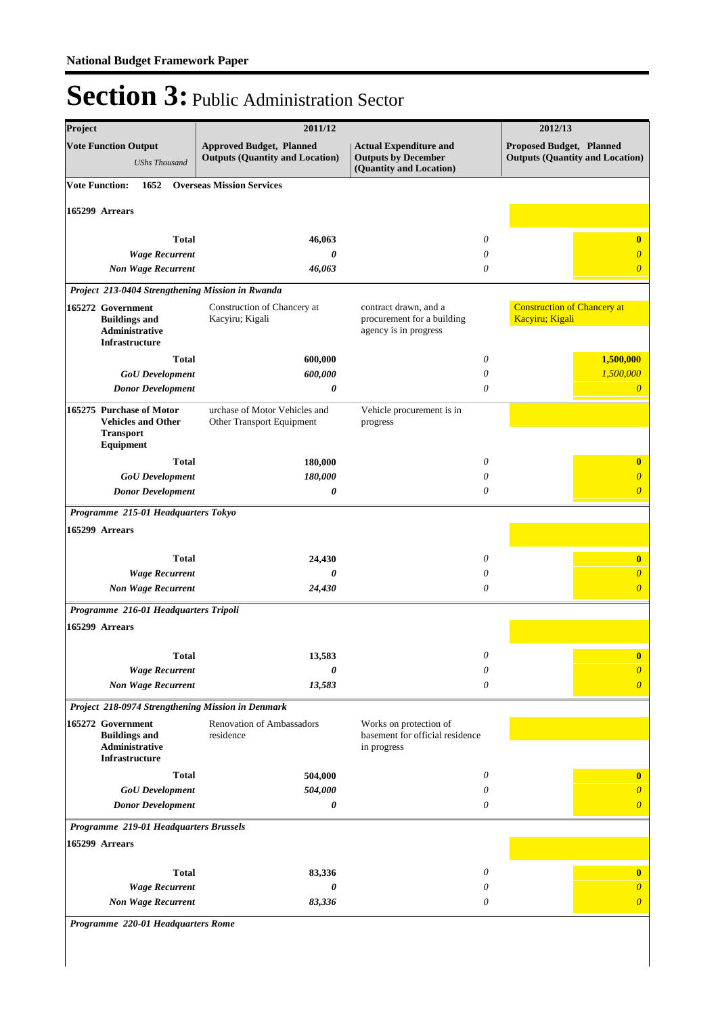| Project                                                                                |                           | 2011/12                                                                   |                                                                                        | 2012/13                                               |                                        |
|----------------------------------------------------------------------------------------|---------------------------|---------------------------------------------------------------------------|----------------------------------------------------------------------------------------|-------------------------------------------------------|----------------------------------------|
| <b>Vote Function Output</b>                                                            | <b>UShs Thousand</b>      | <b>Approved Budget, Planned</b><br><b>Outputs (Quantity and Location)</b> | <b>Actual Expenditure and</b><br><b>Outputs by December</b><br>(Quantity and Location) | Proposed Budget, Planned                              | <b>Outputs (Quantity and Location)</b> |
| <b>Vote Function:</b>                                                                  | 1652                      | <b>Overseas Mission Services</b>                                          |                                                                                        |                                                       |                                        |
| 165299 Arrears                                                                         |                           |                                                                           |                                                                                        |                                                       |                                        |
|                                                                                        | <b>Total</b>              | 46,063                                                                    | 0                                                                                      |                                                       | $\bf{0}$                               |
|                                                                                        | <b>Wage Recurrent</b>     | $\boldsymbol{\theta}$                                                     | 0                                                                                      |                                                       | $\theta$                               |
|                                                                                        | <b>Non Wage Recurrent</b> | 46,063                                                                    | $\theta$                                                                               |                                                       | $\overline{\theta}$                    |
|                                                                                        |                           | Project 213-0404 Strengthening Mission in Rwanda                          |                                                                                        |                                                       |                                        |
| 165272 Government<br><b>Buildings and</b><br>Administrative<br>Infrastructure          |                           | Construction of Chancery at<br>Kacyiru; Kigali                            | contract drawn, and a<br>procurement for a building<br>agency is in progress           | <b>Construction of Chancery at</b><br>Kacyiru; Kigali |                                        |
|                                                                                        | <b>Total</b>              | 600,000                                                                   | 0                                                                                      |                                                       | 1,500,000                              |
|                                                                                        | <b>GoU</b> Development    | 600,000                                                                   | 0<br>$\theta$                                                                          |                                                       | 1,500,000                              |
|                                                                                        | <b>Donor Development</b>  | 0                                                                         |                                                                                        |                                                       | $\theta$                               |
| 165275 Purchase of Motor<br><b>Vehicles and Other</b><br><b>Transport</b><br>Equipment |                           | urchase of Motor Vehicles and<br>Other Transport Equipment                | Vehicle procurement is in<br>progress                                                  |                                                       |                                        |
|                                                                                        | <b>Total</b>              | 180,000                                                                   | 0                                                                                      |                                                       | $\bf{0}$                               |
|                                                                                        | <b>GoU</b> Development    | 180,000                                                                   | 0                                                                                      |                                                       | $\theta$                               |
|                                                                                        | <b>Donor Development</b>  | 0                                                                         | 0                                                                                      |                                                       | $\overline{\theta}$                    |
| Programme 215-01 Headquarters Tokyo                                                    |                           |                                                                           |                                                                                        |                                                       |                                        |
| 165299 Arrears                                                                         |                           |                                                                           |                                                                                        |                                                       |                                        |
|                                                                                        | <b>Total</b>              | 24,430                                                                    | 0                                                                                      |                                                       | $\bf{0}$                               |
|                                                                                        | <b>Wage Recurrent</b>     | 0                                                                         | 0                                                                                      |                                                       | $\overline{\theta}$                    |
|                                                                                        | <b>Non Wage Recurrent</b> | 24,430                                                                    | 0                                                                                      |                                                       | $\overline{\theta}$                    |
| Programme 216-01 Headquarters Tripoli                                                  |                           |                                                                           |                                                                                        |                                                       |                                        |
| 165299 Arrears                                                                         |                           |                                                                           |                                                                                        |                                                       |                                        |
|                                                                                        | <b>Total</b>              | 13,583                                                                    | 0                                                                                      |                                                       | $\bf{0}$                               |
|                                                                                        | <b>Wage Recurrent</b>     | 0                                                                         | $\theta$                                                                               |                                                       | $\overline{\theta}$                    |
|                                                                                        | <b>Non Wage Recurrent</b> | 13,583                                                                    | 0                                                                                      |                                                       | $\overline{\theta}$                    |
|                                                                                        |                           | Project 218-0974 Strengthening Mission in Denmark                         |                                                                                        |                                                       |                                        |
| 165272 Government<br><b>Buildings and</b><br>Administrative<br><b>Infrastructure</b>   |                           | Renovation of Ambassadors<br>residence                                    | Works on protection of<br>basement for official residence<br>in progress               |                                                       |                                        |
|                                                                                        | <b>Total</b>              | 504,000                                                                   | 0                                                                                      |                                                       | $\bf{0}$                               |
|                                                                                        | <b>GoU</b> Development    | 504,000                                                                   | 0                                                                                      |                                                       | $\overline{\theta}$                    |
|                                                                                        | <b>Donor Development</b>  | 0                                                                         | 0                                                                                      |                                                       | $\overline{\theta}$                    |
| Programme 219-01 Headquarters Brussels                                                 |                           |                                                                           |                                                                                        |                                                       |                                        |
| 165299 Arrears                                                                         |                           |                                                                           |                                                                                        |                                                       |                                        |
|                                                                                        | <b>Total</b>              | 83,336                                                                    | 0                                                                                      |                                                       | $\bf{0}$                               |
|                                                                                        | <b>Wage Recurrent</b>     | 0                                                                         | 0                                                                                      |                                                       | 0                                      |
|                                                                                        | <b>Non Wage Recurrent</b> | 83,336                                                                    | 0                                                                                      |                                                       | $\overline{\theta}$                    |
| $Du$ $\alpha$ $u$ $\alpha$ $u$                                                         | 220.01 Hoodayawtowe Dome  |                                                                           |                                                                                        |                                                       |                                        |

*Programme 220-01 Headquarters Rome*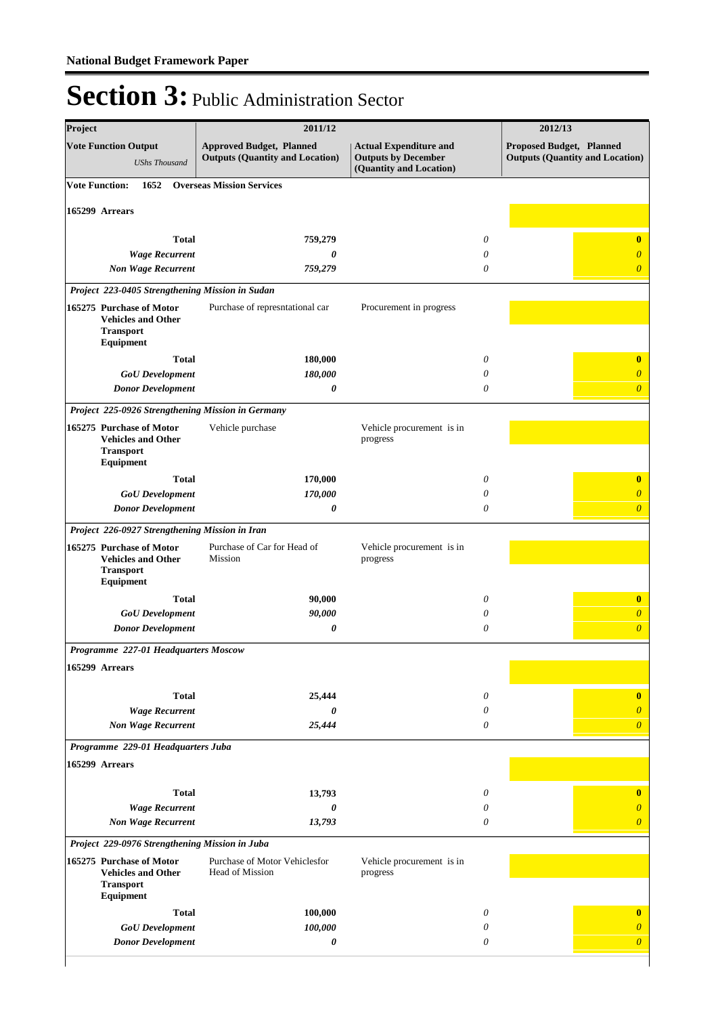| Project                                                                                | 2011/12                                                                   |                                                                                        | 2012/13                                                            |
|----------------------------------------------------------------------------------------|---------------------------------------------------------------------------|----------------------------------------------------------------------------------------|--------------------------------------------------------------------|
| <b>Vote Function Output</b><br><b>UShs Thousand</b>                                    | <b>Approved Budget, Planned</b><br><b>Outputs (Quantity and Location)</b> | <b>Actual Expenditure and</b><br><b>Outputs by December</b><br>(Quantity and Location) | Proposed Budget, Planned<br><b>Outputs (Quantity and Location)</b> |
| <b>Vote Function:</b><br>1652                                                          | <b>Overseas Mission Services</b>                                          |                                                                                        |                                                                    |
| 165299 Arrears                                                                         |                                                                           |                                                                                        |                                                                    |
|                                                                                        |                                                                           |                                                                                        |                                                                    |
| <b>Total</b>                                                                           | 759,279<br>0                                                              | $\theta$<br>$\theta$                                                                   | $\bf{0}$<br>$\overline{0}$                                         |
| <b>Wage Recurrent</b><br><b>Non Wage Recurrent</b>                                     | 759,279                                                                   |                                                                                        | $\theta$<br>$\overline{0}$                                         |
| Project 223-0405 Strengthening Mission in Sudan                                        |                                                                           |                                                                                        |                                                                    |
| 165275 Purchase of Motor<br><b>Vehicles and Other</b><br><b>Transport</b><br>Equipment | Purchase of represntational car                                           | Procurement in progress                                                                |                                                                    |
| <b>Total</b>                                                                           | 180,000                                                                   |                                                                                        | 0<br>$\bf{0}$                                                      |
| <b>GoU</b> Development                                                                 | 180,000                                                                   |                                                                                        | $\theta$<br>$\theta$                                               |
| <b>Donor Development</b>                                                               | 0                                                                         |                                                                                        | $\theta$<br>$\overline{0}$                                         |
| Project 225-0926 Strengthening Mission in Germany                                      |                                                                           |                                                                                        |                                                                    |
| 165275 Purchase of Motor<br><b>Vehicles and Other</b><br><b>Transport</b><br>Equipment | Vehicle purchase                                                          | Vehicle procurement is in<br>progress                                                  |                                                                    |
| <b>Total</b>                                                                           | 170,000                                                                   |                                                                                        | 0<br>$\bf{0}$                                                      |
| <b>GoU</b> Development                                                                 | 170,000                                                                   | 0                                                                                      | $\overline{0}$                                                     |
| <b>Donor Development</b>                                                               | 0                                                                         | $\theta$                                                                               | $\overline{0}$                                                     |
| Project 226-0927 Strengthening Mission in Iran                                         |                                                                           |                                                                                        |                                                                    |
| 165275 Purchase of Motor<br><b>Vehicles and Other</b><br><b>Transport</b><br>Equipment | Purchase of Car for Head of<br>Mission                                    | Vehicle procurement is in<br>progress                                                  |                                                                    |
| <b>Total</b>                                                                           | 90,000                                                                    |                                                                                        | 0<br>$\bf{0}$                                                      |
| <b>GoU</b> Development                                                                 | 90,000                                                                    |                                                                                        | 0<br>$\overline{0}$                                                |
| <b>Donor Development</b>                                                               | 0                                                                         |                                                                                        | $\theta$<br>$\overline{0}$                                         |
| Programme 227-01 Headquarters Moscow                                                   |                                                                           |                                                                                        |                                                                    |
| 165299 Arrears                                                                         |                                                                           |                                                                                        |                                                                    |
| <b>Total</b>                                                                           | 25,444                                                                    |                                                                                        | $\theta$<br>$\bf{0}$                                               |
| <b>Wage Recurrent</b>                                                                  | 0                                                                         |                                                                                        | $\boldsymbol{\theta}$<br>$\overline{0}$                            |
| <b>Non Wage Recurrent</b>                                                              | 25,444                                                                    |                                                                                        | $\theta$<br>$\overline{0}$                                         |
| Programme 229-01 Headquarters Juba                                                     |                                                                           |                                                                                        |                                                                    |
| 165299 Arrears                                                                         |                                                                           |                                                                                        |                                                                    |
| <b>Total</b>                                                                           | 13,793                                                                    |                                                                                        | $\bf{0}$<br>0                                                      |
| <b>Wage Recurrent</b>                                                                  | 0                                                                         |                                                                                        | 0<br>$\overline{\theta}$                                           |
| <b>Non Wage Recurrent</b>                                                              | 13,793                                                                    |                                                                                        | $\theta$<br>$\theta$                                               |
| Project 229-0976 Strengthening Mission in Juba                                         |                                                                           |                                                                                        |                                                                    |
| 165275 Purchase of Motor<br><b>Vehicles and Other</b><br><b>Transport</b><br>Equipment | Purchase of Motor Vehiclesfor<br>Head of Mission                          | Vehicle procurement is in<br>progress                                                  |                                                                    |
| <b>Total</b>                                                                           | 100,000                                                                   |                                                                                        | 0<br>$\bf{0}$                                                      |
| <b>GoU</b> Development                                                                 | 100,000                                                                   |                                                                                        | 0<br>$\overline{0}$                                                |
| <b>Donor Development</b>                                                               | 0                                                                         |                                                                                        | $\theta$<br>$\boldsymbol{\theta}$                                  |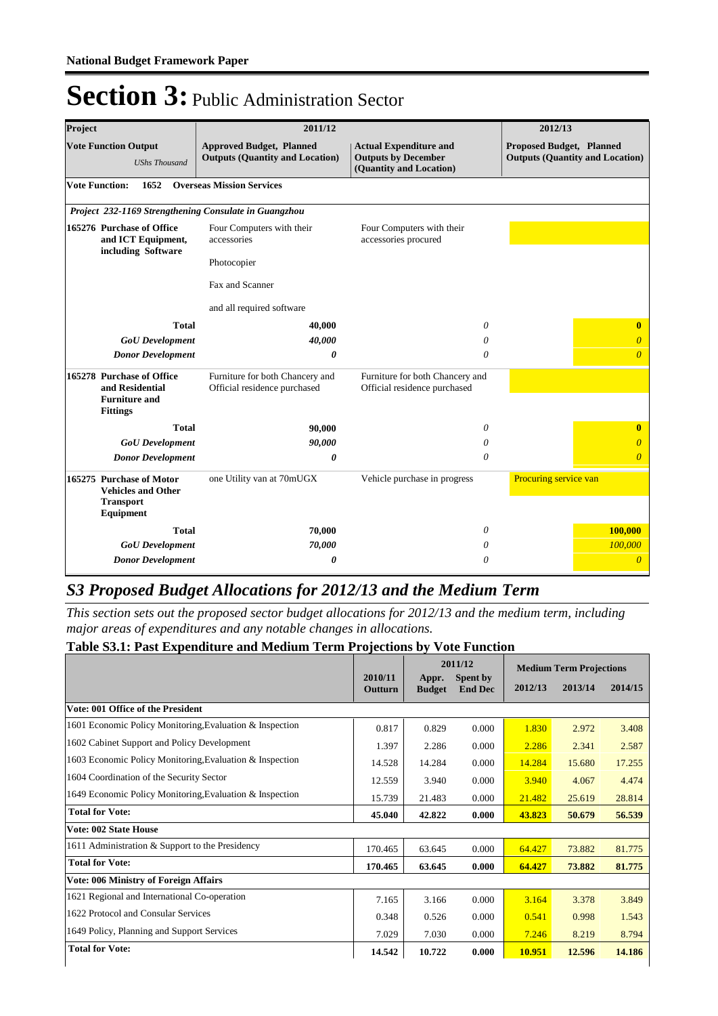| Project                                         | 2011/12                                                                                 |                                                                           |                                                                                        | 2012/13                                                                   |
|-------------------------------------------------|-----------------------------------------------------------------------------------------|---------------------------------------------------------------------------|----------------------------------------------------------------------------------------|---------------------------------------------------------------------------|
|                                                 | <b>Vote Function Output</b><br><b>UShs Thousand</b>                                     | <b>Approved Budget, Planned</b><br><b>Outputs (Quantity and Location)</b> | <b>Actual Expenditure and</b><br><b>Outputs by December</b><br>(Quantity and Location) | <b>Proposed Budget, Planned</b><br><b>Outputs (Quantity and Location)</b> |
| <b>Vote Function:</b>                           | 1652                                                                                    | <b>Overseas Mission Services</b>                                          |                                                                                        |                                                                           |
|                                                 |                                                                                         | Project 232-1169 Strengthening Consulate in Guangzhou                     |                                                                                        |                                                                           |
| 165276 Purchase of Office<br>and ICT Equipment, |                                                                                         | Four Computers with their<br>accessories                                  | Four Computers with their<br>accessories procured                                      |                                                                           |
|                                                 | including Software                                                                      | Photocopier                                                               |                                                                                        |                                                                           |
|                                                 |                                                                                         | Fax and Scanner                                                           |                                                                                        |                                                                           |
|                                                 |                                                                                         | and all required software                                                 |                                                                                        |                                                                           |
|                                                 | <b>Total</b>                                                                            | 40,000                                                                    | 0                                                                                      | $\bf{0}$                                                                  |
|                                                 | <b>GoU</b> Development                                                                  | 40,000                                                                    | 0                                                                                      | $\theta$                                                                  |
|                                                 | <b>Donor Development</b>                                                                | 0                                                                         | 0                                                                                      | $\theta$                                                                  |
|                                                 | 165278 Purchase of Office<br>and Residential<br><b>Furniture and</b><br><b>Fittings</b> | Furniture for both Chancery and<br>Official residence purchased           | Furniture for both Chancery and<br>Official residence purchased                        |                                                                           |
|                                                 | <b>Total</b>                                                                            | 90,000                                                                    | 0                                                                                      | $\bf{0}$                                                                  |
|                                                 | <b>GoU</b> Development                                                                  | 90,000                                                                    | 0                                                                                      | $\theta$                                                                  |
|                                                 | <b>Donor Development</b>                                                                | 0                                                                         | 0                                                                                      | $\overline{\theta}$                                                       |
|                                                 | 165275 Purchase of Motor<br><b>Vehicles and Other</b><br><b>Transport</b><br>Equipment  | one Utility van at 70mUGX                                                 | Vehicle purchase in progress                                                           | Procuring service van                                                     |
|                                                 | <b>Total</b>                                                                            | 70,000                                                                    | 0                                                                                      | 100,000                                                                   |
|                                                 | <b>GoU</b> Development                                                                  | 70,000                                                                    | 0                                                                                      | 100,000                                                                   |
|                                                 | <b>Donor Development</b>                                                                | 0                                                                         | 0                                                                                      | $\theta$                                                                  |

### *S3 Proposed Budget Allocations for 2012/13 and the Medium Term*

*This section sets out the proposed sector budget allocations for 2012/13 and the medium term, including major areas of expenditures and any notable changes in allocations.* 

#### **Table S3.1: Past Expenditure and Medium Term Projections by Vote Function**

|                                                          |                    | 2011/12                |                            | <b>Medium Term Projections</b> |         |         |
|----------------------------------------------------------|--------------------|------------------------|----------------------------|--------------------------------|---------|---------|
|                                                          | 2010/11<br>Outturn | Appr.<br><b>Budget</b> | Spent by<br><b>End Dec</b> | 2012/13                        | 2013/14 | 2014/15 |
| Vote: 001 Office of the President                        |                    |                        |                            |                                |         |         |
| 1601 Economic Policy Monitoring, Evaluation & Inspection | 0.817              | 0.829                  | 0.000                      | 1.830                          | 2.972   | 3.408   |
| 1602 Cabinet Support and Policy Development              | 1.397              | 2.286                  | 0.000                      | 2.286                          | 2.341   | 2.587   |
| 1603 Economic Policy Monitoring, Evaluation & Inspection | 14.528             | 14.284                 | 0.000                      | 14.284                         | 15.680  | 17.255  |
| 1604 Coordination of the Security Sector                 | 12.559             | 3.940                  | 0.000                      | 3.940                          | 4.067   | 4.474   |
| 1649 Economic Policy Monitoring, Evaluation & Inspection | 15.739             | 21.483                 | 0.000                      | 21.482                         | 25.619  | 28.814  |
| <b>Total for Vote:</b>                                   | 45.040             | 42,822                 | 0.000                      | 43.823                         | 50.679  | 56.539  |
| <b>Vote: 002 State House</b>                             |                    |                        |                            |                                |         |         |
| 1611 Administration & Support to the Presidency          | 170.465            | 63.645                 | 0.000                      | 64.427                         | 73.882  | 81.775  |
| <b>Total for Vote:</b>                                   | 170.465            | 63.645                 | 0.000                      | 64.427                         | 73.882  | 81.775  |
| <b>Vote: 006 Ministry of Foreign Affairs</b>             |                    |                        |                            |                                |         |         |
| 1621 Regional and International Co-operation             | 7.165              | 3.166                  | 0.000                      | 3.164                          | 3.378   | 3.849   |
| 1622 Protocol and Consular Services                      | 0.348              | 0.526                  | 0.000                      | 0.541                          | 0.998   | 1.543   |
| 1649 Policy, Planning and Support Services               | 7.029              | 7.030                  | 0.000                      | 7.246                          | 8.219   | 8.794   |
| <b>Total for Vote:</b>                                   | 14.542             | 10.722                 | 0.000                      | 10.951                         | 12.596  | 14.186  |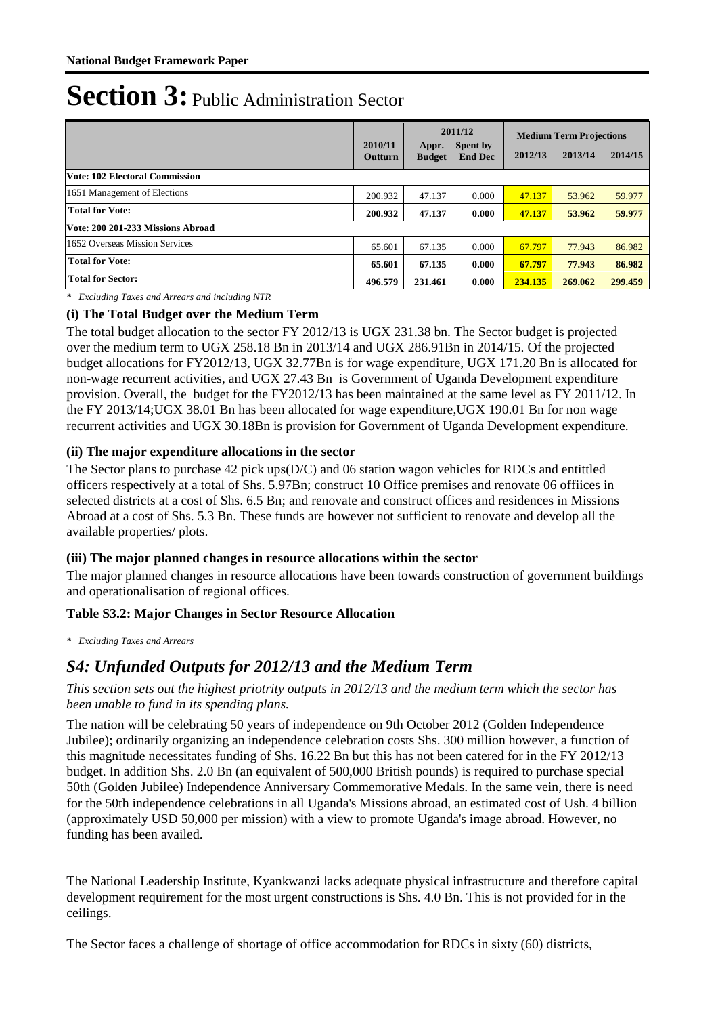|                                   | 2010/11<br>Outturn | Appr.<br><b>Budget</b> | 2011/12<br>Spent by<br><b>End Dec</b> | 2012/13 | <b>Medium Term Projections</b><br>2013/14 | 2014/15 |
|-----------------------------------|--------------------|------------------------|---------------------------------------|---------|-------------------------------------------|---------|
| Vote: 102 Electoral Commission    |                    |                        |                                       |         |                                           |         |
| 1651 Management of Elections      | 200.932            | 47.137                 | 0.000                                 | 47.137  | 53.962                                    | 59.977  |
| <b>Total for Vote:</b>            | 200.932            | 47.137                 | 0.000                                 | 47.137  | 53.962                                    | 59.977  |
| Vote: 200 201-233 Missions Abroad |                    |                        |                                       |         |                                           |         |
| 1652 Overseas Mission Services    | 65.601             | 67.135                 | 0.000                                 | 67.797  | 77.943                                    | 86.982  |
| <b>Total for Vote:</b>            | 65.601             | 67.135                 | 0.000                                 | 67.797  | 77.943                                    | 86.982  |
| <b>Total for Sector:</b>          | 496.579            | 231.461                | 0.000                                 | 234.135 | 269.062                                   | 299.459 |

*\* Excluding Taxes and Arrears and including NTR*

#### **(i) The Total Budget over the Medium Term**

The total budget allocation to the sector FY 2012/13 is UGX 231.38 bn. The Sector budget is projected over the medium term to UGX 258.18 Bn in 2013/14 and UGX 286.91Bn in 2014/15. Of the projected budget allocations for FY2012/13, UGX 32.77Bn is for wage expenditure, UGX 171.20 Bn is allocated for non-wage recurrent activities, and UGX 27.43 Bn is Government of Uganda Development expenditure provision. Overall, the budget for the FY2012/13 has been maintained at the same level as FY 2011/12. In the FY 2013/14;UGX 38.01 Bn has been allocated for wage expenditure,UGX 190.01 Bn for non wage recurrent activities and UGX 30.18Bn is provision for Government of Uganda Development expenditure.

#### **(ii) The major expenditure allocations in the sector**

The Sector plans to purchase 42 pick ups(D/C) and 06 station wagon vehicles for RDCs and entittled officers respectively at a total of Shs. 5.97Bn; construct 10 Office premises and renovate 06 offiices in selected districts at a cost of Shs. 6.5 Bn; and renovate and construct offices and residences in Missions Abroad at a cost of Shs. 5.3 Bn. These funds are however not sufficient to renovate and develop all the available properties/ plots.

#### **(iii) The major planned changes in resource allocations within the sector**

The major planned changes in resource allocations have been towards construction of government buildings and operationalisation of regional offices.

#### **Table S3.2: Major Changes in Sector Resource Allocation**

*\* Excluding Taxes and Arrears*

### *S4: Unfunded Outputs for 2012/13 and the Medium Term*

*This section sets out the highest priotrity outputs in 2012/13 and the medium term which the sector has been unable to fund in its spending plans.*

The nation will be celebrating 50 years of independence on 9th October 2012 (Golden Independence Jubilee); ordinarily organizing an independence celebration costs Shs. 300 million however, a function of this magnitude necessitates funding of Shs. 16.22 Bn but this has not been catered for in the FY 2012/13 budget. In addition Shs. 2.0 Bn (an equivalent of 500,000 British pounds) is required to purchase special 50th (Golden Jubilee) Independence Anniversary Commemorative Medals. In the same vein, there is need for the 50th independence celebrations in all Uganda's Missions abroad, an estimated cost of Ush. 4 billion (approximately USD 50,000 per mission) with a view to promote Uganda's image abroad. However, no funding has been availed.

The National Leadership Institute, Kyankwanzi lacks adequate physical infrastructure and therefore capital development requirement for the most urgent constructions is Shs. 4.0 Bn. This is not provided for in the ceilings.

The Sector faces a challenge of shortage of office accommodation for RDCs in sixty (60) districts,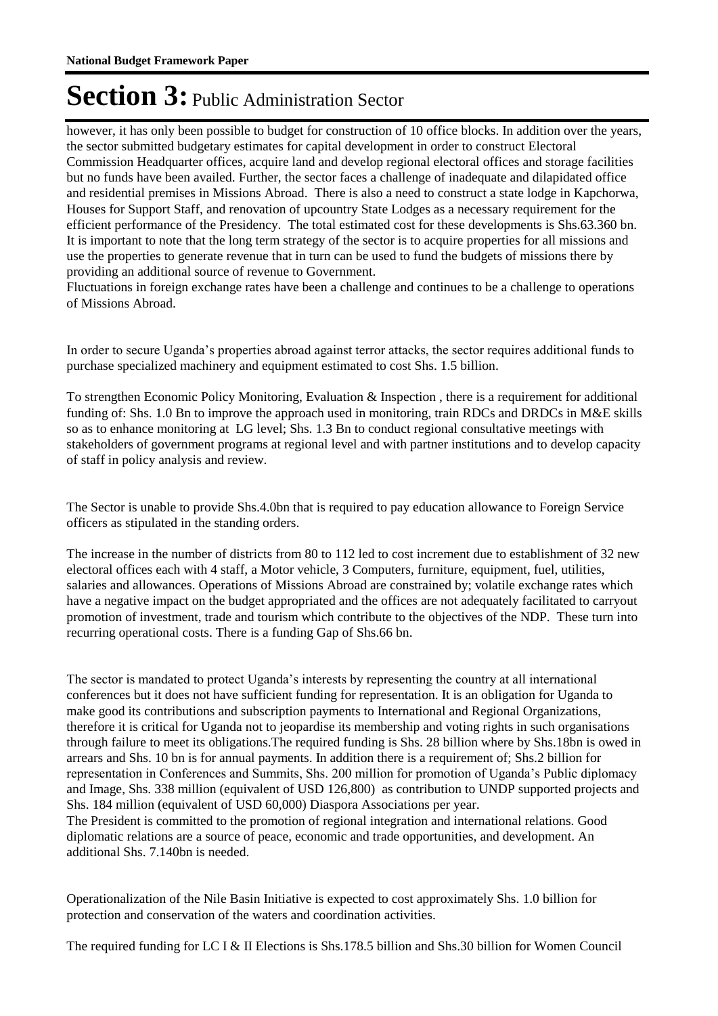however, it has only been possible to budget for construction of 10 office blocks. In addition over the years, the sector submitted budgetary estimates for capital development in order to construct Electoral Commission Headquarter offices, acquire land and develop regional electoral offices and storage facilities but no funds have been availed. Further, the sector faces a challenge of inadequate and dilapidated office and residential premises in Missions Abroad. There is also a need to construct a state lodge in Kapchorwa, Houses for Support Staff, and renovation of upcountry State Lodges as a necessary requirement for the efficient performance of the Presidency. The total estimated cost for these developments is Shs.63.360 bn. It is important to note that the long term strategy of the sector is to acquire properties for all missions and use the properties to generate revenue that in turn can be used to fund the budgets of missions there by providing an additional source of revenue to Government.

Fluctuations in foreign exchange rates have been a challenge and continues to be a challenge to operations of Missions Abroad.

In order to secure Uganda's properties abroad against terror attacks, the sector requires additional funds to purchase specialized machinery and equipment estimated to cost Shs. 1.5 billion.

To strengthen Economic Policy Monitoring, Evaluation & Inspection , there is a requirement for additional funding of: Shs. 1.0 Bn to improve the approach used in monitoring, train RDCs and DRDCs in M&E skills so as to enhance monitoring at LG level; Shs. 1.3 Bn to conduct regional consultative meetings with stakeholders of government programs at regional level and with partner institutions and to develop capacity of staff in policy analysis and review.

The Sector is unable to provide Shs.4.0bn that is required to pay education allowance to Foreign Service officers as stipulated in the standing orders.

The increase in the number of districts from 80 to 112 led to cost increment due to establishment of 32 new electoral offices each with 4 staff, a Motor vehicle, 3 Computers, furniture, equipment, fuel, utilities, salaries and allowances. Operations of Missions Abroad are constrained by; volatile exchange rates which have a negative impact on the budget appropriated and the offices are not adequately facilitated to carryout promotion of investment, trade and tourism which contribute to the objectives of the NDP. These turn into recurring operational costs. There is a funding Gap of Shs.66 bn.

The sector is mandated to protect Uganda's interests by representing the country at all international conferences but it does not have sufficient funding for representation. It is an obligation for Uganda to make good its contributions and subscription payments to International and Regional Organizations, therefore it is critical for Uganda not to jeopardise its membership and voting rights in such organisations through failure to meet its obligations.The required funding is Shs. 28 billion where by Shs.18bn is owed in arrears and Shs. 10 bn is for annual payments. In addition there is a requirement of; Shs.2 billion for representation in Conferences and Summits, Shs. 200 million for promotion of Uganda's Public diplomacy and Image, Shs. 338 million (equivalent of USD 126,800) as contribution to UNDP supported projects and Shs. 184 million (equivalent of USD 60,000) Diaspora Associations per year. The President is committed to the promotion of regional integration and international relations. Good

diplomatic relations are a source of peace, economic and trade opportunities, and development. An additional Shs. 7.140bn is needed.

Operationalization of the Nile Basin Initiative is expected to cost approximately Shs. 1.0 billion for protection and conservation of the waters and coordination activities.

The required funding for LC I & II Elections is Shs.178.5 billion and Shs.30 billion for Women Council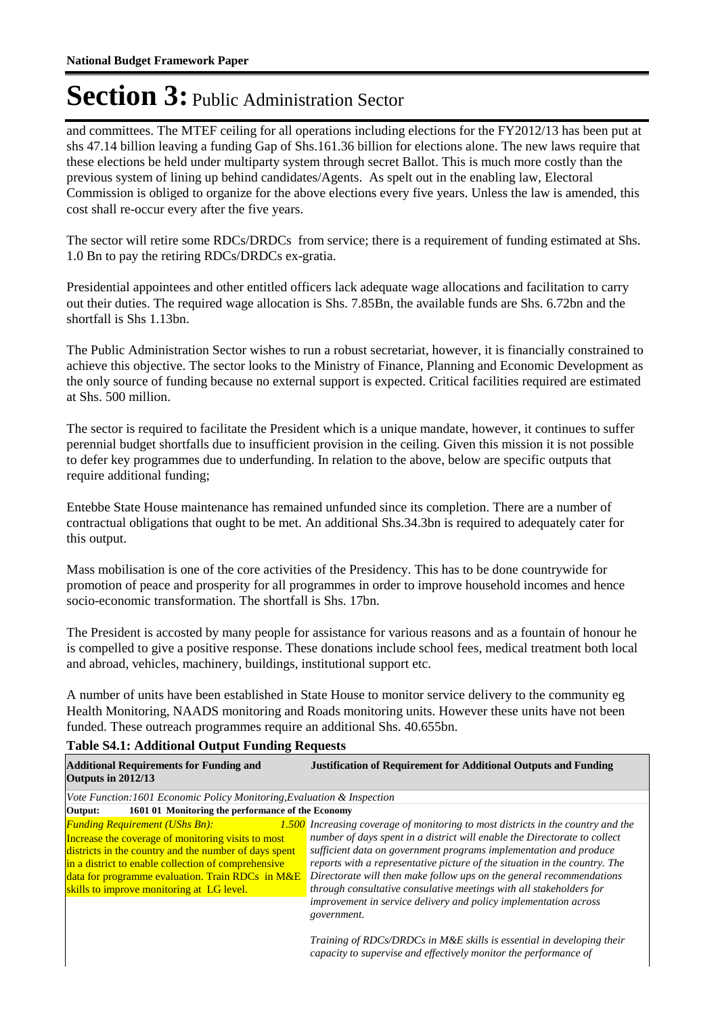and committees. The MTEF ceiling for all operations including elections for the FY2012/13 has been put at shs 47.14 billion leaving a funding Gap of Shs.161.36 billion for elections alone. The new laws require that these elections be held under multiparty system through secret Ballot. This is much more costly than the previous system of lining up behind candidates/Agents. As spelt out in the enabling law, Electoral Commission is obliged to organize for the above elections every five years. Unless the law is amended, this cost shall re-occur every after the five years.

The sector will retire some RDCs/DRDCs from service; there is a requirement of funding estimated at Shs. 1.0 Bn to pay the retiring RDCs/DRDCs ex-gratia.

Presidential appointees and other entitled officers lack adequate wage allocations and facilitation to carry out their duties. The required wage allocation is Shs. 7.85Bn, the available funds are Shs. 6.72bn and the shortfall is Shs 1.13bn.

The Public Administration Sector wishes to run a robust secretariat, however, it is financially constrained to achieve this objective. The sector looks to the Ministry of Finance, Planning and Economic Development as the only source of funding because no external support is expected. Critical facilities required are estimated at Shs. 500 million.

The sector is required to facilitate the President which is a unique mandate, however, it continues to suffer perennial budget shortfalls due to insufficient provision in the ceiling. Given this mission it is not possible to defer key programmes due to underfunding. In relation to the above, below are specific outputs that require additional funding;

Entebbe State House maintenance has remained unfunded since its completion. There are a number of contractual obligations that ought to be met. An additional Shs.34.3bn is required to adequately cater for this output.

Mass mobilisation is one of the core activities of the Presidency. This has to be done countrywide for promotion of peace and prosperity for all programmes in order to improve household incomes and hence socio-economic transformation. The shortfall is Shs. 17bn.

The President is accosted by many people for assistance for various reasons and as a fountain of honour he is compelled to give a positive response. These donations include school fees, medical treatment both local and abroad, vehicles, machinery, buildings, institutional support etc.

A number of units have been established in State House to monitor service delivery to the community eg Health Monitoring, NAADS monitoring and Roads monitoring units. However these units have not been funded. These outreach programmes require an additional Shs. 40.655bn.

#### **Table S4.1: Additional Output Funding Requests**

| <b>Additional Requirements for Funding and</b><br>Outputs in 2012/13                                                                                                                                                                                                                                         | <b>Justification of Requirement for Additional Outputs and Funding</b>                                                                                                                                                                                                                                                                                                                                                                                                                                                              |  |  |  |  |
|--------------------------------------------------------------------------------------------------------------------------------------------------------------------------------------------------------------------------------------------------------------------------------------------------------------|-------------------------------------------------------------------------------------------------------------------------------------------------------------------------------------------------------------------------------------------------------------------------------------------------------------------------------------------------------------------------------------------------------------------------------------------------------------------------------------------------------------------------------------|--|--|--|--|
| Vote Function:1601 Economic Policy Monitoring, Evaluation & Inspection                                                                                                                                                                                                                                       |                                                                                                                                                                                                                                                                                                                                                                                                                                                                                                                                     |  |  |  |  |
| 1601 01 Monitoring the performance of the Economy<br>Output:                                                                                                                                                                                                                                                 |                                                                                                                                                                                                                                                                                                                                                                                                                                                                                                                                     |  |  |  |  |
| <b>Funding Requirement (UShs Bn):</b><br>Increase the coverage of monitoring visits to most<br>districts in the country and the number of days spent<br>in a district to enable collection of comprehensive<br>data for programme evaluation. Train RDCs in M&E<br>skills to improve monitoring at LG level. | 1.500 Increasing coverage of monitoring to most districts in the country and the<br>number of days spent in a district will enable the Directorate to collect<br>sufficient data on government programs implementation and produce<br>reports with a representative picture of the situation in the country. The<br>Directorate will then make follow ups on the general recommendations<br>through consultative consulative meetings with all stakeholders for<br>improvement in service delivery and policy implementation across |  |  |  |  |
|                                                                                                                                                                                                                                                                                                              | government.<br>Training of RDCs/DRDCs in M&E skills is essential in developing their<br>capacity to supervise and effectively monitor the performance of                                                                                                                                                                                                                                                                                                                                                                            |  |  |  |  |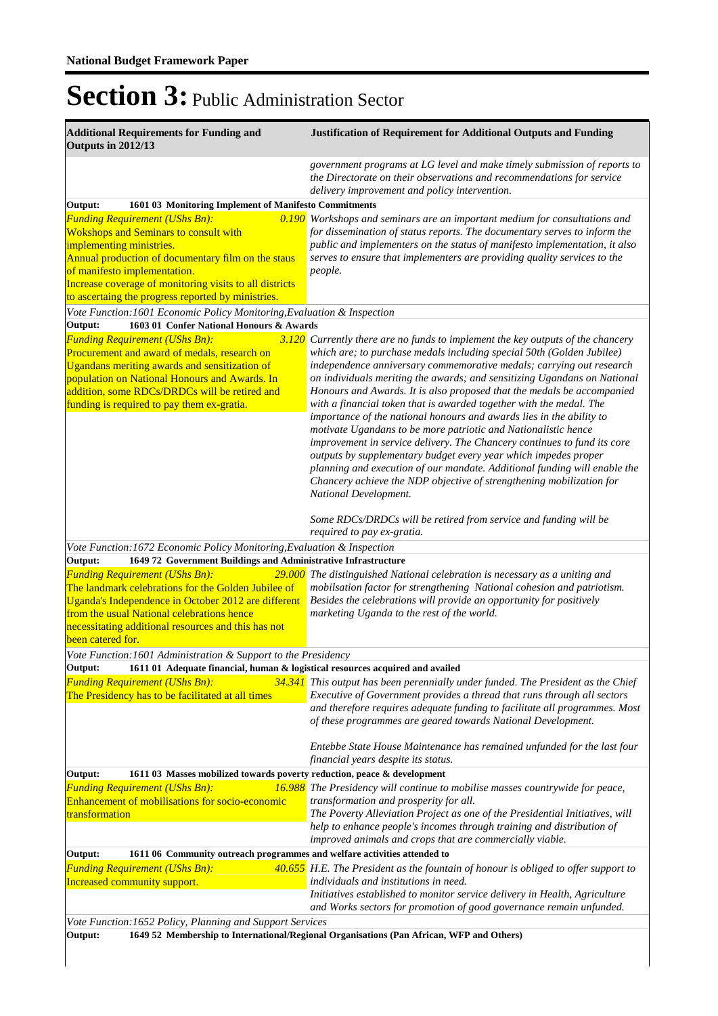| <b>Additional Requirements for Funding and</b><br>Outputs in 2012/13                                                                                                                                                                                                                                                                                       | <b>Justification of Requirement for Additional Outputs and Funding</b>                                                                                                                                                                                                                                                                                                                                                                                                                                                                                                                                                                                                                                                                                                                                                                                                                                                                 |  |  |  |  |
|------------------------------------------------------------------------------------------------------------------------------------------------------------------------------------------------------------------------------------------------------------------------------------------------------------------------------------------------------------|----------------------------------------------------------------------------------------------------------------------------------------------------------------------------------------------------------------------------------------------------------------------------------------------------------------------------------------------------------------------------------------------------------------------------------------------------------------------------------------------------------------------------------------------------------------------------------------------------------------------------------------------------------------------------------------------------------------------------------------------------------------------------------------------------------------------------------------------------------------------------------------------------------------------------------------|--|--|--|--|
|                                                                                                                                                                                                                                                                                                                                                            | government programs at LG level and make timely submission of reports to<br>the Directorate on their observations and recommendations for service<br>delivery improvement and policy intervention.                                                                                                                                                                                                                                                                                                                                                                                                                                                                                                                                                                                                                                                                                                                                     |  |  |  |  |
| 1601 03 Monitoring Implement of Manifesto Commitments<br>Output:                                                                                                                                                                                                                                                                                           |                                                                                                                                                                                                                                                                                                                                                                                                                                                                                                                                                                                                                                                                                                                                                                                                                                                                                                                                        |  |  |  |  |
| <b>Funding Requirement (UShs Bn):</b><br><b>Wokshops and Seminars to consult with</b><br>implementing ministries.<br>Annual production of documentary film on the staus<br>of manifesto implementation.<br>Increase coverage of monitoring visits to all districts<br>to ascertaing the progress reported by ministries.                                   | 0.190 Workshops and seminars are an important medium for consultations and<br>for dissemination of status reports. The documentary serves to inform the<br>public and implementers on the status of manifesto implementation, it also<br>serves to ensure that implementers are providing quality services to the<br>people.                                                                                                                                                                                                                                                                                                                                                                                                                                                                                                                                                                                                           |  |  |  |  |
| Vote Function: 1601 Economic Policy Monitoring, Evaluation & Inspection                                                                                                                                                                                                                                                                                    |                                                                                                                                                                                                                                                                                                                                                                                                                                                                                                                                                                                                                                                                                                                                                                                                                                                                                                                                        |  |  |  |  |
| 1603 01 Confer National Honours & Awards<br>Output:<br><b>Funding Requirement (UShs Bn):</b><br>Procurement and award of medals, research on<br>Ugandans meriting awards and sensitization of<br>population on National Honours and Awards. In<br>addition, some RDCs/DRDCs will be retired and<br>funding is required to pay them ex-gratia.              | $3.120$ Currently there are no funds to implement the key outputs of the chancery<br>which are; to purchase medals including special 50th (Golden Jubilee)<br>independence anniversary commemorative medals; carrying out research<br>on individuals meriting the awards; and sensitizing Ugandans on National<br>Honours and Awards. It is also proposed that the medals be accompanied<br>with a financial token that is awarded together with the medal. The<br>importance of the national honours and awards lies in the ability to<br>motivate Ugandans to be more patriotic and Nationalistic hence<br>improvement in service delivery. The Chancery continues to fund its core<br>outputs by supplementary budget every year which impedes proper<br>planning and execution of our mandate. Additional funding will enable the<br>Chancery achieve the NDP objective of strengthening mobilization for<br>National Development. |  |  |  |  |
|                                                                                                                                                                                                                                                                                                                                                            | Some RDCs/DRDCs will be retired from service and funding will be<br>required to pay ex-gratia.                                                                                                                                                                                                                                                                                                                                                                                                                                                                                                                                                                                                                                                                                                                                                                                                                                         |  |  |  |  |
| Vote Function: 1672 Economic Policy Monitoring, Evaluation & Inspection                                                                                                                                                                                                                                                                                    |                                                                                                                                                                                                                                                                                                                                                                                                                                                                                                                                                                                                                                                                                                                                                                                                                                                                                                                                        |  |  |  |  |
| 1649 72 Government Buildings and Administrative Infrastructure<br>Output:<br><b>Funding Requirement (UShs Bn):</b><br>The landmark celebrations for the Golden Jubilee of<br>Uganda's Independence in October 2012 are different<br>from the usual National celebrations hence<br>necessitating additional resources and this has not<br>been catered for. | 29.000 The distinguished National celebration is necessary as a uniting and<br>mobilsation factor for strengthening National cohesion and patriotism.<br>Besides the celebrations will provide an opportunity for positively<br>marketing Uganda to the rest of the world.                                                                                                                                                                                                                                                                                                                                                                                                                                                                                                                                                                                                                                                             |  |  |  |  |
| Vote Function: 1601 Administration & Support to the Presidency                                                                                                                                                                                                                                                                                             |                                                                                                                                                                                                                                                                                                                                                                                                                                                                                                                                                                                                                                                                                                                                                                                                                                                                                                                                        |  |  |  |  |
| 1611 01 Adequate financial, human & logistical resources acquired and availed<br>Output:<br><b>Funding Requirement (UShs Bn):</b><br>The Presidency has to be facilitated at all times                                                                                                                                                                     | 34.341 This output has been perennially under funded. The President as the Chief<br>Executive of Government provides a thread that runs through all sectors<br>and therefore requires adequate funding to facilitate all programmes. Most<br>of these programmes are geared towards National Development.<br>Entebbe State House Maintenance has remained unfunded for the last four                                                                                                                                                                                                                                                                                                                                                                                                                                                                                                                                                   |  |  |  |  |
|                                                                                                                                                                                                                                                                                                                                                            | financial years despite its status.                                                                                                                                                                                                                                                                                                                                                                                                                                                                                                                                                                                                                                                                                                                                                                                                                                                                                                    |  |  |  |  |
| Output:<br>1611 03 Masses mobilized towards poverty reduction, peace & development                                                                                                                                                                                                                                                                         |                                                                                                                                                                                                                                                                                                                                                                                                                                                                                                                                                                                                                                                                                                                                                                                                                                                                                                                                        |  |  |  |  |
| <b>Funding Requirement (UShs Bn):</b><br>Enhancement of mobilisations for socio-economic<br>transformation                                                                                                                                                                                                                                                 | 16.988 The Presidency will continue to mobilise masses countrywide for peace,<br>transformation and prosperity for all.<br>The Poverty Alleviation Project as one of the Presidential Initiatives, will<br>help to enhance people's incomes through training and distribution of<br>improved animals and crops that are commercially viable.                                                                                                                                                                                                                                                                                                                                                                                                                                                                                                                                                                                           |  |  |  |  |
| Output:<br>1611 06 Community outreach programmes and welfare activities attended to                                                                                                                                                                                                                                                                        |                                                                                                                                                                                                                                                                                                                                                                                                                                                                                                                                                                                                                                                                                                                                                                                                                                                                                                                                        |  |  |  |  |
| <b>Funding Requirement (UShs Bn):</b><br>Increased community support.                                                                                                                                                                                                                                                                                      | 40.655 H.E. The President as the fountain of honour is obliged to offer support to<br>individuals and institutions in need.<br>Initiatives established to monitor service delivery in Health, Agriculture<br>and Works sectors for promotion of good governance remain unfunded.                                                                                                                                                                                                                                                                                                                                                                                                                                                                                                                                                                                                                                                       |  |  |  |  |
| Vote Function: 1652 Policy, Planning and Support Services<br>1649 52 Membership to International/Regional Organisations (Pan African, WFP and Others)<br>Output:                                                                                                                                                                                           |                                                                                                                                                                                                                                                                                                                                                                                                                                                                                                                                                                                                                                                                                                                                                                                                                                                                                                                                        |  |  |  |  |